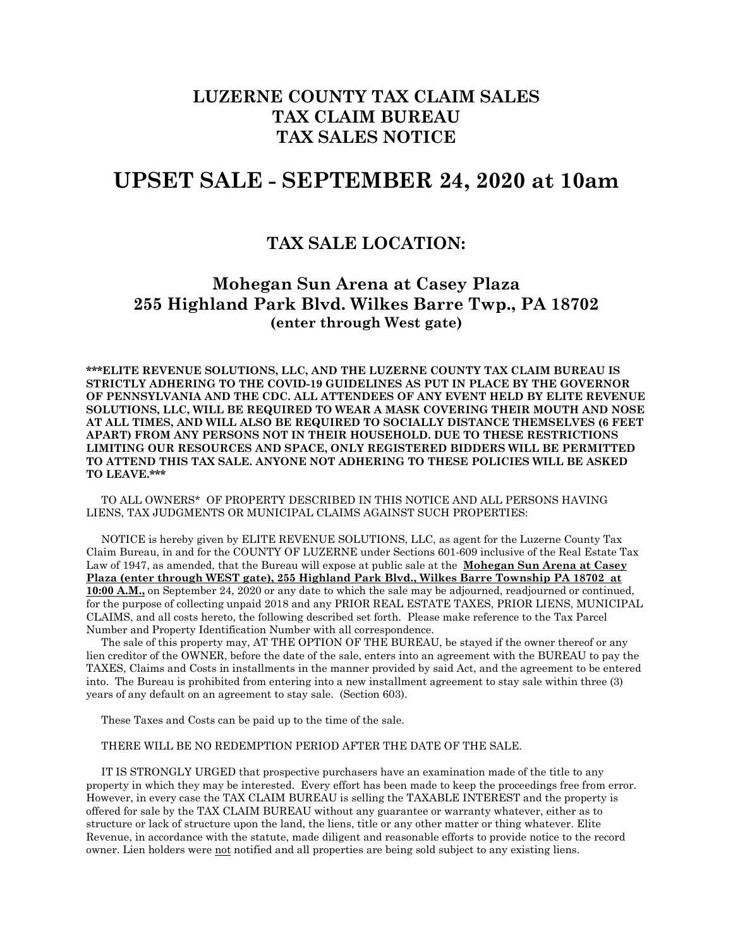## **LUZERNE COUNTY TAX CLAIM SALES TAX CLAIM BUREAU TAX SALES NOTICE**

# **UPSET SALE - SEPTEMBER 24, 2020 at 10am**

### **TAX SALE LOCATION:**

### **Mohegan Sun Arena at Casey Plaza 255 Highland Park Blvd. Wilkes Barre Twp., PA 18702 (enter through West gate)**

**\*\*\*ELITE REVENUE SOLUTIONS, LLC, AND THE LUZERNE COUNTY TAX CLAIM BUREAU IS STRICTLY ADHERING TO THE COVID-19 GUIDELINES AS PUT IN PLACE BY THE GOVERNOR OF PENNSYLVANIA AND THE CDC. ALL ATTENDEES OF ANY EVENT HELD BY ELITE REVENUE SOLUTIONS, LLC, WILL BE REQUIRED TO WEAR A MASK COVERING THEIR MOUTH AND NOSE AT ALL TIMES, AND WILL ALSO BE REQUIRED TO SOCIALLY DISTANCE THEMSELVES (6 FEET APART) FROM ANY PERSONS NOT IN THEIR HOUSEHOLD. DUE TO THESE RESTRICTIONS LIMITING OUR RESOURCES AND SPACE, ONLY REGISTERED BIDDERS WILL BE PERMITTED TO ATTEND THIS TAX SALE. ANYONE NOT ADHERING TO THESE POLICIES WILL BE ASKED TO LEAVE.\*\*\***

 TO ALL OWNERS\* OF PROPERTY DESCRIBED IN THIS NOTICE AND ALL PERSONS HAVING LIENS, TAX JUDGMENTS OR MUNICIPAL CLAIMS AGAINST SUCH PROPERTIES:

 NOTICE is hereby given by ELITE REVENUE SOLUTIONS, LLC, as agent for the Luzerne County Tax Claim Bureau, in and for the COUNTY OF LUZERNE under Sections 601-609 inclusive of the Real Estate Tax Law of 1947, as amended, that the Bureau will expose at public sale at the **Mohegan Sun Arena at Casey Plaza (enter through WEST gate), 255 Highland Park Blvd., Wilkes Barre Township PA 18702 at 10:00 A.M.,** on September 24, 2020 or any date to which the sale may be adjourned, readjourned or continued, for the purpose of collecting unpaid 2018 and any PRIOR REAL ESTATE TAXES, PRIOR LIENS, MUNICIPAL CLAIMS, and all costs hereto, the following described set forth. Please make reference to the Tax Parcel Number and Property Identification Number with all correspondence.

 The sale of this property may, AT THE OPTION OF THE BUREAU, be stayed if the owner thereof or any lien creditor of the OWNER, before the date of the sale, enters into an agreement with the BUREAU to pay the TAXES, Claims and Costs in installments in the manner provided by said Act, and the agreement to be entered into. The Bureau is prohibited from entering into a new installment agreement to stay sale within three (3) years of any default on an agreement to stay sale. (Section 603).

These Taxes and Costs can be paid up to the time of the sale.

#### THERE WILL BE NO REDEMPTION PERIOD AFTER THE DATE OF THE SALE.

 IT IS STRONGLY URGED that prospective purchasers have an examination made of the title to any property in which they may be interested. Every effort has been made to keep the proceedings free from error. However, in every case the TAX CLAIM BUREAU is selling the TAXABLE INTEREST and the property is offered for sale by the TAX CLAIM BUREAU without any guarantee or warranty whatever, either as to structure or lack of structure upon the land, the liens, title or any other matter or thing whatever. Elite Revenue, in accordance with the statute, made diligent and reasonable efforts to provide notice to the record owner. Lien holders were not notified and all properties are being sold subject to any existing liens.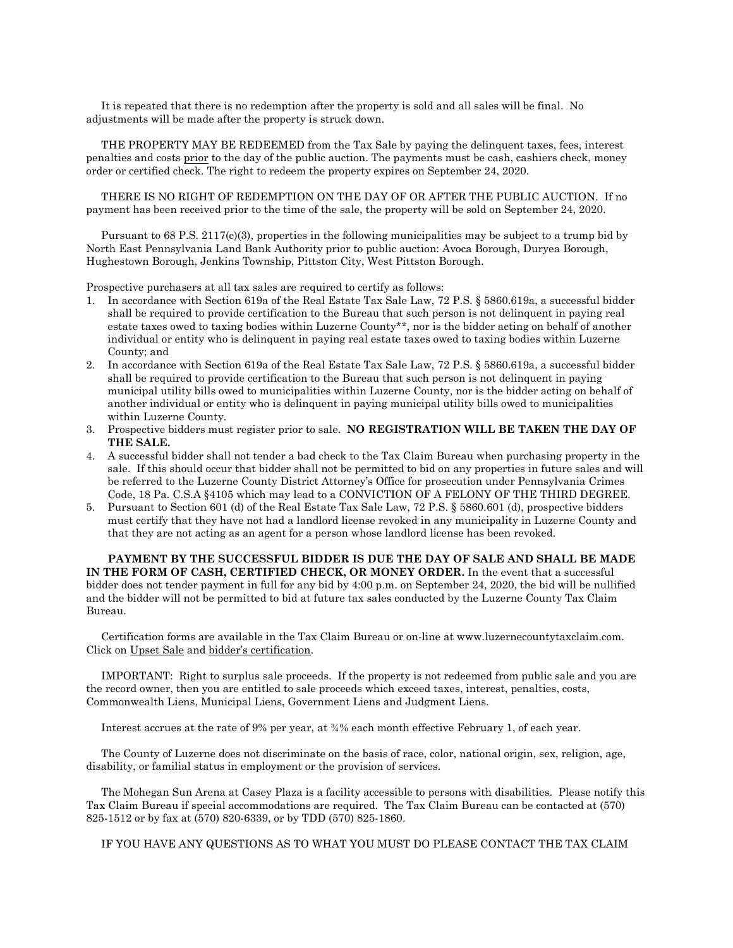It is repeated that there is no redemption after the property is sold and all sales will be final. No adjustments will be made after the property is struck down.

 THE PROPERTY MAY BE REDEEMED from the Tax Sale by paying the delinquent taxes, fees, interest penalties and costs prior to the day of the public auction. The payments must be cash, cashiers check, money order or certified check. The right to redeem the property expires on September 24, 2020.

 THERE IS NO RIGHT OF REDEMPTION ON THE DAY OF OR AFTER THE PUBLIC AUCTION. If no payment has been received prior to the time of the sale, the property will be sold on September 24, 2020.

 Pursuant to 68 P.S. 2117(c)(3), properties in the following municipalities may be subject to a trump bid by North East Pennsylvania Land Bank Authority prior to public auction: Avoca Borough, Duryea Borough, Hughestown Borough, Jenkins Township, Pittston City, West Pittston Borough.

Prospective purchasers at all tax sales are required to certify as follows:

- 1. In accordance with Section 619a of the Real Estate Tax Sale Law, 72 P.S. § 5860.619a, a successful bidder shall be required to provide certification to the Bureau that such person is not delinquent in paying real estate taxes owed to taxing bodies within Luzerne County\*\*, nor is the bidder acting on behalf of another individual or entity who is delinquent in paying real estate taxes owed to taxing bodies within Luzerne County; and
- 2. In accordance with Section 619a of the Real Estate Tax Sale Law, 72 P.S. § 5860.619a, a successful bidder shall be required to provide certification to the Bureau that such person is not delinquent in paying municipal utility bills owed to municipalities within Luzerne County, nor is the bidder acting on behalf of another individual or entity who is delinquent in paying municipal utility bills owed to municipalities within Luzerne County.
- 3. Prospective bidders must register prior to sale. **NO REGISTRATION WILL BE TAKEN THE DAY OF THE SALE.**
- 4. A successful bidder shall not tender a bad check to the Tax Claim Bureau when purchasing property in the sale. If this should occur that bidder shall not be permitted to bid on any properties in future sales and will be referred to the Luzerne County District Attorney's Office for prosecution under Pennsylvania Crimes Code, 18 Pa. C.S.A §4105 which may lead to a CONVICTION OF A FELONY OF THE THIRD DEGREE.
- 5. Pursuant to Section 601 (d) of the Real Estate Tax Sale Law, 72 P.S. § 5860.601 (d), prospective bidders must certify that they have not had a landlord license revoked in any municipality in Luzerne County and that they are not acting as an agent for a person whose landlord license has been revoked.

**PAYMENT BY THE SUCCESSFUL BIDDER IS DUE THE DAY OF SALE AND SHALL BE MADE IN THE FORM OF CASH, CERTIFIED CHECK, OR MONEY ORDER.** In the event that a successful bidder does not tender payment in full for any bid by 4:00 p.m. on September 24, 2020, the bid will be nullified and the bidder will not be permitted to bid at future tax sales conducted by the Luzerne County Tax Claim Bureau.

 Certification forms are available in the Tax Claim Bureau or on-line at www.luzernecountytaxclaim.com. Click on Upset Sale and bidder's certification.

 IMPORTANT: Right to surplus sale proceeds. If the property is not redeemed from public sale and you are the record owner, then you are entitled to sale proceeds which exceed taxes, interest, penalties, costs, Commonwealth Liens, Municipal Liens, Government Liens and Judgment Liens.

Interest accrues at the rate of 9% per year, at ¾% each month effective February 1, of each year.

 The County of Luzerne does not discriminate on the basis of race, color, national origin, sex, religion, age, disability, or familial status in employment or the provision of services.

 The Mohegan Sun Arena at Casey Plaza is a facility accessible to persons with disabilities. Please notify this Tax Claim Bureau if special accommodations are required. The Tax Claim Bureau can be contacted at (570) 825-1512 or by fax at (570) 820-6339, or by TDD (570) 825-1860.

IF YOU HAVE ANY QUESTIONS AS TO WHAT YOU MUST DO PLEASE CONTACT THE TAX CLAIM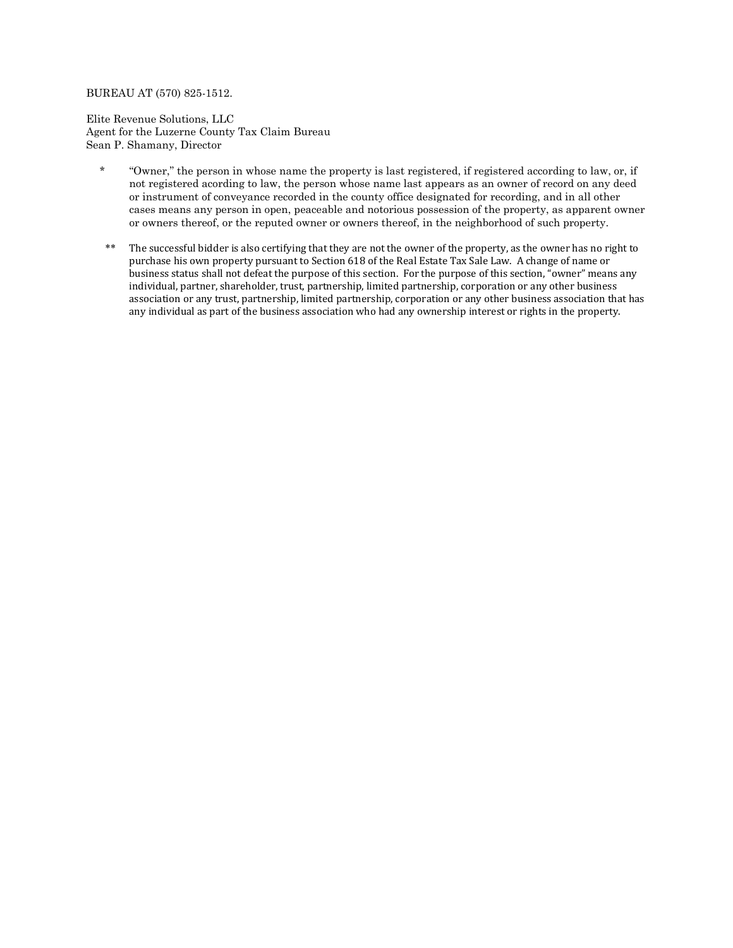#### BUREAU AT (570) 825-1512.

Elite Revenue Solutions, LLC Agent for the Luzerne County Tax Claim Bureau Sean P. Shamany, Director

- \* "Owner," the person in whose name the property is last registered, if registered according to law, or, if not registered acording to law, the person whose name last appears as an owner of record on any deed or instrument of conveyance recorded in the county office designated for recording, and in all other cases means any person in open, peaceable and notorious possession of the property, as apparent owner or owners thereof, or the reputed owner or owners thereof, in the neighborhood of such property.
- \*\* The successful bidder is also certifying that they are not the owner of the property, as the owner has no right to purchase his own property pursuant to Section 618 of the Real Estate Tax Sale Law. A change of name or business status shall not defeat the purpose of this section. For the purpose of this section, "owner" means any individual, partner, shareholder, trust, partnership, limited partnership, corporation or any other business association or any trust, partnership, limited partnership, corporation or any other business association that has any individual as part of the business association who had any ownership interest or rights in the property.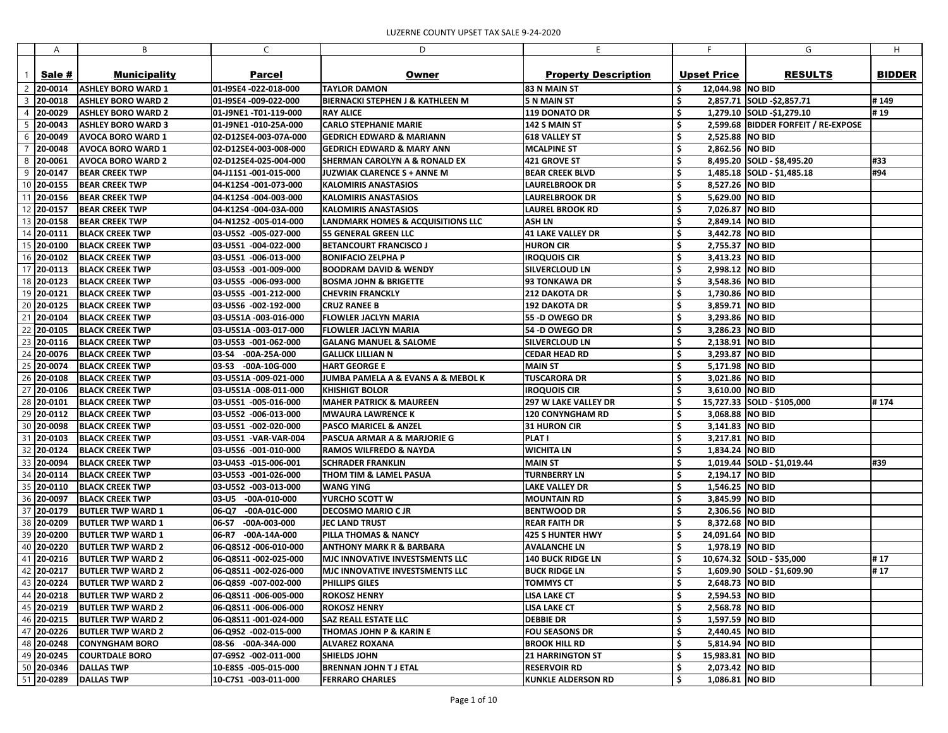|    | A             | В                         | C                       | D                                                 | E                           |                          | G                                   | H             |
|----|---------------|---------------------------|-------------------------|---------------------------------------------------|-----------------------------|--------------------------|-------------------------------------|---------------|
|    |               |                           |                         |                                                   |                             |                          |                                     |               |
|    | Sale #        | <b>Municipality</b>       | <b>Parcel</b>           | Owner                                             | <b>Property Description</b> | <b>Upset Price</b>       | <b>RESULTS</b>                      | <b>BIDDER</b> |
|    | 20-0014       | <b>ASHLEY BORO WARD 1</b> | 01-I9SE4 -022-018-000   | <b>TAYLOR DAMON</b>                               | 83 N MAIN ST                | 12,044.98   NO BID       |                                     |               |
|    | 20-0018       | <b>ASHLEY BORO WARD 2</b> | 01-I9SE4 -009-022-000   | <b>BIERNACKI STEPHEN J &amp; KATHLEEN M</b>       | <b>5 N MAIN ST</b>          | \$                       | 2,857.71 SOLD -\$2,857.71           | #149          |
|    | 20-0029       | <b>ASHLEY BORO WARD 2</b> | 01-J9NE1 -T01-119-000   | <b>RAY ALICE</b>                                  | 119 DONATO DR               | \$                       | 1,279.10 SOLD -\$1,279.10           | #19           |
|    | 20-0043       | <b>ASHLEY BORO WARD 3</b> | 01-J9NE1 -010-25A-000   | <b>CARLO STEPHANIE MARIE</b>                      | 142 S MAIN ST               | \$                       | 2,599.68 BIDDER FORFEIT / RE-EXPOSE |               |
| 6  | 20-0049       | <b>AVOCA BORO WARD 1</b>  | 02-D12SE4-003-07A-000   | <b>GEDRICH EDWARD &amp; MARIANN</b>               | <b>618 VALLEY ST</b>        | \$<br>2,525.88 NO BID    |                                     |               |
|    | 20-0048       | <b>AVOCA BORO WARD 1</b>  | 02-D12SE4-003-008-000   | <b>GEDRICH EDWARD &amp; MARY ANN</b>              | <b>MCALPINE ST</b>          | \$<br>2,862.56 NO BID    |                                     |               |
| 8  | 20-0061       | <b>AVOCA BORO WARD 2</b>  | 02-D12SE4-025-004-000   | <b>SHERMAN CAROLYN A &amp; RONALD EX</b>          | 421 GROVE ST                | \$                       | 8,495.20 SOLD - \$8,495.20          | #33           |
| 9  | 20-0147       | <b>BEAR CREEK TWP</b>     | 04-J11S1 -001-015-000   | <b>JUZWIAK CLARENCE S + ANNE M</b>                | <b>BEAR CREEK BLVD</b>      | \$                       | $1,485.18$ SOLD - \$1,485.18        | #94           |
|    | 20-0155       | <b>BEAR CREEK TWP</b>     | 04-K12S4 -001-073-000   | <b>KALOMIRIS ANASTASIOS</b>                       | <b>LAURELBROOK DR</b>       | \$<br>8,527.26 NO BID    |                                     |               |
|    | 20-0156       | <b>BEAR CREEK TWP</b>     | 04-K12S4 -004-003-000   | <b>KALOMIRIS ANASTASIOS</b>                       | <b>LAURELBROOK DR</b>       | \$<br>5,629.00 NO BID    |                                     |               |
|    | 20-0157       | <b>BEAR CREEK TWP</b>     | 04-K12S4 -004-03A-000   | <b>KALOMIRIS ANASTASIOS</b>                       | <b>LAUREL BROOK RD</b>      | \$<br>7,026.87 NO BID    |                                     |               |
|    | 20-0158       | <b>BEAR CREEK TWP</b>     | 04-N12S2-005-014-000    | <b>LANDMARK HOMES &amp; ACQUISITIONS LLC</b>      | <b>ASH LN</b>               | \$<br>2,849.14 NO BID    |                                     |               |
| 14 | $ 20 - 0111 $ | <b>BLACK CREEK TWP</b>    | 03-U5S2 -005-027-000    | <b>55 GENERAL GREEN LLC</b>                       | <b>41 LAKE VALLEY DR</b>    | \$<br>3,442.78 NO BID    |                                     |               |
| 15 | 20-0100       | <b>BLACK CREEK TWP</b>    | 03-U5S1 -004-022-000    | <b>BETANCOURT FRANCISCO J</b>                     | <b>HURON CIR</b>            | \$<br>2,755.37 NO BID    |                                     |               |
| 16 | 20-0102       | <b>BLACK CREEK TWP</b>    | 03-U5S1 -006-013-000    | <b>BONIFACIO ZELPHA P</b>                         | <b>IROQUOIS CIR</b>         | \$<br>3,413.23 NO BID    |                                     |               |
| 17 | $ 20-0113$    | <b>BLACK CREEK TWP</b>    | 03-U5S3 -001-009-000    | <b>BOODRAM DAVID &amp; WENDY</b>                  | <b>SILVERCLOUD LN</b>       | \$<br>2,998.12 NO BID    |                                     |               |
| 18 | $ 20-0123$    | <b>BLACK CREEK TWP</b>    | 03-U5S5 -006-093-000    | <b>BOSMA JOHN &amp; BRIGETTE</b>                  | <b>93 TONKAWA DR</b>        | \$<br>3,548.36 NO BID    |                                     |               |
| 19 | 20-0121       | <b>BLACK CREEK TWP</b>    | 03-U5S5 -001-212-000    | <b>CHEVRIN FRANCKLY</b>                           | 212 DAKOTA DR               | \$<br>1,730.86 NO BID    |                                     |               |
| 20 | 20-0125       | <b>BLACK CREEK TWP</b>    | 03-U5S6 -002-192-000    | <b>CRUZ RANEE B</b>                               | <b>192 DAKOTA DR</b>        | \$<br>3,859.71 NO BID    |                                     |               |
|    | 20-0104       | <b>BLACK CREEK TWP</b>    | 03-U5S1A -003-016-000   | <b>FLOWLER JACLYN MARIA</b>                       | 55 -D OWEGO DR              | \$<br>3,293.86 NO BID    |                                     |               |
| 22 | 20-0105       | <b>BLACK CREEK TWP</b>    | 03-U5S1A -003-017-000   | <b>FLOWLER JACLYN MARIA</b>                       | 54 -D OWEGO DR              | \$<br>3,286.23 NO BID    |                                     |               |
| 23 |               |                           |                         |                                                   |                             |                          |                                     |               |
|    | 20-0116       | <b>BLACK CREEK TWP</b>    | 03-U5S3 -001-062-000    | <b>GALANG MANUEL &amp; SALOME</b>                 | <b>SILVERCLOUD LN</b>       | \$<br>2,138.91 NO BID    |                                     |               |
| 24 | 20-0076       | <b>BLACK CREEK TWP</b>    | 03-S4 -00A-25A-000      | <b>GALLICK LILLIAN N</b>                          | <b>CEDAR HEAD RD</b>        | \$<br>3,293.87 NO BID    |                                     |               |
|    | 25 20-0074    | <b>BLACK CREEK TWP</b>    | 03-S3<br>$-00A-10G-000$ | <b>HART GEORGE E</b>                              | <b>MAIN ST</b>              | \$<br>5,171.98 NO BID    |                                     |               |
| 26 | 20-0108       | <b>BLACK CREEK TWP</b>    | 03-U5S1A -009-021-000   | <b>JUMBA PAMELA A &amp; EVANS A &amp; MEBOL K</b> | <b>TUSCARORA DR</b>         | \$<br>3,021.86 NO BID    |                                     |               |
|    | 20-0106       | <b>BLACK CREEK TWP</b>    | 03-U5S1A -008-011-000   | <b>KHISHIGT BOLOR</b>                             | <b>IROQUOIS CIR</b>         | \$<br>3,610.00 NO BID    |                                     |               |
| 28 | $ 20 - 0101 $ | <b>BLACK CREEK TWP</b>    | 03-U5S1 -005-016-000    | <b>MAHER PATRICK &amp; MAUREEN</b>                | <b>297 W LAKE VALLEY DR</b> | \$                       | 15,727.33 SOLD - \$105,000          | #174          |
| 29 | $[20-0112]$   | <b>BLACK CREEK TWP</b>    | 03-U5S2 -006-013-000    | MWAURA LAWRENCE K                                 | <b>120 CONYNGHAM RD</b>     | \$<br>3,068.88 NO BID    |                                     |               |
|    | 30 20-0098    | <b>BLACK CREEK TWP</b>    | 03-U5S1 -002-020-000    | <b>PASCO MARICEL &amp; ANZEL</b>                  | 31 HURON CIR                | 3,141.83 NO BID<br>.Ş    |                                     |               |
|    | 31 20-0103    | <b>BLACK CREEK TWP</b>    | 03-U5S1 -VAR-VAR-004    | <b>PASCUA ARMAR A &amp; MARJORIE G</b>            | <b>PLAT I</b>               | \$<br>3,217.81 NO BID    |                                     |               |
|    | 32 20-0124    | <b>BLACK CREEK TWP</b>    | 03-U5S6 -001-010-000    | <b>RAMOS WILFREDO &amp; NAYDA</b>                 | <b>WICHITA LN</b>           | \$<br>1,834.24 NO BID    |                                     |               |
|    | 33 20-0094    | <b>BLACK CREEK TWP</b>    | 03-U4S3 -015-006-001    | <b>SCHRADER FRANKLIN</b>                          | <b>MAIN ST</b>              | \$                       | $1,019.44$ SOLD - \$1,019.44        | #39           |
|    | 34 20-0114    | <b>BLACK CREEK TWP</b>    | 03-U5S3 -001-026-000    | THOM TIM & LAMEL PASUA                            | <b>TURNBERRY LN</b>         | \$<br>2,194.17   NO BID  |                                     |               |
|    | 35 20-0110    | BLACK CREEK TWP           | 03-U5S2 -003-013-000    | WANG YING                                         | <b>LAKE VALLEY DR</b>       | \$<br>1,546.25 NO BID    |                                     |               |
|    | 36 20-0097    | BLACK CREEK TWP           | 03-U5 -00A-010-000      | YURCHO SCOTT W                                    | <b>MOUNTAIN RD</b>          | \$,<br>3,845.99 NO BID   |                                     |               |
|    | 37 20-0179    | <b>BUTLER TWP WARD 1</b>  | 06-Q7 -00A-01C-000      | <b>DECOSMO MARIO C JR</b>                         | <b>BENTWOOD DR</b>          | \$<br>2,306.56 NO BID    |                                     |               |
|    | 38 20-0209    | <b>BUTLER TWP WARD 1</b>  | 06-S7 -00A-003-000      | <b>JEC LAND TRUST</b>                             | <b>REAR FAITH DR</b>        | 8,372.68 NO BID          |                                     |               |
|    | 39 20-0200    | <b>BUTLER TWP WARD 1</b>  | 06-R7 -00A-14A-000      | PILLA THOMAS & NANCY                              | <b>425 S HUNTER HWY</b>     | \$<br>24,091.64   NO BID |                                     |               |
|    | 40 20-0220    | <b>BUTLER TWP WARD 2</b>  | 06-Q8S12 -006-010-000   | <b>ANTHONY MARK R &amp; BARBARA</b>               | <b>AVALANCHE LN</b>         | \$<br>1,978.19   NO BID  |                                     |               |
|    | 41 20-0216    | <b>BUTLER TWP WARD 2</b>  | 06-Q8S11 -002-025-000   | <b>MJC INNOVATIVE INVESTSMENTS LLC</b>            | <b>140 BUCK RIDGE LN</b>    | \$                       | $10,674.32$ SOLD - \$35,000         | #17           |
|    | 42 20-0217    | <b>BUTLER TWP WARD 2</b>  | 06-Q8S11-002-026-000    | MJC INNOVATIVE INVESTSMENTS LLC                   | <b>BUCK RIDGE LN</b>        | \$                       | $1,609.90$ SOLD - \$1,609.90        | #17           |
|    | 43 20-0224    | <b>BUTLER TWP WARD 2</b>  | 06-Q8S9 -007-002-000    | PHILLIPS GILES                                    | <b>TOMMYS CT</b>            | \$<br>2,648.73 NO BID    |                                     |               |
|    | 44 20-0218    | BUTLER TWP WARD 2         | 06-Q8S11 -006-005-000   | <b>ROKOSZ HENRY</b>                               | <b>LISA LAKE CT</b>         | \$<br>2,594.53 NO BID    |                                     |               |
|    | 45 20-0219    | <b>BUTLER TWP WARD 2</b>  | 06-Q8S11-006-006-000    | <b>ROKOSZ HENRY</b>                               | <b>LISA LAKE CT</b>         | \$<br>2,568.78 NO BID    |                                     |               |
|    | 46 20-0215    | <b>BUTLER TWP WARD 2</b>  | 06-Q8S11 -001-024-000   | SAZ REALL ESTATE LLC                              | <b>DEBBIE DR</b>            | \$<br>1,597.59 NO BID    |                                     |               |
|    | 47 20-0226    | <b>BUTLER TWP WARD 2</b>  | 06-Q9S2 -002-015-000    | <b>THOMAS JOHN P &amp; KARIN E</b>                | <b>FOU SEASONS DR</b>       | \$<br>2,440.45 NO BID    |                                     |               |
|    | 48 20-0248    | <b>CONYNGHAM BORO</b>     | 08-S6 -00A-34A-000      | <b>ALVAREZ ROXANA</b>                             | <b>BROOK HILL RD</b>        | \$<br>5,814.94 NO BID    |                                     |               |
|    | 49 20-0245    | <b>COURTDALE BORO</b>     | 07-G9S2 -002-011-000    | <b>SHIELDS JOHN</b>                               | <b>21 HARRINGTON ST</b>     | \$<br>15,983.81   NO BID |                                     |               |
|    | 50 20-0346    | <b>DALLAS TWP</b>         | 10-E8S5 -005-015-000    | <b>BRENNAN JOHN T J ETAL</b>                      | <b>RESERVOIR RD</b>         | \$<br>2,073.42 NO BID    |                                     |               |
|    | 51 20-0289    | <b>DALLAS TWP</b>         | 10-C7S1 -003-011-000    | <b>FERRARO CHARLES</b>                            | <b>KUNKLE ALDERSON RD</b>   | \$<br>1,086.81 NO BID    |                                     |               |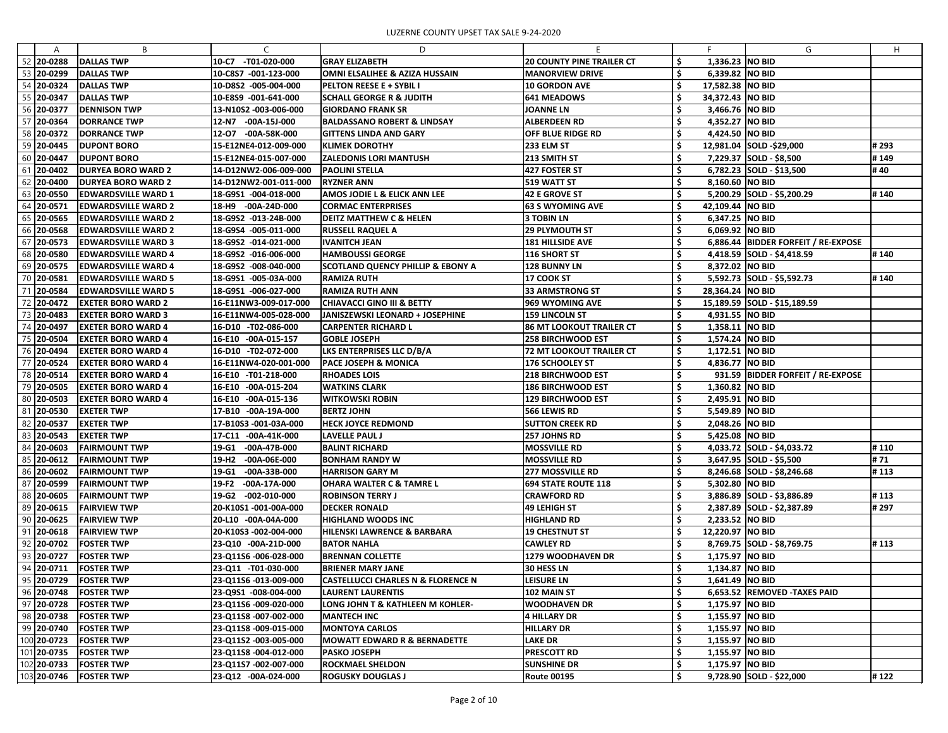|                | <sub>B</sub>               | C                     | D                                            |                                  |    |                    | G                                     | H    |
|----------------|----------------------------|-----------------------|----------------------------------------------|----------------------------------|----|--------------------|---------------------------------------|------|
| 52<br>20-0288  | <b>DALLAS TWP</b>          | -T01-020-000<br>10-C7 | <b>GRAY ELIZABETH</b>                        | <b>20 COUNTY PINE TRAILER CT</b> |    | 1,336.23 NO BID    |                                       |      |
| 53<br>20-0299  | DALLAS TWP                 | 10-C8S7 -001-123-000  | OMNI ELSALIHEE & AZIZA HUSSAIN               | <b>MANORVIEW DRIVE</b>           |    | 6,339.82 NO BID    |                                       |      |
| 54 20-0324     | <b>DALLAS TWP</b>          | 10-D8S2 -005-004-000  | <b>PELTON REESE E + SYBIL I</b>              | <b>10 GORDON AVE</b>             |    | 17,582.38   NO BID |                                       |      |
| 55 20-0347     | <b>DALLAS TWP</b>          | 10-E8S9 -001-641-000  | SCHALL GEORGE R & JUDITH                     | <b>641 MEADOWS</b>               |    | 34,372.43   NO BID |                                       |      |
| 56 20-0377     | <b>DENNISON TWP</b>        | 13-N10S2 -003-006-000 | <b>GIORDANO FRANK SR</b>                     | <b>JOANNE LN</b>                 |    | 3,466.76 NO BID    |                                       |      |
| 57 20-0364     | <b>DORRANCE TWP</b>        | 12-N7 -00A-15J-000    | BALDASSANO ROBERT & LINDSAY                  | <b>ALBERDEEN RD</b>              |    | 4,352.27 NO BID    |                                       |      |
| 58 20-0372     | <b>DORRANCE TWP</b>        | 12-07 -00A-58K-000    | <b>GITTENS LINDA AND GARY</b>                | <b>OFF BLUE RIDGE RD</b>         |    | 4,424.50 NO BID    |                                       |      |
| 59 20-0445     | <b>DUPONT BORO</b>         | 15-E12NE4-012-009-000 | <b>KLIMEK DOROTHY</b>                        | 233 ELM ST                       |    |                    | 12,981.04 SOLD -\$29,000              | #293 |
| 60 20-0447     | <b>DUPONT BORO</b>         | 15-E12NE4-015-007-000 | <b>ZALEDONIS LORI MANTUSH</b>                | 213 SMITH ST                     |    |                    | 7,229.37 SOLD - \$8,500               | #149 |
| 61<br>20-0402  | <b>DURYEA BORO WARD 2</b>  | 14-D12NW2-006-009-000 | <b>PAOLINI STELLA</b>                        | <b>427 FOSTER ST</b>             |    |                    | 6,782.23 SOLD - \$13,500              | #40  |
| 62<br>20-0400  | <b>DURYEA BORO WARD 2</b>  | 14-D12NW2-001-011-000 | <b>RYZNER ANN</b>                            | 519 WATT ST                      |    | 8,160.60 NO BID    |                                       |      |
| 63<br>20-0550  | <b>EDWARDSVILLE WARD 1</b> | 18-G9S1 -004-018-000  | AMOS JODIE L & ELICK ANN LEE                 | <b>42 E GROVE ST</b>             |    |                    | 5,200.29 SOLD - \$5,200.29            | #140 |
| 64<br>20-0571  | <b>EDWARDSVILLE WARD 2</b> | 18-H9 -00A-24D-000    | <b>CORMAC ENTERPRISES</b>                    | <b>63 S WYOMING AVE</b>          |    | 42,109.44 NO BID   |                                       |      |
| 65 20-0565     | <b>EDWARDSVILLE WARD 2</b> | 18-G9S2 -013-24B-000  | <b>DEITZ MATTHEW C &amp; HELEN</b>           | <b>3 TOBIN LN</b>                |    | 6,347.25 NO BID    |                                       |      |
| 66<br>20-0568  | <b>EDWARDSVILLE WARD 2</b> | 18-G9S4 -005-011-000  | <b>RUSSELL RAQUEL A</b>                      | <b>29 PLYMOUTH ST</b>            |    | 6,069.92 NO BID    |                                       |      |
| 67<br>20-0573  | <b>EDWARDSVILLE WARD 3</b> | 18-G9S2 -014-021-000  | IVANITCH JEAN                                | <b>181 HILLSIDE AVE</b>          |    |                    | 6,886.44   BIDDER FORFEIT / RE-EXPOSE |      |
| 68 20-0580     | <b>EDWARDSVILLE WARD 4</b> | 18-G9S2 -016-006-000  | <b>HAMBOUSSI GEORGE</b>                      | <b>116 SHORT ST</b>              |    |                    | 4,418.59 SOLD - \$4,418.59            | #140 |
| 69.<br>20-0575 | <b>EDWARDSVILLE WARD 4</b> | 18-G9S2 -008-040-000  | <b>SCOTLAND QUENCY PHILLIP &amp; EBONY A</b> | <b>128 BUNNY LN</b>              |    | 8,372.02 NO BID    |                                       |      |
| 70<br>20-0581  | <b>EDWARDSVILLE WARD 5</b> | 18-G9S1 -005-03A-000  | <b>RAMIZA RUTH</b>                           | 17 COOK ST                       |    |                    | 5,592.73 SOLD - \$5,592.73            | #140 |
| 71 20-0584     | <b>EDWARDSVILLE WARD 5</b> | 18-G9S1 -006-027-000  | RAMIZA RUTH ANN                              | <b>33 ARMSTRONG ST</b>           |    | 28,364.24   NO BID |                                       |      |
| 72<br>20-0472  | <b>EXETER BORO WARD 2</b>  | 16-E11NW3-009-017-000 | CHIAVACCI GINO III & BETTY                   | 969 WYOMING AVE                  |    |                    | 15,189.59 SOLD - \$15,189.59          |      |
| 73 20-0483     | <b>EXETER BORO WARD 3</b>  | 16-E11NW4-005-028-000 | <b>JANISZEWSKI LEONARD + JOSEPHINE</b>       | <b>159 LINCOLN ST</b>            |    | 4,931.55 NO BID    |                                       |      |
| 74<br>20-0497  | <b>EXETER BORO WARD 4</b>  | 16-D10 -T02-086-000   | <b>CARPENTER RICHARD L</b>                   | <b>86 MT LOOKOUT TRAILER CT</b>  |    | 1,358.11 NO BID    |                                       |      |
| 75<br>20-0504  | <b>EXETER BORO WARD 4</b>  | 16-E10 -00A-015-157   | <b>GOBLE JOSEPH</b>                          | <b>258 BIRCHWOOD EST</b>         |    | 1,574.24 NO BID    |                                       |      |
| 76 20-0494     | <b>EXETER BORO WARD 4</b>  | 16-D10 -T02-072-000   | LKS ENTERPRISES LLC D/B/A                    | <b>72 MT LOOKOUT TRAILER CT</b>  |    | 1,172.51 NO BID    |                                       |      |
| 77<br>20-0524  | <b>EXETER BORO WARD 4</b>  | 16-E11NW4-020-001-000 | PACE JOSEPH & MONICA                         | <b>176 SCHOOLEY ST</b>           |    | 4,836.77 NO BID    |                                       |      |
| 78 20-0514     | EXETER BORO WARD 4         | 16-E10 -T01-218-000   | <b>RHOADES LOIS</b>                          | <b>218 BIRCHWOOD EST</b>         |    |                    | 931.59 BIDDER FORFEIT / RE-EXPOSE     |      |
| 79 20-0505     | EXETER BORO WARD 4         | 16-E10 -00A-015-204   | <b>WATKINS CLARK</b>                         | <b>186 BIRCHWOOD EST</b>         |    | 1,360.82 NO BID    |                                       |      |
| 80<br>20-0503  | EXETER BORO WARD 4         | 16-E10 -00A-015-136   | <b>WITKOWSKI ROBIN</b>                       | <b>129 BIRCHWOOD EST</b>         |    | 2,495.91 NO BID    |                                       |      |
| 81 20-0530     | <b>EXETER TWP</b>          | 17-B10 -00A-19A-000   | <b>BERTZ JOHN</b>                            | 566 LEWIS RD                     |    | 5,549.89 NO BID    |                                       |      |
| 82 20-0537     | <b>EXETER TWP</b>          | 17-B10S3 -001-03A-000 | <b>HECK JOYCE REDMOND</b>                    | <b>SUTTON CREEK RD</b>           | 4  | 2,048.26 NO BID    |                                       |      |
| 83 20-0543     | <b>EXETER TWP</b>          | 17-C11 -00A-41K-000   | LAVELLE PAUL J                               | 257 JOHNS RD                     |    | 5,425.08 NO BID    |                                       |      |
| 84 20-0603     | <b>FAIRMOUNT TWP</b>       | 19-G1 -00A-47B-000    | <b>BALINT RICHARD</b>                        | <b>MOSSVILLE RD</b>              | S  |                    | 4,033.72 SOLD - \$4,033.72            | #110 |
| 85 20-0612     | <b>FAIRMOUNT TWP</b>       | 19-H2<br>-00A-06E-000 | BONHAM RANDY W                               | <b>MOSSVILLE RD</b>              |    |                    | 3,647.95 SOLD - \$5,500               | #71  |
| 86 20-0602     | <b>FAIRMOUNT TWP</b>       | 19-G1 -00A-33B-000    | HARRISON GARY M                              | <b>277 MOSSVILLE RD</b>          |    |                    | 8,246.68 SOLD - \$8,246.68            | #113 |
| 87 20-0599     | <b>FAIRMOUNT TWP</b>       | 19-F2 -00A-17A-000    | OHARA WALTER C & TAMRE L                     | <b>694 STATE ROUTE 118</b>       |    | 5,302.80 NO BID    |                                       |      |
| 88 20-0605     | <b>FAIRMOUNT TWP</b>       | 19-G2 -002-010-000    | <b>ROBINSON TERRY J</b>                      | <b>CRAWFORD RD</b>               | S  |                    | 3,886.89 SOLD - \$3,886.89            | #113 |
| 89 20-0615     | <b>FAIRVIEW TWP</b>        | 20-K10S1-001-00A-000  | <b>DECKER RONALD</b>                         | <b>49 LEHIGH ST</b>              |    |                    | 2,387.89 SOLD - \$2,387.89            | #297 |
| 90 20-0625     | <b>FAIRVIEW TWP</b>        | 20-L10 -00A-04A-000   | <b>HIGHLAND WOODS INC</b>                    | <b>HIGHLAND RD</b>               | \$ | 2,233.52 NO BID    |                                       |      |
| 91 20-0618     | <b>FAIRVIEW TWP</b>        | 20-K10S3 -002-004-000 | HILENSKI LAWRENCE & BARBARA                  | <b>19 CHESTNUT ST</b>            |    | 12,220.97   NO BID |                                       |      |
| 92 20-0702     | <b>FOSTER TWP</b>          | 23-Q10 -00A-21D-000   | <b>BATOR NAHLA</b>                           | <b>CAWLEY RD</b>                 |    |                    | 8,769.75 SOLD - \$8,769.75            | #113 |
| 93 20-0727     | <b>FOSTER TWP</b>          | 23-Q11S6 -006-028-000 | <b>BRENNAN COLLETTE</b>                      | <b>1279 WOODHAVEN DR</b>         |    | 1,175.97 NO BID    |                                       |      |
| 94 20-0711     | <b>FOSTER TWP</b>          | 23-Q11 -T01-030-000   | <b>BRIENER MARY JANE</b>                     | 30 HESS LN                       | S  | 1,134.87   NO BID  |                                       |      |
| 95 20-0729     | <b>FOSTER TWP</b>          | 23-Q11S6 -013-009-000 | CASTELLUCCI CHARLES N & FLORENCE N           | <b>LEISURE LN</b>                | S  | 1,641.49   NO BID  |                                       |      |
| 96 20-0748     | <b>FOSTER TWP</b>          | 23-Q9S1 -008-004-000  | <b>LAURENT LAURENTIS</b>                     | 102 MAIN ST                      |    |                    | 6,653.52 REMOVED - TAXES PAID         |      |
| 97 20-0728     | <b>FOSTER TWP</b>          | 23-Q11S6 -009-020-000 | <b>LONG JOHN T &amp; KATHLEEN M KOHLER-</b>  | <b>WOODHAVEN DR</b>              |    | 1,175.97 NO BID    |                                       |      |
| 98 20-0738     | <b>FOSTER TWP</b>          | 23-Q11S8 -007-002-000 | <b>MANTECH INC</b>                           | <b>4 HILLARY DR</b>              | Ş  | 1,155.97 NO BID    |                                       |      |
| 99 20-0740     | <b>FOSTER TWP</b>          | 23-Q11S8 -009-015-000 | MONTOYA CARLOS                               | <b>HILLARY DR</b>                |    | 1,155.97   NO BID  |                                       |      |
| 100 20-0723    | <b>FOSTER TWP</b>          | 23-Q11S2 -003-005-000 | <b>MOWATT EDWARD R &amp; BERNADETTE</b>      | <b>LAKE DR</b>                   |    | 1,155.97 NO BID    |                                       |      |
| 101 20-0735    | <b>FOSTER TWP</b>          | 23-Q11S8 -004-012-000 | PASKO JOSEPH                                 | <b>PRESCOTT RD</b>               | Ş  | 1,155.97   NO BID  |                                       |      |
| 102 20-0733    | <b>FOSTER TWP</b>          | 23-Q11S7 -002-007-000 | <b>ROCKMAEL SHELDON</b>                      | <b>SUNSHINE DR</b>               |    | 1,175.97 NO BID    |                                       |      |
| 103 20-0746    | <b>FOSTER TWP</b>          | 23-Q12 -00A-024-000   | <b>ROGUSKY DOUGLAS J</b>                     | <b>Route 00195</b>               | \$ |                    | 9,728.90 SOLD - \$22,000              | #122 |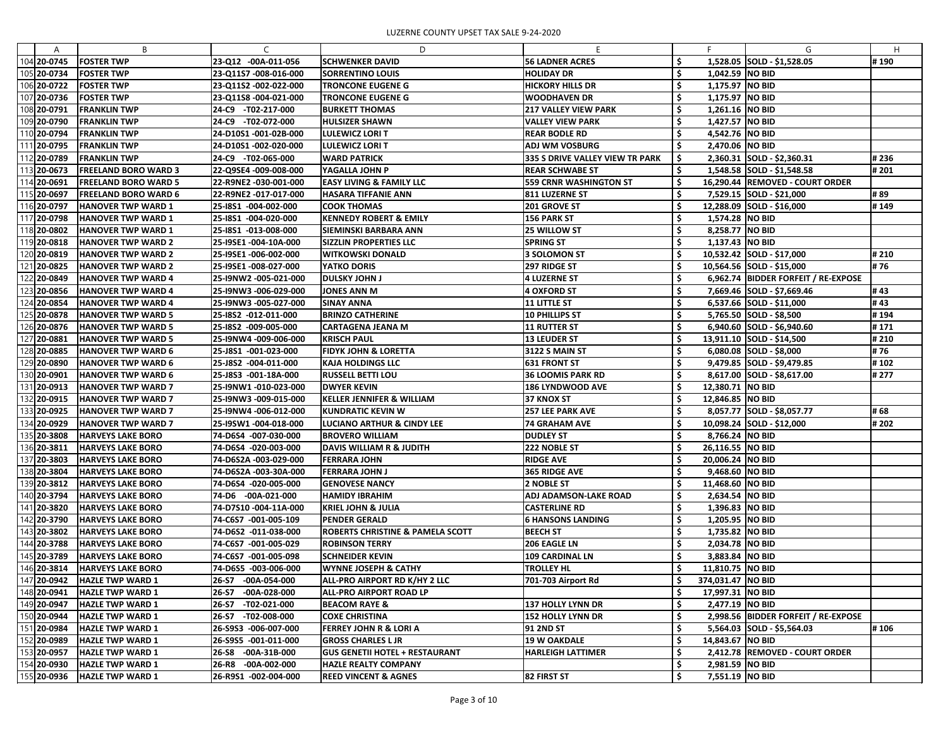| A           | B                           | C                       | D                                     |                                 |     |                     | G                                   | H     |
|-------------|-----------------------------|-------------------------|---------------------------------------|---------------------------------|-----|---------------------|-------------------------------------|-------|
| 104 20-0745 | <b>FOSTER TWP</b>           | 23-Q12 -00A-011-056     | <b>SCHWENKER DAVID</b>                | <b>56 LADNER ACRES</b>          |     |                     | 1,528.05 SOLD - \$1,528.05          | #190  |
| 105 20-0734 | <b>FOSTER TWP</b>           | 23-Q11S7 -008-016-000   | <b>SORRENTINO LOUIS</b>               | <b>HOLIDAY DR</b>               | S   | 1,042.59 NO BID     |                                     |       |
| 106 20-0722 | <b>FOSTER TWP</b>           | 23-Q11S2 -002-022-000   | <b>TRONCONE EUGENE G</b>              | <b>HICKORY HILLS DR</b>         |     | 1,175.97 NO BID     |                                     |       |
| 107 20-0736 | <b>FOSTER TWP</b>           | 23-Q11S8 -004-021-000   | <b>TRONCONE EUGENE G</b>              | <b>WOODHAVEN DR</b>             |     | 1,175.97 NO BID     |                                     |       |
| 108 20-0791 | <b>FRANKLIN TWP</b>         | 24-C9 -T02-217-000      | <b>BURKETT THOMAS</b>                 | <b>217 VALLEY VIEW PARK</b>     |     | 1,261.16 NO BID     |                                     |       |
| 109 20-0790 | <b>FRANKLIN TWP</b>         | 24-C9 -T02-072-000      | <b>HULSIZER SHAWN</b>                 | <b>VALLEY VIEW PARK</b>         |     | 1,427.57 NO BID     |                                     |       |
| 110 20-0794 | <b>FRANKLIN TWP</b>         | 24-D10S1-001-02B-000    | <b>LULEWICZ LORI T</b>                | <b>REAR BODLE RD</b>            |     | 4,542.76 NO BID     |                                     |       |
| 111 20-0795 | <b>FRANKLIN TWP</b>         | 24-D10S1-002-020-000    | <b>LULEWICZ LORI T</b>                | <b>ADJ WM VOSBURG</b>           |     | 2,470.06 NO BID     |                                     |       |
| 112 20-0789 | <b>FRANKLIN TWP</b>         | 24-C9 -T02-065-000      | <b>WARD PATRICK</b>                   | 335 S DRIVE VALLEY VIEW TR PARK |     |                     | $2,360.31$ SOLD - \$2,360.31        | #236  |
| 113 20-0673 | <b>FREELAND BORO WARD 3</b> | 22-Q9SE4 -009-008-000   | YAGALLA JOHN P                        | <b>REAR SCHWABE ST</b>          |     |                     | 1,548.58 SOLD - \$1,548.58          | # 201 |
| 114 20-0691 | <b>FREELAND BORO WARD 5</b> | 22-R9NE2 -030-001-000   | <b>EASY LIVING &amp; FAMILY LLC</b>   | <b>559 CRNR WASHINGTON ST</b>   |     |                     | 16,290.44 REMOVED - COURT ORDER     |       |
| 115 20-0697 | <b>FREELAND BORO WARD 6</b> | 22-R9NE2 -017-017-000   | <b>HASARA TIFFANIE ANN</b>            | <b>811 LUZERNE ST</b>           |     |                     | 7,529.15 SOLD - \$21,000            | #89   |
| 116 20-0797 | HANOVER TWP WARD 1          | 25-1851 -004-002-000    | <b>COOK THOMAS</b>                    | <b>201 GROVE ST</b>             |     |                     | 12,288.09 SOLD - \$16,000           | #149  |
| 117 20-0798 | <b>HANOVER TWP WARD 1</b>   | 25-18S1 -004-020-000    | <b>KENNEDY ROBERT &amp; EMILY</b>     | 156 PARK ST                     |     | 1,574.28 NO BID     |                                     |       |
| 118 20-0802 | <b>HANOVER TWP WARD 1</b>   | 25-18S1 -013-008-000    | <b>SIEMINSKI BARBARA ANN</b>          | <b>25 WILLOW ST</b>             |     | 8,258.77 NO BID     |                                     |       |
| 119 20-0818 | <b>HANOVER TWP WARD 2</b>   | 25-I9SE1 -004-10A-000   | <b>SIZZLIN PROPERTIES LLC</b>         | <b>SPRING ST</b>                |     | 1,137.43 NO BID     |                                     |       |
| 120 20-0819 | <b>HANOVER TWP WARD 2</b>   | 25-19SE1 -006-002-000   | <b>WITKOWSKI DONALD</b>               | 3 SOLOMON ST                    |     |                     | 10,532.42 SOLD - \$17,000           | #210  |
| 121 20-0825 | <b>HANOVER TWP WARD 2</b>   | 25-I9SE1-008-027-000    | YATKO DORIS                           | 297 RIDGE ST                    |     |                     | 10,564.56 SOLD - \$15,000           | #76   |
| 122 20-0849 | <b>HANOVER TWP WARD 4</b>   | 25-I9NW2 -005-021-000   | DULSKY JOHN J                         | 4 LUZERNE ST                    |     |                     | 6,962.74 BIDDER FORFEIT / RE-EXPOSE |       |
| 123 20-0856 | <b>HANOVER TWP WARD 4</b>   | 25-I9NW3 -006-029-000   | <b>JONES ANN M</b>                    | 4 OXFORD ST                     |     |                     | 7,669.46 SOLD - \$7,669.46          | # 43  |
| 124 20-0854 | <b>HANOVER TWP WARD 4</b>   | 25-I9NW3 -005-027-000   | <b>SINAY ANNA</b>                     | $ 11$ little st                 |     |                     | $6,537.66$ SOLD - \$11,000          | #43   |
| 125 20-0878 | <b>HANOVER TWP WARD 5</b>   | 25-I8S2 -012-011-000    | <b>BRINZO CATHERINE</b>               | 10 PHILLIPS ST                  |     |                     | 5,765.50 SOLD - \$8,500             | #194  |
| 126 20-0876 | <b>HANOVER TWP WARD 5</b>   | 25-18S2 -009-005-000    | <b>CARTAGENA JEANA M</b>              | <b>11 RUTTER ST</b>             |     |                     | 6,940.60 SOLD - \$6,940.60          | #171  |
| 127 20-0881 | <b>HANOVER TWP WARD 5</b>   | 25-I9NW4 -009-006-000   | <b>KRISCH PAUL</b>                    | <b>13 LEUDER ST</b>             |     |                     | 13,911.10 SOLD - \$14,500           | #210  |
| 128 20-0885 | <b>HANOVER TWP WARD 6</b>   | 25-J8S1 -001-023-000    | <b>FIDYK JOHN &amp; LORETTA</b>       | <b>3122 S MAIN ST</b>           |     |                     | $6,080.08$ SOLD - \$8,000           | #76   |
| 129 20-0890 | <b>HANOVER TWP WARD 6</b>   | 25-J8S2 -004-011-000    | <b>KAJA HOLDINGS LLC</b>              | <b>631 FRONT ST</b>             |     |                     | 9,479.85 SOLD - \$9,479.85          | #102  |
| 130 20-0901 | <b>HANOVER TWP WARD 6</b>   | 25-J8S3 -001-18A-000    | <b>RUSSELL BETTI LOU</b>              | <b>36 LOOMIS PARK RD</b>        |     |                     | 8,617.00 SOLD - \$8,617.00          | # 277 |
| 131 20-0913 | <b>HANOVER TWP WARD 7</b>   | 25-I9NW1 -010-023-000   | DWYER KEVIN                           | <b>186 LYNDWOOD AVE</b>         |     | 12,380.71   NO BID  |                                     |       |
| 132 20-0915 | <b>HANOVER TWP WARD 7</b>   | 25-I9NW3 -009-015-000   | <b>KELLER JENNIFER &amp; WILLIAM</b>  | 37 KNOX ST                      |     | 12,846.85   NO BID  |                                     |       |
| 133 20-0925 | <b>HANOVER TWP WARD 7</b>   | 25-I9NW4 -006-012-000   | KUNDRATIC KEVIN W                     | <b>257 LEE PARK AVE</b>         |     |                     | 8,057.77 SOLD - \$8,057.77          | # 68  |
| 134 20-0929 | <b>HANOVER TWP WARD 7</b>   | 25-I9SW1 -004-018-000   | <b>LUCIANO ARTHUR &amp; CINDY LEE</b> | <b>74 GRAHAM AVE</b>            |     |                     | 10,098.24 SOLD - \$12,000           | #202  |
|             |                             |                         |                                       |                                 |     |                     |                                     |       |
| 135 20-3808 | <b>HARVEYS LAKE BORO</b>    | 74-D6S4 -007-030-000    | <b>BROVERO WILLIAM</b>                | <b>DUDLEY ST</b>                |     | 8,766.24 NO BID     |                                     |       |
| 136 20-3811 | <b>HARVEYS LAKE BORO</b>    | 74-D6S4 -020-003-000    | DAVIS WILLIAM R & JUDITH              | 222 NOBLE ST                    |     | 26,116.55 NO BID    |                                     |       |
| 137 20-3803 | <b>HARVEYS LAKE BORO</b>    | 74-D6S2A-003-029-000    | <b>FERRARA JOHN</b>                   | <b>RIDGE AVE</b>                |     | 20,006.24 NO BID    |                                     |       |
| 138 20-3804 | <b>HARVEYS LAKE BORO</b>    | 74-D6S2A -003-30A-000   | FERRARA JOHN J                        | 365 RIDGE AVE                   |     | 9,468.60 NO BID     |                                     |       |
| 139 20-3812 | <b>HARVEYS LAKE BORO</b>    | 74-D6S4 -020-005-000    | <b>GENOVESE NANCY</b>                 | <b>2 NOBLE ST</b>               |     | 11,468.60   NO BID  |                                     |       |
| 140 20-3794 | <b>HARVEYS LAKE BORO</b>    | 74-D6 -00A-021-000      | <b>HAMIDY IBRAHIM</b>                 | <b>ADJ ADAMSON-LAKE ROAD</b>    |     | 2,634.54 NO BID     |                                     |       |
| 141 20-3820 | <b>HARVEYS LAKE BORO</b>    | 74-D7S10-004-11A-000    | <b>KRIEL JOHN &amp; JULIA</b>         | <b>CASTERLINE RD</b>            | \$, | 1,396.83 NO BID     |                                     |       |
| 142 20-3790 | <b>HARVEYS LAKE BORO</b>    | 74-C6S7 -001-005-109    | <b>PENDER GERALD</b>                  | <b>6 HANSONS LANDING</b>        |     | 1,205.95 NO BID     |                                     |       |
| 143 20-3802 | <b>HARVEYS LAKE BORO</b>    | 74-D6S2 -011-038-000    | ROBERTS CHRISTINE & PAMELA SCOTT      | <b>BEECH ST</b>                 |     | 1,735.82 NO BID     |                                     |       |
| 144 20-3788 | <b>HARVEYS LAKE BORO</b>    | 74-C6S7 -001-005-029    | <b>ROBINSON TERRY</b>                 | <b>206 EAGLE LN</b>             |     | 2,034.78 NO BID     |                                     |       |
| 145 20-3789 | <b>HARVEYS LAKE BORO</b>    | 74-C6S7 -001-005-098    | <b>SCHNEIDER KEVIN</b>                | <b>109 CARDINAL LN</b>          |     | 3,883.84 NO BID     |                                     |       |
| 146 20-3814 | <b>HARVEYS LAKE BORO</b>    | 74-D6S5 -003-006-000    | <b>WYNNE JOSEPH &amp; CATHY</b>       | <b>TROLLEY HL</b>               |     | 11,810.75 NO BID    |                                     |       |
| 147 20-0942 | <b>HAZLE TWP WARD 1</b>     | 26-S7 -00A-054-000      | ALL-PRO AIRPORT RD K/HY 2 LLC         | 701-703 Airport Rd              |     | 374,031.47   NO BID |                                     |       |
| 148 20-0941 | <b>HAZLE TWP WARD 1</b>     | $-00A-028-000$<br>26-S7 | ALL-PRO AIRPORT ROAD LP               |                                 |     | 17,997.31   NO BID  |                                     |       |
| 149 20-0947 | <b>HAZLE TWP WARD 1</b>     | 26-S7 -T02-021-000      | <b>BEACOM RAYE &amp;</b>              | <b>137 HOLLY LYNN DR</b>        |     | 2,477.19 NO BID     |                                     |       |
| 150 20-0944 | <b>HAZLE TWP WARD 1</b>     | 26-S7 -T02-008-000      | <b>COXE CHRISTINA</b>                 | <b>152 HOLLY LYNN DR</b>        | \$  |                     | 2,998.56 BIDDER FORFEIT / RE-EXPOSE |       |
| 151 20-0984 | <b>HAZLE TWP WARD 1</b>     | 26-S9S3 -006-007-000    | <b>FERREY JOHN R &amp; LORI A</b>     | 91 2ND ST                       |     |                     | $5,564.03$ SOLD - \$5,564.03        | #106  |
| 152 20-0989 | <b>HAZLE TWP WARD 1</b>     | 26-S9S5 -001-011-000    | <b>GROSS CHARLES L JR</b>             | <b>19 W OAKDALE</b>             |     | 14,843.67 NO BID    |                                     |       |
| 153 20-0957 | <b>HAZLE TWP WARD 1</b>     | 26-S8 -00A-31B-000      | <b>GUS GENETII HOTEL + RESTAURANT</b> | <b>HARLEIGH LATTIMER</b>        |     |                     | 2,412.78 REMOVED - COURT ORDER      |       |
| 154 20-0930 | <b>HAZLE TWP WARD 1</b>     | $-00A-002-000$<br>26-R8 | <b>HAZLE REALTY COMPANY</b>           |                                 | Ş,  | 2,981.59 NO BID     |                                     |       |
| 155 20-0936 | <b>HAZLE TWP WARD 1</b>     | 26-R9S1 -002-004-000    | <b>REED VINCENT &amp; AGNES</b>       | <b>82 FIRST ST</b>              | \$  | 7,551.19 NO BID     |                                     |       |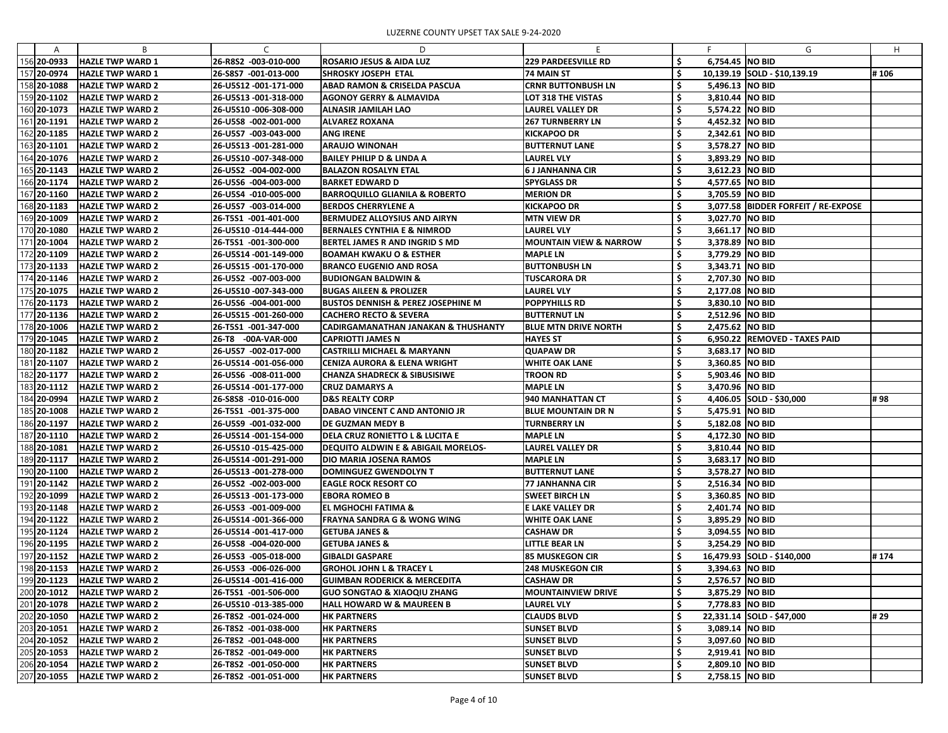| A             | B                       | $\mathcal{C}$         | D                                              | F                                 |     |                   | G                                   | H.   |
|---------------|-------------------------|-----------------------|------------------------------------------------|-----------------------------------|-----|-------------------|-------------------------------------|------|
| 156 20-0933   | <b>HAZLE TWP WARD 1</b> | 26-R8S2 -003-010-000  | <b>ROSARIO JESUS &amp; AIDA LUZ</b>            | <b>229 PARDEESVILLE RD</b>        |     | 6,754.45 NO BID   |                                     |      |
| 157 20-0974   | <b>HAZLE TWP WARD 1</b> | 26-S8S7 -001-013-000  | <b>SHROSKY JOSEPH ETAL</b>                     | <b>74 MAIN ST</b>                 |     |                   | 10,139.19 SOLD - \$10,139.19        | #106 |
| 158 20-1088   | <b>HAZLE TWP WARD 2</b> | 26-U5S12 -001-171-000 | <b>ABAD RAMON &amp; CRISELDA PASCUA</b>        | <b>CRNR BUTTONBUSH LN</b>         |     | 5,496.13 NO BID   |                                     |      |
| 159 20-1102   | <b>HAZLE TWP WARD 2</b> | 26-U5S13 -001-318-000 | <b>AGONOY GERRY &amp; ALMAVIDA</b>             | LOT 318 THE VISTAS                |     | 3,810.44 NO BID   |                                     |      |
| 160 20-1073   | <b>HAZLE TWP WARD 2</b> | 26-U5S10 -006-308-000 | <b>ALNASIR JAMILAH LAO</b>                     | <b>LAUREL VALLEY DR</b>           |     | 5,574.22 NO BID   |                                     |      |
| 161 20-1191   | <b>HAZLE TWP WARD 2</b> | 26-U5S8 -002-001-000  | <b>ALVAREZ ROXANA</b>                          | <b>267 TURNBERRY LN</b>           |     | 4,452.32 NO BID   |                                     |      |
| 162 20-1185   | <b>HAZLE TWP WARD 2</b> | 26-U5S7 -003-043-000  | <b>ANG IRENE</b>                               | <b>KICKAPOO DR</b>                |     | 2,342.61 NO BID   |                                     |      |
| 163 20-1101   | <b>HAZLE TWP WARD 2</b> | 26-U5S13 -001-281-000 | <b>ARAUJO WINONAH</b>                          | <b>BUTTERNUT LANE</b>             |     | 3,578.27 NO BID   |                                     |      |
| 164 20-1076   | <b>HAZLE TWP WARD 2</b> | 26-U5S10 -007-348-000 | <b>BAILEY PHILIP D &amp; LINDA A</b>           | <b>LAUREL VLY</b>                 |     | 3,893.29 NO BID   |                                     |      |
| 165 20-1143   | <b>HAZLE TWP WARD 2</b> | 26-U5S2 -004-002-000  | <b>BALAZON ROSALYN ETAL</b>                    | <b>6 J JANHANNA CIR</b>           |     | 3,612.23 NO BID   |                                     |      |
| 166 20-1174   | <b>HAZLE TWP WARD 2</b> | 26-U5S6 -004-003-000  | <b>BARKET EDWARD D</b>                         | <b>SPYGLASS DR</b>                |     | 4,577.65 NO BID   |                                     |      |
| 167 20-1160   | <b>HAZLE TWP WARD 2</b> | 26-U5S4 -010-005-000  | <b>BARROQUILLO GLIANILA &amp; ROBERTO</b>      | <b>MERION DR</b>                  |     | 3,705.59 NO BID   |                                     |      |
| 168 20-1183   | <b>HAZLE TWP WARD 2</b> | 26-U5S7 -003-014-000  | <b>BERDOS CHERRYLENE A</b>                     | <b>KICKAPOO DR</b>                |     |                   | 3,077.58 BIDDER FORFEIT / RE-EXPOSE |      |
| 169 20-1009   | <b>HAZLE TWP WARD 2</b> | 26-T5S1 -001-401-000  | <b>BERMUDEZ ALLOYSIUS AND AIRYN</b>            | <b>MTN VIEW DR</b>                |     | 3,027.70 NO BID   |                                     |      |
| 170 20-1080   | <b>HAZLE TWP WARD 2</b> | 26-U5S10 -014-444-000 | <b>BERNALES CYNTHIA E &amp; NIMROD</b>         | <b>LAUREL VLY</b>                 |     | 3,661.17 NO BID   |                                     |      |
| 171 20-1004   | <b>HAZLE TWP WARD 2</b> | 26-T5S1 -001-300-000  | BERTEL JAMES R AND INGRID S MD                 | <b>MOUNTAIN VIEW &amp; NARROW</b> |     | 3,378.89 NO BID   |                                     |      |
| 172 20-1109   | <b>HAZLE TWP WARD 2</b> | 26-U5S14 -001-149-000 | <b>BOAMAH KWAKU O &amp; ESTHER</b>             | <b>MAPLE LN</b>                   | \$, | 3,779.29 NO BID   |                                     |      |
| 173   20-1133 | <b>HAZLE TWP WARD 2</b> | 26-U5S15 -001-170-000 | <b>BRANCO EUGENIO AND ROSA</b>                 | <b>BUTTONBUSH LN</b>              |     | 3,343.71   NO BID |                                     |      |
| 174 20-1146   | <b>HAZLE TWP WARD 2</b> | 26-U5S2 -007-003-000  | <b>BUDIONGAN BALDWIN &amp;</b>                 | <b>TUSCARORA DR</b>               |     | 2,707.30 NO BID   |                                     |      |
| 175 20-1075   | <b>HAZLE TWP WARD 2</b> | 26-U5S10 -007-343-000 | <b>BUGAS AILEEN &amp; PROLIZER</b>             | <b>LAUREL VLY</b>                 |     | 2,177.08 NO BID   |                                     |      |
| 176 20-1173   | <b>HAZLE TWP WARD 2</b> | 26-U5S6 -004-001-000  | <b>BUSTOS DENNISH &amp; PEREZ JOSEPHINE M</b>  | <b>POPPYHILLS RD</b>              |     | 3,830.10 NO BID   |                                     |      |
| 177 20-1136   | <b>HAZLE TWP WARD 2</b> |                       | <b>CACHERO RECTO &amp; SEVERA</b>              | <b>BUTTERNUT LN</b>               |     | 2,512.96 NO BID   |                                     |      |
| 178 20-1006   | <b>HAZLE TWP WARD 2</b> | 26-T5S1 -001-347-000  | CADIRGAMANATHAN JANAKAN & THUSHANTY            | <b>BLUE MTN DRIVE NORTH</b>       |     | 2,475.62 NO BID   |                                     |      |
| 179 20-1045   | <b>HAZLE TWP WARD 2</b> | 26-T8 -00A-VAR-000    | <b>CAPRIOTTI JAMES N</b>                       | <b>HAYES ST</b>                   |     |                   | 6,950.22 REMOVED - TAXES PAID       |      |
| 180 20-1182   | <b>HAZLE TWP WARD 2</b> | 26-U5S7 -002-017-000  | <b>CASTRILLI MICHAEL &amp; MARYANN</b>         | <b>QUAPAW DR</b>                  |     | 3,683.17   NO BID |                                     |      |
| 181 20-1107   | <b>HAZLE TWP WARD 2</b> | 26-U5S14 -001-056-000 | <b>CENIZA AURORA &amp; ELENA WRIGHT</b>        | <b>WHITE OAK LANE</b>             |     | 3,360.85 NO BID   |                                     |      |
| 182 20-1177   | <b>HAZLE TWP WARD 2</b> | 26-U5S6 -008-011-000  | <b>CHANZA SHADRECK &amp; SIBUSISIWE</b>        | <b>TROON RD</b>                   |     | 5,903.46 NO BID   |                                     |      |
| 183 20-1112   | <b>HAZLE TWP WARD 2</b> | 26-U5S14 -001-177-000 | <b>CRUZ DAMARYS A</b>                          | <b>MAPLE LN</b>                   |     | 3,470.96 NO BID   |                                     |      |
| 184 20-0994   | <b>HAZLE TWP WARD 2</b> | 26-S8S8 -010-016-000  | <b>D&amp;S REALTY CORP</b>                     | 940 MANHATTAN CT                  |     |                   | 4,406.05 SOLD - \$30,000            | #98  |
| 185 20-1008   | <b>HAZLE TWP WARD 2</b> | 26-T5S1 -001-375-000  | DABAO VINCENT C AND ANTONIO JR                 | <b>BLUE MOUNTAIN DR N</b>         |     | 5,475.91 NO BID   |                                     |      |
| 186 20-1197   | <b>HAZLE TWP WARD 2</b> | 26-U5S9 -001-032-000  | DE GUZMAN MEDY B                               | <b>TURNBERRY LN</b>               | Ģ   | 5,182.08 NO BID   |                                     |      |
| 187 20-1110   | <b>HAZLE TWP WARD 2</b> | 26-U5S14 -001-154-000 | DELA CRUZ RONIETTO L & LUCITA E                | <b>MAPLE LN</b>                   | \$  | 4,172.30 NO BID   |                                     |      |
| 188 20-1081   | <b>HAZLE TWP WARD 2</b> | 26-U5S10 -015-425-000 | <b>DEQUITO ALDWIN E &amp; ABIGAIL MORELOS-</b> | LAUREL VALLEY DR                  | \$, | 3,810.44   NO BID |                                     |      |
| 189 20-1117   | <b>HAZLE TWP WARD 2</b> | 26-U5S14 -001-291-000 | <b>DIO MARIA JOSENA RAMOS</b>                  | <b>MAPLE LN</b>                   | S   | 3,683.17 NO BID   |                                     |      |
| 190 20-1100   | <b>HAZLE TWP WARD 2</b> | 26-U5S13 -001-278-000 | <b>DOMINGUEZ GWENDOLYN T</b>                   | <b>BUTTERNUT LANE</b>             |     | 3,578.27 NO BID   |                                     |      |
| 191 20-1142   | <b>HAZLE TWP WARD 2</b> | 26-U5S2 -002-003-000  | <b>EAGLE ROCK RESORT CO</b>                    | <b>77 JANHANNA CIR</b>            | \$  | 2,516.34 NO BID   |                                     |      |
| 192 20-1099   | <b>HAZLE TWP WARD 2</b> | 26-U5S13 -001-173-000 | <b>EBORA ROMEO B</b>                           | <b>SWEET BIRCH LN</b>             | S   | 3,360.85 NO BID   |                                     |      |
| 193 20-1148   | <b>HAZLE TWP WARD 2</b> | 26-U5S3 -001-009-000  | <b>EL MGHOCHI FATIMA &amp;</b>                 | <b>E LAKE VALLEY DR</b>           | \$  | 2,401.74 NO BID   |                                     |      |
| 194 20-1122   | <b>HAZLE TWP WARD 2</b> | 26-U5S14 -001-366-000 | <b>FRAYNA SANDRA G &amp; WONG WING</b>         | <b>WHITE OAK LANE</b>             | \$, | 3,895.29 NO BID   |                                     |      |
| 195 20-1124   | <b>HAZLE TWP WARD 2</b> | 26-U5S14 -001-417-000 | <b>GETUBA JANES &amp;</b>                      | <b>CASHAW DR</b>                  | \$, | 3,094.55 NO BID   |                                     |      |
| 196 20-1195   | <b>HAZLE TWP WARD 2</b> | 26-U5S8 -004-020-000  | <b>GETUBA JANES &amp;</b>                      | <b>LITTLE BEAR LN</b>             |     | 3,254.29 NO BID   |                                     |      |
| 197 20-1152   | <b>HAZLE TWP WARD 2</b> | 26-U5S3 -005-018-000  | <b>GIBALDI GASPARE</b>                         | <b>85 MUSKEGON CIR</b>            |     |                   | 16,479.93 SOLD - \$140,000          | #174 |
| 198 20-1153   | <b>HAZLE TWP WARD 2</b> | 26-U5S3 -006-026-000  | <b>GROHOL JOHN L &amp; TRACEY L</b>            | <b>248 MUSKEGON CIR</b>           | S   | 3,394.63 NO BID   |                                     |      |
| 199 20-1123   | <b>HAZLE TWP WARD 2</b> | 26-U5S14 -001-416-000 | GUIMBAN RODERICK & MERCEDITA                   | <b>CASHAW DR</b>                  | \$, | 2,576.57 NO BID   |                                     |      |
| 200 20-1012   | <b>HAZLE TWP WARD 2</b> | 26-T5S1 -001-506-000  | <b>GUO SONGTAO &amp; XIAOQIU ZHANG</b>         | <b>MOUNTAINVIEW DRIVE</b>         | \$, | 3,875.29 NO BID   |                                     |      |
| 201 20-1078   | <b>HAZLE TWP WARD 2</b> | 26-U5S10 -013-385-000 | <b>HALL HOWARD W &amp; MAUREEN B</b>           | <b>LAUREL VLY</b>                 |     | 7,778.83 NO BID   |                                     |      |
| 202 20-1050   | <b>HAZLE TWP WARD 2</b> | 26-T8S2 -001-024-000  | <b>HK PARTNERS</b>                             | <b>CLAUDS BLVD</b>                | \$  |                   | 22,331.14 SOLD - \$47,000           | # 29 |
| 203 20-1051   | <b>HAZLE TWP WARD 2</b> | 26-T8S2 -001-038-000  | <b>HK PARTNERS</b>                             | <b>SUNSET BLVD</b>                | S   | 3,089.14   NO BID |                                     |      |
| 204 20-1052   | <b>HAZLE TWP WARD 2</b> | 26-T8S2 -001-048-000  | <b>HK PARTNERS</b>                             | <b>SUNSET BLVD</b>                | \$  | 3,097.60 NO BID   |                                     |      |
| 205 20-1053   | <b>HAZLE TWP WARD 2</b> | 26-T8S2 -001-049-000  | <b>HK PARTNERS</b>                             | <b>SUNSET BLVD</b>                | \$, | 2,919.41 NO BID   |                                     |      |
| 206 20-1054   | <b>HAZLE TWP WARD 2</b> | 26-T8S2 -001-050-000  | <b>HK PARTNERS</b>                             | <b>SUNSET BLVD</b>                | \$  | 2,809.10 NO BID   |                                     |      |
| 207 20-1055   | <b>HAZLE TWP WARD 2</b> | 26-T8S2 -001-051-000  | <b>HK PARTNERS</b>                             | <b>SUNSET BLVD</b>                | \$  | 2,758.15 NO BID   |                                     |      |
|               |                         |                       |                                                |                                   |     |                   |                                     |      |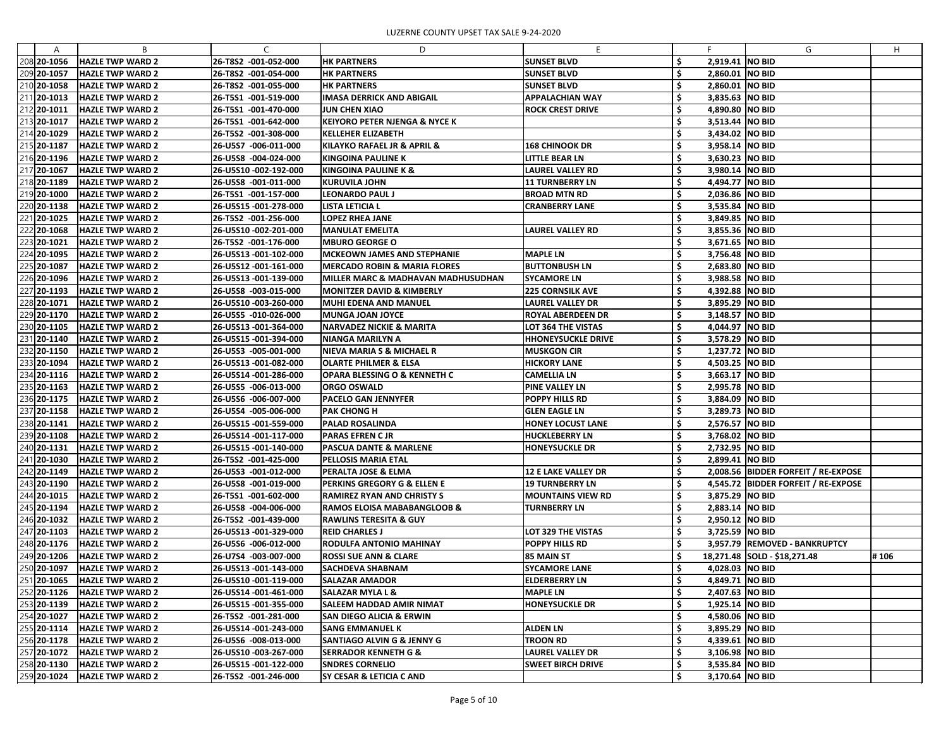| 208 20-1056<br><b>HAZLE TWP WARD 2</b><br>26-T8S2 -001-052-000<br><b>HK PARTNERS</b><br><b>SUNSET BLVD</b><br>\$,<br>2,919.41 NO BID<br>\$<br>2,860.01 NO BID<br>209 20-1057<br><b>HAZLE TWP WARD 2</b><br>26-T8S2 -001-054-000<br><b>HK PARTNERS</b><br><b>SUNSET BLVD</b><br>26-T8S2 -001-055-000<br>210 20-1058<br><b>HAZLE TWP WARD 2</b><br><b>HK PARTNERS</b><br><b>SUNSET BLVD</b><br>2,860.01 NO BID<br>211 20-1013<br>26-T5S1 -001-519-000<br>3,835.63 NO BID<br><b>HAZLE TWP WARD 2</b><br><b>IMASA DERRICK AND ABIGAIL</b><br><b>APPALACHIAN WAY</b><br>4,890.80 NO BID<br>212 20-1011<br><b>HAZLE TWP WARD 2</b><br>26-T5S1 -001-470-000<br><b>JUN CHEN XIAO</b><br><b>ROCK CREST DRIVE</b><br>213 20-1017<br>26-T5S1 -001-642-000<br><b>KEIYORO PETER NJENGA &amp; NYCE K</b><br>3,513.44 NO BID<br><b>HAZLE TWP WARD 2</b><br>214 20-1029<br>26-T5S2 -001-308-000<br>3,434.02 NO BID<br><b>HAZLE TWP WARD 2</b><br><b>KELLEHER ELIZABETH</b><br>215 20-1187<br>26-U5S7 -006-011-000<br><b>168 CHINOOK DR</b><br>3,958.14 NO BID<br><b>HAZLE TWP WARD 2</b><br>KILAYKO RAFAEL JR & APRIL &<br><b>HAZLE TWP WARD 2</b><br>26-U5S8 -004-024-000<br><b>KINGOINA PAULINE K</b><br><b>LITTLE BEAR LN</b><br>3,630.23 NO BID<br>216 20-1196<br>217 20-1067<br>3,980.14 NO BID<br><b>HAZLE TWP WARD 2</b><br>26-U5S10 -002-192-000<br><b>KINGOINA PAULINE K &amp;</b><br><b>LAUREL VALLEY RD</b><br>4,494.77 NO BID<br>218 20-1189<br><b>HAZLE TWP WARD 2</b><br>26-U5S8 -001-011-000<br><b>11 TURNBERRY LN</b><br><b>KURUVILA JOHN</b><br>219 20-1000<br>2,036.86 NO BID<br><b>HAZLE TWP WARD 2</b><br>26-T5S1 -001-157-000<br><b>LEONARDO PAUL J</b><br><b>BROAD MTN RD</b><br>220 20-1138<br>3,535.84 NO BID<br><b>HAZLE TWP WARD 2</b><br>26-U5S15 -001-278-000<br><b>LISTA LETICIA L</b><br><b>CRANBERRY LANE</b><br>221 20-1025<br>26-T5S2 -001-256-000<br>3,849.85 NO BID<br><b>HAZLE TWP WARD 2</b><br><b>LOPEZ RHEA JANE</b><br>222 20-1068<br>S<br>3,855.36 NO BID<br><b>HAZLE TWP WARD 2</b><br>26-U5S10 -002-201-000<br><b>MANULAT EMELITA</b><br>LAUREL VALLEY RD<br>223 20-1021<br>3,671.65 NO BID<br><b>HAZLE TWP WARD 2</b><br>26-T5S2 -001-176-000<br><b>MBURO GEORGE O</b><br><b>MAPLE LN</b><br>3,756.48 NO BID<br>224 20-1095<br><b>HAZLE TWP WARD 2</b><br>26-U5S13 -001-102-000<br><b>MCKEOWN JAMES AND STEPHANIE</b><br>225 20-1087<br><b>MERCADO ROBIN &amp; MARIA FLORES</b><br><b>BUTTONBUSH LN</b><br>2,683.80 NO BID<br><b>HAZLE TWP WARD 2</b><br>26-U5S12 -001-161-000<br>226 20-1096<br>3,988.58 NO BID<br><b>HAZLE TWP WARD 2</b><br>26-U5S13 -001-139-000<br>MILLER MARC & MADHAVAN MADHUSUDHAN<br><b>SYCAMORE LN</b><br>4,392.88 NO BID<br>227 20-1193<br><b>HAZLE TWP WARD 2</b><br>26-U5S8 -003-015-000<br>MONITZER DAVID & KIMBERLY<br><b>225 CORNSILK AVE</b><br>228 20-1071<br><b>LAUREL VALLEY DR</b><br>3,895.29 NO BID<br><b>HAZLE TWP WARD 2</b><br>26-U5S10 -003-260-000<br><b>MUHI EDENA AND MANUEL</b><br>229 20-1170<br>26-U5S5 -010-026-000<br><b>ROYAL ABERDEEN DR</b><br>3,148.57 NO BID<br><b>HAZLE TWP WARD 2</b><br><b>MUNGA JOAN JOYCE</b><br>230 20-1105<br>4,044.97 NO BID<br><b>HAZLE TWP WARD 2</b><br>26-U5S13 -001-364-000<br>INARVADEZ NICKIE & MARITA<br>LOT 364 THE VISTAS<br>3,578.29 NO BID<br>231 20-1140<br><b>HAZLE TWP WARD 2</b><br>26-U5S15 -001-394-000<br>NIANGA MARILYN A<br><b>HHONEYSUCKLE DRIVE</b><br>232 20-1150<br><b>NIEVA MARIA S &amp; MICHAEL R</b><br><b>HAZLE TWP WARD 2</b><br>26-U5S3 -005-001-000<br><b>MUSKGON CIR</b><br>1,237.72 NO BID<br>233 20-1094<br><b>HAZLE TWP WARD 2</b><br>OLARTE PHILMER & ELSA<br><b>HICKORY LANE</b><br>4,503.25 NO BID<br>26-U5S13 -001-082-000<br>234 20-1116<br>3,663.17 NO BID<br><b>HAZLE TWP WARD 2</b><br>26-U5S14 -001-286-000<br>OPARA BLESSING O & KENNETH C<br><b>CAMELLIA LN</b><br>2,995.78 NO BID<br>235 20-1163<br>26-U5S5 -006-013-000<br><b>PINE VALLEY LN</b><br><b>HAZLE TWP WARD 2</b><br> ORGO OSWALD<br>236 20-1175<br>26-U5S6 -006-007-000<br><b>POPPY HILLS RD</b><br>3,884.09 NO BID<br><b>HAZLE TWP WARD 2</b><br><b>PACELO GAN JENNYFER</b><br>237 20-1158<br><b>HAZLE TWP WARD 2</b><br>26-U5S4 -005-006-000<br><b>PAK CHONG H</b><br><b>GLEN EAGLE LN</b><br>3,289.73 NO BID<br>238 20-1141<br>¢<br><b>HAZLE TWP WARD 2</b><br>26-U5S15 -001-559-000<br>2,576.57 NO BID<br><b>PALAD ROSALINDA</b><br><b>HONEY LOCUST LANE</b><br>239 20-1108<br><b>HUCKLEBERRY LN</b><br>\$,<br>3,768.02 NO BID<br><b>HAZLE TWP WARD 2</b><br>26-U5S14 -001-117-000<br><b>PARAS EFREN C JR</b><br>240 20-1131<br><b>HAZLE TWP WARD 2</b><br>26-U5S15 -001-140-000<br><b>PASCUA DANTE &amp; MARLENE</b><br><b>HONEYSUCKLE DR</b><br>2,732.95 NO BID<br>241 20-1030<br>2,899.41   NO BID<br><b>HAZLE TWP WARD 2</b><br>26-T5S2 -001-425-000<br><b>PELLOSIS MARIA ETAL</b><br>242 20-1149<br>2,008.56 BIDDER FORFEIT / RE-EXPOSE<br><b>HAZLE TWP WARD 2</b><br>26-U5S3 -001-012-000<br>PERALTA JOSE & ELMA<br><b>12 E LAKE VALLEY DR</b><br>4,545.72 BIDDER FORFEIT / RE-EXPOSE<br>243 20-1190<br>26-U5S8 -001-019-000<br><b>PERKINS GREGORY G &amp; ELLEN E</b><br><b>19 TURNBERRY LN</b><br><b>HAZLE TWP WARD 2</b><br>244 20-1015<br>3,875.29 NO BID<br><b>HAZLE TWP WARD 2</b><br>26-T5S1 -001-602-000<br><b>RAMIREZ RYAN AND CHRISTY S</b><br><b>MOUNTAINS VIEW RD</b><br>Ş<br>245 20-1194<br>.\$<br>2,883.14 NO BID<br><b>HAZLE TWP WARD 2</b><br>26-U5S8 -004-006-000<br>RAMOS ELOISA MABABANGLOOB &<br><b>TURNBERRY LN</b><br>246 20-1032<br><b>HAZLE TWP WARD 2</b><br>26-T5S2 -001-439-000<br><b>RAWLINS TERESITA &amp; GUY</b><br>Ş<br>2,950.12 NO BID<br>247 20-1103<br><b>HAZLE TWP WARD 2</b><br>26-U5S13 -001-329-000<br>LOT 329 THE VISTAS<br>3,725.59 NO BID<br><b>REID CHARLES J</b><br>248 20-1176<br><b>HAZLE TWP WARD 2</b><br>26-U5S6 -006-012-000<br><b>RODULFA ANTONIO MAHINAY</b><br><b>POPPY HILLS RD</b><br>3,957.79 REMOVED - BANKRUPTCY<br>249 20-1206<br>18,271.48 SOLD - \$18,271.48<br>#106<br><b>HAZLE TWP WARD 2</b><br>26-U7S4 -003-007-000<br>ROSSI SUE ANN & CLARE<br>85 MAIN ST<br>250 20-1097<br><b>SYCAMORE LANE</b><br>4,028.03 NO BID<br><b>HAZLE TWP WARD 2</b><br>26-U5S13 -001-143-000<br> SACHDEVA SHABNAM<br>S<br>251 20-1065<br><b>HAZLE TWP WARD 2</b><br>26-U5S10 -001-119-000<br><b>SALAZAR AMADOR</b><br><b>ELDERBERRY LN</b><br>4,849.71 NO BID<br>252 20-1126<br><b>MAPLE LN</b><br>Ş<br>2,407.63 NO BID<br><b>HAZLE TWP WARD 2</b><br>26-U5S14 -001-461-000<br><b>SALAZAR MYLA L &amp;</b><br>253 20-1139<br>1,925.14 NO BID<br><b>HAZLE TWP WARD 2</b><br>26-U5S15 -001-355-000<br><b>SALEEM HADDAD AMIR NIMAT</b><br><b>HONEYSUCKLE DR</b><br>4,580.06 NO BID<br>254 20-1027<br><b>HAZLE TWP WARD 2</b><br>26-T5S2 -001-281-000<br><b>SAN DIEGO ALICIA &amp; ERWIN</b><br>Ş<br>255 20-1114<br><b>SANG EMMANUEL K</b><br><b>ALDEN LN</b><br>3,895.29 NO BID<br><b>HAZLE TWP WARD 2</b><br>26-U5S14 -001-243-000<br>256 20-1178<br><b>TROON RD</b><br>4,339.61 NO BID<br><b>HAZLE TWP WARD 2</b><br>26-U5S6 -008-013-000<br>SANTIAGO ALVIN G & JENNY G<br>257 20-1072<br><b>SERRADOR KENNETH G &amp;</b><br><b>LAUREL VALLEY DR</b><br>Ş<br>3,106.98 NO BID<br><b>HAZLE TWP WARD 2</b><br>26-U5S10 -003-267-000 | A | B | C | D | E. | F. | G | H |
|-----------------------------------------------------------------------------------------------------------------------------------------------------------------------------------------------------------------------------------------------------------------------------------------------------------------------------------------------------------------------------------------------------------------------------------------------------------------------------------------------------------------------------------------------------------------------------------------------------------------------------------------------------------------------------------------------------------------------------------------------------------------------------------------------------------------------------------------------------------------------------------------------------------------------------------------------------------------------------------------------------------------------------------------------------------------------------------------------------------------------------------------------------------------------------------------------------------------------------------------------------------------------------------------------------------------------------------------------------------------------------------------------------------------------------------------------------------------------------------------------------------------------------------------------------------------------------------------------------------------------------------------------------------------------------------------------------------------------------------------------------------------------------------------------------------------------------------------------------------------------------------------------------------------------------------------------------------------------------------------------------------------------------------------------------------------------------------------------------------------------------------------------------------------------------------------------------------------------------------------------------------------------------------------------------------------------------------------------------------------------------------------------------------------------------------------------------------------------------------------------------------------------------------------------------------------------------------------------------------------------------------------------------------------------------------------------------------------------------------------------------------------------------------------------------------------------------------------------------------------------------------------------------------------------------------------------------------------------------------------------------------------------------------------------------------------------------------------------------------------------------------------------------------------------------------------------------------------------------------------------------------------------------------------------------------------------------------------------------------------------------------------------------------------------------------------------------------------------------------------------------------------------------------------------------------------------------------------------------------------------------------------------------------------------------------------------------------------------------------------------------------------------------------------------------------------------------------------------------------------------------------------------------------------------------------------------------------------------------------------------------------------------------------------------------------------------------------------------------------------------------------------------------------------------------------------------------------------------------------------------------------------------------------------------------------------------------------------------------------------------------------------------------------------------------------------------------------------------------------------------------------------------------------------------------------------------------------------------------------------------------------------------------------------------------------------------------------------------------------------------------------------------------------------------------------------------------------------------------------------------------------------------------------------------------------------------------------------------------------------------------------------------------------------------------------------------------------------------------------------------------------------------------------------------------------------------------------------------------------------------------------------------------------------------------------------------------------------------------------------------------------------------------------------------------------------------------------------------------------------------------------------------------------------------------------------------------------------------------------------------------------------------------------------------------------------------------------------------------------------------------------------------------------------------------------------------------------------------------------------------------------------------------------------------------------------------------------------------------------------------------------------------------------------------------------------------------------------------------------------------------------------------------------------------------------------------------------------------------------------------------------------------------------------------------------------------------------------------------------------------------------------------------------------------------------------------------------------------------------------------------------------------------------------------------------------------------------------------------------------------------------------------------------------------------------------------------------------------------------------------------------------------------------------------------------------------------------------------------------------------------------------------------------------------------------------------------------------------------------------------------------------------------------------------------------------------------------------------------------------------------------------------------------------------------------------------------------------|---|---|---|---|----|----|---|---|
|                                                                                                                                                                                                                                                                                                                                                                                                                                                                                                                                                                                                                                                                                                                                                                                                                                                                                                                                                                                                                                                                                                                                                                                                                                                                                                                                                                                                                                                                                                                                                                                                                                                                                                                                                                                                                                                                                                                                                                                                                                                                                                                                                                                                                                                                                                                                                                                                                                                                                                                                                                                                                                                                                                                                                                                                                                                                                                                                                                                                                                                                                                                                                                                                                                                                                                                                                                                                                                                                                                                                                                                                                                                                                                                                                                                                                                                                                                                                                                                                                                                                                                                                                                                                                                                                                                                                                                                                                                                                                                                                                                                                                                                                                                                                                                                                                                                                                                                                                                                                                                                                                                                                                                                                                                                                                                                                                                                                                                                                                                                                                                                                                                                                                                                                                                                                                                                                                                                                                                                                                                                                                                                                                                                                                                                                                                                                                                                                                                                                                                                                                                                                                                                                                                                                                                                                                                                                                                                                                                                                                                                                                                                                                                                                                 |   |   |   |   |    |    |   |   |
|                                                                                                                                                                                                                                                                                                                                                                                                                                                                                                                                                                                                                                                                                                                                                                                                                                                                                                                                                                                                                                                                                                                                                                                                                                                                                                                                                                                                                                                                                                                                                                                                                                                                                                                                                                                                                                                                                                                                                                                                                                                                                                                                                                                                                                                                                                                                                                                                                                                                                                                                                                                                                                                                                                                                                                                                                                                                                                                                                                                                                                                                                                                                                                                                                                                                                                                                                                                                                                                                                                                                                                                                                                                                                                                                                                                                                                                                                                                                                                                                                                                                                                                                                                                                                                                                                                                                                                                                                                                                                                                                                                                                                                                                                                                                                                                                                                                                                                                                                                                                                                                                                                                                                                                                                                                                                                                                                                                                                                                                                                                                                                                                                                                                                                                                                                                                                                                                                                                                                                                                                                                                                                                                                                                                                                                                                                                                                                                                                                                                                                                                                                                                                                                                                                                                                                                                                                                                                                                                                                                                                                                                                                                                                                                                                 |   |   |   |   |    |    |   |   |
|                                                                                                                                                                                                                                                                                                                                                                                                                                                                                                                                                                                                                                                                                                                                                                                                                                                                                                                                                                                                                                                                                                                                                                                                                                                                                                                                                                                                                                                                                                                                                                                                                                                                                                                                                                                                                                                                                                                                                                                                                                                                                                                                                                                                                                                                                                                                                                                                                                                                                                                                                                                                                                                                                                                                                                                                                                                                                                                                                                                                                                                                                                                                                                                                                                                                                                                                                                                                                                                                                                                                                                                                                                                                                                                                                                                                                                                                                                                                                                                                                                                                                                                                                                                                                                                                                                                                                                                                                                                                                                                                                                                                                                                                                                                                                                                                                                                                                                                                                                                                                                                                                                                                                                                                                                                                                                                                                                                                                                                                                                                                                                                                                                                                                                                                                                                                                                                                                                                                                                                                                                                                                                                                                                                                                                                                                                                                                                                                                                                                                                                                                                                                                                                                                                                                                                                                                                                                                                                                                                                                                                                                                                                                                                                                                 |   |   |   |   |    |    |   |   |
|                                                                                                                                                                                                                                                                                                                                                                                                                                                                                                                                                                                                                                                                                                                                                                                                                                                                                                                                                                                                                                                                                                                                                                                                                                                                                                                                                                                                                                                                                                                                                                                                                                                                                                                                                                                                                                                                                                                                                                                                                                                                                                                                                                                                                                                                                                                                                                                                                                                                                                                                                                                                                                                                                                                                                                                                                                                                                                                                                                                                                                                                                                                                                                                                                                                                                                                                                                                                                                                                                                                                                                                                                                                                                                                                                                                                                                                                                                                                                                                                                                                                                                                                                                                                                                                                                                                                                                                                                                                                                                                                                                                                                                                                                                                                                                                                                                                                                                                                                                                                                                                                                                                                                                                                                                                                                                                                                                                                                                                                                                                                                                                                                                                                                                                                                                                                                                                                                                                                                                                                                                                                                                                                                                                                                                                                                                                                                                                                                                                                                                                                                                                                                                                                                                                                                                                                                                                                                                                                                                                                                                                                                                                                                                                                                 |   |   |   |   |    |    |   |   |
|                                                                                                                                                                                                                                                                                                                                                                                                                                                                                                                                                                                                                                                                                                                                                                                                                                                                                                                                                                                                                                                                                                                                                                                                                                                                                                                                                                                                                                                                                                                                                                                                                                                                                                                                                                                                                                                                                                                                                                                                                                                                                                                                                                                                                                                                                                                                                                                                                                                                                                                                                                                                                                                                                                                                                                                                                                                                                                                                                                                                                                                                                                                                                                                                                                                                                                                                                                                                                                                                                                                                                                                                                                                                                                                                                                                                                                                                                                                                                                                                                                                                                                                                                                                                                                                                                                                                                                                                                                                                                                                                                                                                                                                                                                                                                                                                                                                                                                                                                                                                                                                                                                                                                                                                                                                                                                                                                                                                                                                                                                                                                                                                                                                                                                                                                                                                                                                                                                                                                                                                                                                                                                                                                                                                                                                                                                                                                                                                                                                                                                                                                                                                                                                                                                                                                                                                                                                                                                                                                                                                                                                                                                                                                                                                                 |   |   |   |   |    |    |   |   |
|                                                                                                                                                                                                                                                                                                                                                                                                                                                                                                                                                                                                                                                                                                                                                                                                                                                                                                                                                                                                                                                                                                                                                                                                                                                                                                                                                                                                                                                                                                                                                                                                                                                                                                                                                                                                                                                                                                                                                                                                                                                                                                                                                                                                                                                                                                                                                                                                                                                                                                                                                                                                                                                                                                                                                                                                                                                                                                                                                                                                                                                                                                                                                                                                                                                                                                                                                                                                                                                                                                                                                                                                                                                                                                                                                                                                                                                                                                                                                                                                                                                                                                                                                                                                                                                                                                                                                                                                                                                                                                                                                                                                                                                                                                                                                                                                                                                                                                                                                                                                                                                                                                                                                                                                                                                                                                                                                                                                                                                                                                                                                                                                                                                                                                                                                                                                                                                                                                                                                                                                                                                                                                                                                                                                                                                                                                                                                                                                                                                                                                                                                                                                                                                                                                                                                                                                                                                                                                                                                                                                                                                                                                                                                                                                                 |   |   |   |   |    |    |   |   |
|                                                                                                                                                                                                                                                                                                                                                                                                                                                                                                                                                                                                                                                                                                                                                                                                                                                                                                                                                                                                                                                                                                                                                                                                                                                                                                                                                                                                                                                                                                                                                                                                                                                                                                                                                                                                                                                                                                                                                                                                                                                                                                                                                                                                                                                                                                                                                                                                                                                                                                                                                                                                                                                                                                                                                                                                                                                                                                                                                                                                                                                                                                                                                                                                                                                                                                                                                                                                                                                                                                                                                                                                                                                                                                                                                                                                                                                                                                                                                                                                                                                                                                                                                                                                                                                                                                                                                                                                                                                                                                                                                                                                                                                                                                                                                                                                                                                                                                                                                                                                                                                                                                                                                                                                                                                                                                                                                                                                                                                                                                                                                                                                                                                                                                                                                                                                                                                                                                                                                                                                                                                                                                                                                                                                                                                                                                                                                                                                                                                                                                                                                                                                                                                                                                                                                                                                                                                                                                                                                                                                                                                                                                                                                                                                                 |   |   |   |   |    |    |   |   |
|                                                                                                                                                                                                                                                                                                                                                                                                                                                                                                                                                                                                                                                                                                                                                                                                                                                                                                                                                                                                                                                                                                                                                                                                                                                                                                                                                                                                                                                                                                                                                                                                                                                                                                                                                                                                                                                                                                                                                                                                                                                                                                                                                                                                                                                                                                                                                                                                                                                                                                                                                                                                                                                                                                                                                                                                                                                                                                                                                                                                                                                                                                                                                                                                                                                                                                                                                                                                                                                                                                                                                                                                                                                                                                                                                                                                                                                                                                                                                                                                                                                                                                                                                                                                                                                                                                                                                                                                                                                                                                                                                                                                                                                                                                                                                                                                                                                                                                                                                                                                                                                                                                                                                                                                                                                                                                                                                                                                                                                                                                                                                                                                                                                                                                                                                                                                                                                                                                                                                                                                                                                                                                                                                                                                                                                                                                                                                                                                                                                                                                                                                                                                                                                                                                                                                                                                                                                                                                                                                                                                                                                                                                                                                                                                                 |   |   |   |   |    |    |   |   |
|                                                                                                                                                                                                                                                                                                                                                                                                                                                                                                                                                                                                                                                                                                                                                                                                                                                                                                                                                                                                                                                                                                                                                                                                                                                                                                                                                                                                                                                                                                                                                                                                                                                                                                                                                                                                                                                                                                                                                                                                                                                                                                                                                                                                                                                                                                                                                                                                                                                                                                                                                                                                                                                                                                                                                                                                                                                                                                                                                                                                                                                                                                                                                                                                                                                                                                                                                                                                                                                                                                                                                                                                                                                                                                                                                                                                                                                                                                                                                                                                                                                                                                                                                                                                                                                                                                                                                                                                                                                                                                                                                                                                                                                                                                                                                                                                                                                                                                                                                                                                                                                                                                                                                                                                                                                                                                                                                                                                                                                                                                                                                                                                                                                                                                                                                                                                                                                                                                                                                                                                                                                                                                                                                                                                                                                                                                                                                                                                                                                                                                                                                                                                                                                                                                                                                                                                                                                                                                                                                                                                                                                                                                                                                                                                                 |   |   |   |   |    |    |   |   |
|                                                                                                                                                                                                                                                                                                                                                                                                                                                                                                                                                                                                                                                                                                                                                                                                                                                                                                                                                                                                                                                                                                                                                                                                                                                                                                                                                                                                                                                                                                                                                                                                                                                                                                                                                                                                                                                                                                                                                                                                                                                                                                                                                                                                                                                                                                                                                                                                                                                                                                                                                                                                                                                                                                                                                                                                                                                                                                                                                                                                                                                                                                                                                                                                                                                                                                                                                                                                                                                                                                                                                                                                                                                                                                                                                                                                                                                                                                                                                                                                                                                                                                                                                                                                                                                                                                                                                                                                                                                                                                                                                                                                                                                                                                                                                                                                                                                                                                                                                                                                                                                                                                                                                                                                                                                                                                                                                                                                                                                                                                                                                                                                                                                                                                                                                                                                                                                                                                                                                                                                                                                                                                                                                                                                                                                                                                                                                                                                                                                                                                                                                                                                                                                                                                                                                                                                                                                                                                                                                                                                                                                                                                                                                                                                                 |   |   |   |   |    |    |   |   |
|                                                                                                                                                                                                                                                                                                                                                                                                                                                                                                                                                                                                                                                                                                                                                                                                                                                                                                                                                                                                                                                                                                                                                                                                                                                                                                                                                                                                                                                                                                                                                                                                                                                                                                                                                                                                                                                                                                                                                                                                                                                                                                                                                                                                                                                                                                                                                                                                                                                                                                                                                                                                                                                                                                                                                                                                                                                                                                                                                                                                                                                                                                                                                                                                                                                                                                                                                                                                                                                                                                                                                                                                                                                                                                                                                                                                                                                                                                                                                                                                                                                                                                                                                                                                                                                                                                                                                                                                                                                                                                                                                                                                                                                                                                                                                                                                                                                                                                                                                                                                                                                                                                                                                                                                                                                                                                                                                                                                                                                                                                                                                                                                                                                                                                                                                                                                                                                                                                                                                                                                                                                                                                                                                                                                                                                                                                                                                                                                                                                                                                                                                                                                                                                                                                                                                                                                                                                                                                                                                                                                                                                                                                                                                                                                                 |   |   |   |   |    |    |   |   |
|                                                                                                                                                                                                                                                                                                                                                                                                                                                                                                                                                                                                                                                                                                                                                                                                                                                                                                                                                                                                                                                                                                                                                                                                                                                                                                                                                                                                                                                                                                                                                                                                                                                                                                                                                                                                                                                                                                                                                                                                                                                                                                                                                                                                                                                                                                                                                                                                                                                                                                                                                                                                                                                                                                                                                                                                                                                                                                                                                                                                                                                                                                                                                                                                                                                                                                                                                                                                                                                                                                                                                                                                                                                                                                                                                                                                                                                                                                                                                                                                                                                                                                                                                                                                                                                                                                                                                                                                                                                                                                                                                                                                                                                                                                                                                                                                                                                                                                                                                                                                                                                                                                                                                                                                                                                                                                                                                                                                                                                                                                                                                                                                                                                                                                                                                                                                                                                                                                                                                                                                                                                                                                                                                                                                                                                                                                                                                                                                                                                                                                                                                                                                                                                                                                                                                                                                                                                                                                                                                                                                                                                                                                                                                                                                                 |   |   |   |   |    |    |   |   |
|                                                                                                                                                                                                                                                                                                                                                                                                                                                                                                                                                                                                                                                                                                                                                                                                                                                                                                                                                                                                                                                                                                                                                                                                                                                                                                                                                                                                                                                                                                                                                                                                                                                                                                                                                                                                                                                                                                                                                                                                                                                                                                                                                                                                                                                                                                                                                                                                                                                                                                                                                                                                                                                                                                                                                                                                                                                                                                                                                                                                                                                                                                                                                                                                                                                                                                                                                                                                                                                                                                                                                                                                                                                                                                                                                                                                                                                                                                                                                                                                                                                                                                                                                                                                                                                                                                                                                                                                                                                                                                                                                                                                                                                                                                                                                                                                                                                                                                                                                                                                                                                                                                                                                                                                                                                                                                                                                                                                                                                                                                                                                                                                                                                                                                                                                                                                                                                                                                                                                                                                                                                                                                                                                                                                                                                                                                                                                                                                                                                                                                                                                                                                                                                                                                                                                                                                                                                                                                                                                                                                                                                                                                                                                                                                                 |   |   |   |   |    |    |   |   |
|                                                                                                                                                                                                                                                                                                                                                                                                                                                                                                                                                                                                                                                                                                                                                                                                                                                                                                                                                                                                                                                                                                                                                                                                                                                                                                                                                                                                                                                                                                                                                                                                                                                                                                                                                                                                                                                                                                                                                                                                                                                                                                                                                                                                                                                                                                                                                                                                                                                                                                                                                                                                                                                                                                                                                                                                                                                                                                                                                                                                                                                                                                                                                                                                                                                                                                                                                                                                                                                                                                                                                                                                                                                                                                                                                                                                                                                                                                                                                                                                                                                                                                                                                                                                                                                                                                                                                                                                                                                                                                                                                                                                                                                                                                                                                                                                                                                                                                                                                                                                                                                                                                                                                                                                                                                                                                                                                                                                                                                                                                                                                                                                                                                                                                                                                                                                                                                                                                                                                                                                                                                                                                                                                                                                                                                                                                                                                                                                                                                                                                                                                                                                                                                                                                                                                                                                                                                                                                                                                                                                                                                                                                                                                                                                                 |   |   |   |   |    |    |   |   |
|                                                                                                                                                                                                                                                                                                                                                                                                                                                                                                                                                                                                                                                                                                                                                                                                                                                                                                                                                                                                                                                                                                                                                                                                                                                                                                                                                                                                                                                                                                                                                                                                                                                                                                                                                                                                                                                                                                                                                                                                                                                                                                                                                                                                                                                                                                                                                                                                                                                                                                                                                                                                                                                                                                                                                                                                                                                                                                                                                                                                                                                                                                                                                                                                                                                                                                                                                                                                                                                                                                                                                                                                                                                                                                                                                                                                                                                                                                                                                                                                                                                                                                                                                                                                                                                                                                                                                                                                                                                                                                                                                                                                                                                                                                                                                                                                                                                                                                                                                                                                                                                                                                                                                                                                                                                                                                                                                                                                                                                                                                                                                                                                                                                                                                                                                                                                                                                                                                                                                                                                                                                                                                                                                                                                                                                                                                                                                                                                                                                                                                                                                                                                                                                                                                                                                                                                                                                                                                                                                                                                                                                                                                                                                                                                                 |   |   |   |   |    |    |   |   |
|                                                                                                                                                                                                                                                                                                                                                                                                                                                                                                                                                                                                                                                                                                                                                                                                                                                                                                                                                                                                                                                                                                                                                                                                                                                                                                                                                                                                                                                                                                                                                                                                                                                                                                                                                                                                                                                                                                                                                                                                                                                                                                                                                                                                                                                                                                                                                                                                                                                                                                                                                                                                                                                                                                                                                                                                                                                                                                                                                                                                                                                                                                                                                                                                                                                                                                                                                                                                                                                                                                                                                                                                                                                                                                                                                                                                                                                                                                                                                                                                                                                                                                                                                                                                                                                                                                                                                                                                                                                                                                                                                                                                                                                                                                                                                                                                                                                                                                                                                                                                                                                                                                                                                                                                                                                                                                                                                                                                                                                                                                                                                                                                                                                                                                                                                                                                                                                                                                                                                                                                                                                                                                                                                                                                                                                                                                                                                                                                                                                                                                                                                                                                                                                                                                                                                                                                                                                                                                                                                                                                                                                                                                                                                                                                                 |   |   |   |   |    |    |   |   |
|                                                                                                                                                                                                                                                                                                                                                                                                                                                                                                                                                                                                                                                                                                                                                                                                                                                                                                                                                                                                                                                                                                                                                                                                                                                                                                                                                                                                                                                                                                                                                                                                                                                                                                                                                                                                                                                                                                                                                                                                                                                                                                                                                                                                                                                                                                                                                                                                                                                                                                                                                                                                                                                                                                                                                                                                                                                                                                                                                                                                                                                                                                                                                                                                                                                                                                                                                                                                                                                                                                                                                                                                                                                                                                                                                                                                                                                                                                                                                                                                                                                                                                                                                                                                                                                                                                                                                                                                                                                                                                                                                                                                                                                                                                                                                                                                                                                                                                                                                                                                                                                                                                                                                                                                                                                                                                                                                                                                                                                                                                                                                                                                                                                                                                                                                                                                                                                                                                                                                                                                                                                                                                                                                                                                                                                                                                                                                                                                                                                                                                                                                                                                                                                                                                                                                                                                                                                                                                                                                                                                                                                                                                                                                                                                                 |   |   |   |   |    |    |   |   |
|                                                                                                                                                                                                                                                                                                                                                                                                                                                                                                                                                                                                                                                                                                                                                                                                                                                                                                                                                                                                                                                                                                                                                                                                                                                                                                                                                                                                                                                                                                                                                                                                                                                                                                                                                                                                                                                                                                                                                                                                                                                                                                                                                                                                                                                                                                                                                                                                                                                                                                                                                                                                                                                                                                                                                                                                                                                                                                                                                                                                                                                                                                                                                                                                                                                                                                                                                                                                                                                                                                                                                                                                                                                                                                                                                                                                                                                                                                                                                                                                                                                                                                                                                                                                                                                                                                                                                                                                                                                                                                                                                                                                                                                                                                                                                                                                                                                                                                                                                                                                                                                                                                                                                                                                                                                                                                                                                                                                                                                                                                                                                                                                                                                                                                                                                                                                                                                                                                                                                                                                                                                                                                                                                                                                                                                                                                                                                                                                                                                                                                                                                                                                                                                                                                                                                                                                                                                                                                                                                                                                                                                                                                                                                                                                                 |   |   |   |   |    |    |   |   |
|                                                                                                                                                                                                                                                                                                                                                                                                                                                                                                                                                                                                                                                                                                                                                                                                                                                                                                                                                                                                                                                                                                                                                                                                                                                                                                                                                                                                                                                                                                                                                                                                                                                                                                                                                                                                                                                                                                                                                                                                                                                                                                                                                                                                                                                                                                                                                                                                                                                                                                                                                                                                                                                                                                                                                                                                                                                                                                                                                                                                                                                                                                                                                                                                                                                                                                                                                                                                                                                                                                                                                                                                                                                                                                                                                                                                                                                                                                                                                                                                                                                                                                                                                                                                                                                                                                                                                                                                                                                                                                                                                                                                                                                                                                                                                                                                                                                                                                                                                                                                                                                                                                                                                                                                                                                                                                                                                                                                                                                                                                                                                                                                                                                                                                                                                                                                                                                                                                                                                                                                                                                                                                                                                                                                                                                                                                                                                                                                                                                                                                                                                                                                                                                                                                                                                                                                                                                                                                                                                                                                                                                                                                                                                                                                                 |   |   |   |   |    |    |   |   |
|                                                                                                                                                                                                                                                                                                                                                                                                                                                                                                                                                                                                                                                                                                                                                                                                                                                                                                                                                                                                                                                                                                                                                                                                                                                                                                                                                                                                                                                                                                                                                                                                                                                                                                                                                                                                                                                                                                                                                                                                                                                                                                                                                                                                                                                                                                                                                                                                                                                                                                                                                                                                                                                                                                                                                                                                                                                                                                                                                                                                                                                                                                                                                                                                                                                                                                                                                                                                                                                                                                                                                                                                                                                                                                                                                                                                                                                                                                                                                                                                                                                                                                                                                                                                                                                                                                                                                                                                                                                                                                                                                                                                                                                                                                                                                                                                                                                                                                                                                                                                                                                                                                                                                                                                                                                                                                                                                                                                                                                                                                                                                                                                                                                                                                                                                                                                                                                                                                                                                                                                                                                                                                                                                                                                                                                                                                                                                                                                                                                                                                                                                                                                                                                                                                                                                                                                                                                                                                                                                                                                                                                                                                                                                                                                                 |   |   |   |   |    |    |   |   |
|                                                                                                                                                                                                                                                                                                                                                                                                                                                                                                                                                                                                                                                                                                                                                                                                                                                                                                                                                                                                                                                                                                                                                                                                                                                                                                                                                                                                                                                                                                                                                                                                                                                                                                                                                                                                                                                                                                                                                                                                                                                                                                                                                                                                                                                                                                                                                                                                                                                                                                                                                                                                                                                                                                                                                                                                                                                                                                                                                                                                                                                                                                                                                                                                                                                                                                                                                                                                                                                                                                                                                                                                                                                                                                                                                                                                                                                                                                                                                                                                                                                                                                                                                                                                                                                                                                                                                                                                                                                                                                                                                                                                                                                                                                                                                                                                                                                                                                                                                                                                                                                                                                                                                                                                                                                                                                                                                                                                                                                                                                                                                                                                                                                                                                                                                                                                                                                                                                                                                                                                                                                                                                                                                                                                                                                                                                                                                                                                                                                                                                                                                                                                                                                                                                                                                                                                                                                                                                                                                                                                                                                                                                                                                                                                                 |   |   |   |   |    |    |   |   |
|                                                                                                                                                                                                                                                                                                                                                                                                                                                                                                                                                                                                                                                                                                                                                                                                                                                                                                                                                                                                                                                                                                                                                                                                                                                                                                                                                                                                                                                                                                                                                                                                                                                                                                                                                                                                                                                                                                                                                                                                                                                                                                                                                                                                                                                                                                                                                                                                                                                                                                                                                                                                                                                                                                                                                                                                                                                                                                                                                                                                                                                                                                                                                                                                                                                                                                                                                                                                                                                                                                                                                                                                                                                                                                                                                                                                                                                                                                                                                                                                                                                                                                                                                                                                                                                                                                                                                                                                                                                                                                                                                                                                                                                                                                                                                                                                                                                                                                                                                                                                                                                                                                                                                                                                                                                                                                                                                                                                                                                                                                                                                                                                                                                                                                                                                                                                                                                                                                                                                                                                                                                                                                                                                                                                                                                                                                                                                                                                                                                                                                                                                                                                                                                                                                                                                                                                                                                                                                                                                                                                                                                                                                                                                                                                                 |   |   |   |   |    |    |   |   |
|                                                                                                                                                                                                                                                                                                                                                                                                                                                                                                                                                                                                                                                                                                                                                                                                                                                                                                                                                                                                                                                                                                                                                                                                                                                                                                                                                                                                                                                                                                                                                                                                                                                                                                                                                                                                                                                                                                                                                                                                                                                                                                                                                                                                                                                                                                                                                                                                                                                                                                                                                                                                                                                                                                                                                                                                                                                                                                                                                                                                                                                                                                                                                                                                                                                                                                                                                                                                                                                                                                                                                                                                                                                                                                                                                                                                                                                                                                                                                                                                                                                                                                                                                                                                                                                                                                                                                                                                                                                                                                                                                                                                                                                                                                                                                                                                                                                                                                                                                                                                                                                                                                                                                                                                                                                                                                                                                                                                                                                                                                                                                                                                                                                                                                                                                                                                                                                                                                                                                                                                                                                                                                                                                                                                                                                                                                                                                                                                                                                                                                                                                                                                                                                                                                                                                                                                                                                                                                                                                                                                                                                                                                                                                                                                                 |   |   |   |   |    |    |   |   |
|                                                                                                                                                                                                                                                                                                                                                                                                                                                                                                                                                                                                                                                                                                                                                                                                                                                                                                                                                                                                                                                                                                                                                                                                                                                                                                                                                                                                                                                                                                                                                                                                                                                                                                                                                                                                                                                                                                                                                                                                                                                                                                                                                                                                                                                                                                                                                                                                                                                                                                                                                                                                                                                                                                                                                                                                                                                                                                                                                                                                                                                                                                                                                                                                                                                                                                                                                                                                                                                                                                                                                                                                                                                                                                                                                                                                                                                                                                                                                                                                                                                                                                                                                                                                                                                                                                                                                                                                                                                                                                                                                                                                                                                                                                                                                                                                                                                                                                                                                                                                                                                                                                                                                                                                                                                                                                                                                                                                                                                                                                                                                                                                                                                                                                                                                                                                                                                                                                                                                                                                                                                                                                                                                                                                                                                                                                                                                                                                                                                                                                                                                                                                                                                                                                                                                                                                                                                                                                                                                                                                                                                                                                                                                                                                                 |   |   |   |   |    |    |   |   |
|                                                                                                                                                                                                                                                                                                                                                                                                                                                                                                                                                                                                                                                                                                                                                                                                                                                                                                                                                                                                                                                                                                                                                                                                                                                                                                                                                                                                                                                                                                                                                                                                                                                                                                                                                                                                                                                                                                                                                                                                                                                                                                                                                                                                                                                                                                                                                                                                                                                                                                                                                                                                                                                                                                                                                                                                                                                                                                                                                                                                                                                                                                                                                                                                                                                                                                                                                                                                                                                                                                                                                                                                                                                                                                                                                                                                                                                                                                                                                                                                                                                                                                                                                                                                                                                                                                                                                                                                                                                                                                                                                                                                                                                                                                                                                                                                                                                                                                                                                                                                                                                                                                                                                                                                                                                                                                                                                                                                                                                                                                                                                                                                                                                                                                                                                                                                                                                                                                                                                                                                                                                                                                                                                                                                                                                                                                                                                                                                                                                                                                                                                                                                                                                                                                                                                                                                                                                                                                                                                                                                                                                                                                                                                                                                                 |   |   |   |   |    |    |   |   |
|                                                                                                                                                                                                                                                                                                                                                                                                                                                                                                                                                                                                                                                                                                                                                                                                                                                                                                                                                                                                                                                                                                                                                                                                                                                                                                                                                                                                                                                                                                                                                                                                                                                                                                                                                                                                                                                                                                                                                                                                                                                                                                                                                                                                                                                                                                                                                                                                                                                                                                                                                                                                                                                                                                                                                                                                                                                                                                                                                                                                                                                                                                                                                                                                                                                                                                                                                                                                                                                                                                                                                                                                                                                                                                                                                                                                                                                                                                                                                                                                                                                                                                                                                                                                                                                                                                                                                                                                                                                                                                                                                                                                                                                                                                                                                                                                                                                                                                                                                                                                                                                                                                                                                                                                                                                                                                                                                                                                                                                                                                                                                                                                                                                                                                                                                                                                                                                                                                                                                                                                                                                                                                                                                                                                                                                                                                                                                                                                                                                                                                                                                                                                                                                                                                                                                                                                                                                                                                                                                                                                                                                                                                                                                                                                                 |   |   |   |   |    |    |   |   |
|                                                                                                                                                                                                                                                                                                                                                                                                                                                                                                                                                                                                                                                                                                                                                                                                                                                                                                                                                                                                                                                                                                                                                                                                                                                                                                                                                                                                                                                                                                                                                                                                                                                                                                                                                                                                                                                                                                                                                                                                                                                                                                                                                                                                                                                                                                                                                                                                                                                                                                                                                                                                                                                                                                                                                                                                                                                                                                                                                                                                                                                                                                                                                                                                                                                                                                                                                                                                                                                                                                                                                                                                                                                                                                                                                                                                                                                                                                                                                                                                                                                                                                                                                                                                                                                                                                                                                                                                                                                                                                                                                                                                                                                                                                                                                                                                                                                                                                                                                                                                                                                                                                                                                                                                                                                                                                                                                                                                                                                                                                                                                                                                                                                                                                                                                                                                                                                                                                                                                                                                                                                                                                                                                                                                                                                                                                                                                                                                                                                                                                                                                                                                                                                                                                                                                                                                                                                                                                                                                                                                                                                                                                                                                                                                                 |   |   |   |   |    |    |   |   |
|                                                                                                                                                                                                                                                                                                                                                                                                                                                                                                                                                                                                                                                                                                                                                                                                                                                                                                                                                                                                                                                                                                                                                                                                                                                                                                                                                                                                                                                                                                                                                                                                                                                                                                                                                                                                                                                                                                                                                                                                                                                                                                                                                                                                                                                                                                                                                                                                                                                                                                                                                                                                                                                                                                                                                                                                                                                                                                                                                                                                                                                                                                                                                                                                                                                                                                                                                                                                                                                                                                                                                                                                                                                                                                                                                                                                                                                                                                                                                                                                                                                                                                                                                                                                                                                                                                                                                                                                                                                                                                                                                                                                                                                                                                                                                                                                                                                                                                                                                                                                                                                                                                                                                                                                                                                                                                                                                                                                                                                                                                                                                                                                                                                                                                                                                                                                                                                                                                                                                                                                                                                                                                                                                                                                                                                                                                                                                                                                                                                                                                                                                                                                                                                                                                                                                                                                                                                                                                                                                                                                                                                                                                                                                                                                                 |   |   |   |   |    |    |   |   |
|                                                                                                                                                                                                                                                                                                                                                                                                                                                                                                                                                                                                                                                                                                                                                                                                                                                                                                                                                                                                                                                                                                                                                                                                                                                                                                                                                                                                                                                                                                                                                                                                                                                                                                                                                                                                                                                                                                                                                                                                                                                                                                                                                                                                                                                                                                                                                                                                                                                                                                                                                                                                                                                                                                                                                                                                                                                                                                                                                                                                                                                                                                                                                                                                                                                                                                                                                                                                                                                                                                                                                                                                                                                                                                                                                                                                                                                                                                                                                                                                                                                                                                                                                                                                                                                                                                                                                                                                                                                                                                                                                                                                                                                                                                                                                                                                                                                                                                                                                                                                                                                                                                                                                                                                                                                                                                                                                                                                                                                                                                                                                                                                                                                                                                                                                                                                                                                                                                                                                                                                                                                                                                                                                                                                                                                                                                                                                                                                                                                                                                                                                                                                                                                                                                                                                                                                                                                                                                                                                                                                                                                                                                                                                                                                                 |   |   |   |   |    |    |   |   |
|                                                                                                                                                                                                                                                                                                                                                                                                                                                                                                                                                                                                                                                                                                                                                                                                                                                                                                                                                                                                                                                                                                                                                                                                                                                                                                                                                                                                                                                                                                                                                                                                                                                                                                                                                                                                                                                                                                                                                                                                                                                                                                                                                                                                                                                                                                                                                                                                                                                                                                                                                                                                                                                                                                                                                                                                                                                                                                                                                                                                                                                                                                                                                                                                                                                                                                                                                                                                                                                                                                                                                                                                                                                                                                                                                                                                                                                                                                                                                                                                                                                                                                                                                                                                                                                                                                                                                                                                                                                                                                                                                                                                                                                                                                                                                                                                                                                                                                                                                                                                                                                                                                                                                                                                                                                                                                                                                                                                                                                                                                                                                                                                                                                                                                                                                                                                                                                                                                                                                                                                                                                                                                                                                                                                                                                                                                                                                                                                                                                                                                                                                                                                                                                                                                                                                                                                                                                                                                                                                                                                                                                                                                                                                                                                                 |   |   |   |   |    |    |   |   |
|                                                                                                                                                                                                                                                                                                                                                                                                                                                                                                                                                                                                                                                                                                                                                                                                                                                                                                                                                                                                                                                                                                                                                                                                                                                                                                                                                                                                                                                                                                                                                                                                                                                                                                                                                                                                                                                                                                                                                                                                                                                                                                                                                                                                                                                                                                                                                                                                                                                                                                                                                                                                                                                                                                                                                                                                                                                                                                                                                                                                                                                                                                                                                                                                                                                                                                                                                                                                                                                                                                                                                                                                                                                                                                                                                                                                                                                                                                                                                                                                                                                                                                                                                                                                                                                                                                                                                                                                                                                                                                                                                                                                                                                                                                                                                                                                                                                                                                                                                                                                                                                                                                                                                                                                                                                                                                                                                                                                                                                                                                                                                                                                                                                                                                                                                                                                                                                                                                                                                                                                                                                                                                                                                                                                                                                                                                                                                                                                                                                                                                                                                                                                                                                                                                                                                                                                                                                                                                                                                                                                                                                                                                                                                                                                                 |   |   |   |   |    |    |   |   |
|                                                                                                                                                                                                                                                                                                                                                                                                                                                                                                                                                                                                                                                                                                                                                                                                                                                                                                                                                                                                                                                                                                                                                                                                                                                                                                                                                                                                                                                                                                                                                                                                                                                                                                                                                                                                                                                                                                                                                                                                                                                                                                                                                                                                                                                                                                                                                                                                                                                                                                                                                                                                                                                                                                                                                                                                                                                                                                                                                                                                                                                                                                                                                                                                                                                                                                                                                                                                                                                                                                                                                                                                                                                                                                                                                                                                                                                                                                                                                                                                                                                                                                                                                                                                                                                                                                                                                                                                                                                                                                                                                                                                                                                                                                                                                                                                                                                                                                                                                                                                                                                                                                                                                                                                                                                                                                                                                                                                                                                                                                                                                                                                                                                                                                                                                                                                                                                                                                                                                                                                                                                                                                                                                                                                                                                                                                                                                                                                                                                                                                                                                                                                                                                                                                                                                                                                                                                                                                                                                                                                                                                                                                                                                                                                                 |   |   |   |   |    |    |   |   |
|                                                                                                                                                                                                                                                                                                                                                                                                                                                                                                                                                                                                                                                                                                                                                                                                                                                                                                                                                                                                                                                                                                                                                                                                                                                                                                                                                                                                                                                                                                                                                                                                                                                                                                                                                                                                                                                                                                                                                                                                                                                                                                                                                                                                                                                                                                                                                                                                                                                                                                                                                                                                                                                                                                                                                                                                                                                                                                                                                                                                                                                                                                                                                                                                                                                                                                                                                                                                                                                                                                                                                                                                                                                                                                                                                                                                                                                                                                                                                                                                                                                                                                                                                                                                                                                                                                                                                                                                                                                                                                                                                                                                                                                                                                                                                                                                                                                                                                                                                                                                                                                                                                                                                                                                                                                                                                                                                                                                                                                                                                                                                                                                                                                                                                                                                                                                                                                                                                                                                                                                                                                                                                                                                                                                                                                                                                                                                                                                                                                                                                                                                                                                                                                                                                                                                                                                                                                                                                                                                                                                                                                                                                                                                                                                                 |   |   |   |   |    |    |   |   |
|                                                                                                                                                                                                                                                                                                                                                                                                                                                                                                                                                                                                                                                                                                                                                                                                                                                                                                                                                                                                                                                                                                                                                                                                                                                                                                                                                                                                                                                                                                                                                                                                                                                                                                                                                                                                                                                                                                                                                                                                                                                                                                                                                                                                                                                                                                                                                                                                                                                                                                                                                                                                                                                                                                                                                                                                                                                                                                                                                                                                                                                                                                                                                                                                                                                                                                                                                                                                                                                                                                                                                                                                                                                                                                                                                                                                                                                                                                                                                                                                                                                                                                                                                                                                                                                                                                                                                                                                                                                                                                                                                                                                                                                                                                                                                                                                                                                                                                                                                                                                                                                                                                                                                                                                                                                                                                                                                                                                                                                                                                                                                                                                                                                                                                                                                                                                                                                                                                                                                                                                                                                                                                                                                                                                                                                                                                                                                                                                                                                                                                                                                                                                                                                                                                                                                                                                                                                                                                                                                                                                                                                                                                                                                                                                                 |   |   |   |   |    |    |   |   |
|                                                                                                                                                                                                                                                                                                                                                                                                                                                                                                                                                                                                                                                                                                                                                                                                                                                                                                                                                                                                                                                                                                                                                                                                                                                                                                                                                                                                                                                                                                                                                                                                                                                                                                                                                                                                                                                                                                                                                                                                                                                                                                                                                                                                                                                                                                                                                                                                                                                                                                                                                                                                                                                                                                                                                                                                                                                                                                                                                                                                                                                                                                                                                                                                                                                                                                                                                                                                                                                                                                                                                                                                                                                                                                                                                                                                                                                                                                                                                                                                                                                                                                                                                                                                                                                                                                                                                                                                                                                                                                                                                                                                                                                                                                                                                                                                                                                                                                                                                                                                                                                                                                                                                                                                                                                                                                                                                                                                                                                                                                                                                                                                                                                                                                                                                                                                                                                                                                                                                                                                                                                                                                                                                                                                                                                                                                                                                                                                                                                                                                                                                                                                                                                                                                                                                                                                                                                                                                                                                                                                                                                                                                                                                                                                                 |   |   |   |   |    |    |   |   |
|                                                                                                                                                                                                                                                                                                                                                                                                                                                                                                                                                                                                                                                                                                                                                                                                                                                                                                                                                                                                                                                                                                                                                                                                                                                                                                                                                                                                                                                                                                                                                                                                                                                                                                                                                                                                                                                                                                                                                                                                                                                                                                                                                                                                                                                                                                                                                                                                                                                                                                                                                                                                                                                                                                                                                                                                                                                                                                                                                                                                                                                                                                                                                                                                                                                                                                                                                                                                                                                                                                                                                                                                                                                                                                                                                                                                                                                                                                                                                                                                                                                                                                                                                                                                                                                                                                                                                                                                                                                                                                                                                                                                                                                                                                                                                                                                                                                                                                                                                                                                                                                                                                                                                                                                                                                                                                                                                                                                                                                                                                                                                                                                                                                                                                                                                                                                                                                                                                                                                                                                                                                                                                                                                                                                                                                                                                                                                                                                                                                                                                                                                                                                                                                                                                                                                                                                                                                                                                                                                                                                                                                                                                                                                                                                                 |   |   |   |   |    |    |   |   |
|                                                                                                                                                                                                                                                                                                                                                                                                                                                                                                                                                                                                                                                                                                                                                                                                                                                                                                                                                                                                                                                                                                                                                                                                                                                                                                                                                                                                                                                                                                                                                                                                                                                                                                                                                                                                                                                                                                                                                                                                                                                                                                                                                                                                                                                                                                                                                                                                                                                                                                                                                                                                                                                                                                                                                                                                                                                                                                                                                                                                                                                                                                                                                                                                                                                                                                                                                                                                                                                                                                                                                                                                                                                                                                                                                                                                                                                                                                                                                                                                                                                                                                                                                                                                                                                                                                                                                                                                                                                                                                                                                                                                                                                                                                                                                                                                                                                                                                                                                                                                                                                                                                                                                                                                                                                                                                                                                                                                                                                                                                                                                                                                                                                                                                                                                                                                                                                                                                                                                                                                                                                                                                                                                                                                                                                                                                                                                                                                                                                                                                                                                                                                                                                                                                                                                                                                                                                                                                                                                                                                                                                                                                                                                                                                                 |   |   |   |   |    |    |   |   |
|                                                                                                                                                                                                                                                                                                                                                                                                                                                                                                                                                                                                                                                                                                                                                                                                                                                                                                                                                                                                                                                                                                                                                                                                                                                                                                                                                                                                                                                                                                                                                                                                                                                                                                                                                                                                                                                                                                                                                                                                                                                                                                                                                                                                                                                                                                                                                                                                                                                                                                                                                                                                                                                                                                                                                                                                                                                                                                                                                                                                                                                                                                                                                                                                                                                                                                                                                                                                                                                                                                                                                                                                                                                                                                                                                                                                                                                                                                                                                                                                                                                                                                                                                                                                                                                                                                                                                                                                                                                                                                                                                                                                                                                                                                                                                                                                                                                                                                                                                                                                                                                                                                                                                                                                                                                                                                                                                                                                                                                                                                                                                                                                                                                                                                                                                                                                                                                                                                                                                                                                                                                                                                                                                                                                                                                                                                                                                                                                                                                                                                                                                                                                                                                                                                                                                                                                                                                                                                                                                                                                                                                                                                                                                                                                                 |   |   |   |   |    |    |   |   |
|                                                                                                                                                                                                                                                                                                                                                                                                                                                                                                                                                                                                                                                                                                                                                                                                                                                                                                                                                                                                                                                                                                                                                                                                                                                                                                                                                                                                                                                                                                                                                                                                                                                                                                                                                                                                                                                                                                                                                                                                                                                                                                                                                                                                                                                                                                                                                                                                                                                                                                                                                                                                                                                                                                                                                                                                                                                                                                                                                                                                                                                                                                                                                                                                                                                                                                                                                                                                                                                                                                                                                                                                                                                                                                                                                                                                                                                                                                                                                                                                                                                                                                                                                                                                                                                                                                                                                                                                                                                                                                                                                                                                                                                                                                                                                                                                                                                                                                                                                                                                                                                                                                                                                                                                                                                                                                                                                                                                                                                                                                                                                                                                                                                                                                                                                                                                                                                                                                                                                                                                                                                                                                                                                                                                                                                                                                                                                                                                                                                                                                                                                                                                                                                                                                                                                                                                                                                                                                                                                                                                                                                                                                                                                                                                                 |   |   |   |   |    |    |   |   |
|                                                                                                                                                                                                                                                                                                                                                                                                                                                                                                                                                                                                                                                                                                                                                                                                                                                                                                                                                                                                                                                                                                                                                                                                                                                                                                                                                                                                                                                                                                                                                                                                                                                                                                                                                                                                                                                                                                                                                                                                                                                                                                                                                                                                                                                                                                                                                                                                                                                                                                                                                                                                                                                                                                                                                                                                                                                                                                                                                                                                                                                                                                                                                                                                                                                                                                                                                                                                                                                                                                                                                                                                                                                                                                                                                                                                                                                                                                                                                                                                                                                                                                                                                                                                                                                                                                                                                                                                                                                                                                                                                                                                                                                                                                                                                                                                                                                                                                                                                                                                                                                                                                                                                                                                                                                                                                                                                                                                                                                                                                                                                                                                                                                                                                                                                                                                                                                                                                                                                                                                                                                                                                                                                                                                                                                                                                                                                                                                                                                                                                                                                                                                                                                                                                                                                                                                                                                                                                                                                                                                                                                                                                                                                                                                                 |   |   |   |   |    |    |   |   |
|                                                                                                                                                                                                                                                                                                                                                                                                                                                                                                                                                                                                                                                                                                                                                                                                                                                                                                                                                                                                                                                                                                                                                                                                                                                                                                                                                                                                                                                                                                                                                                                                                                                                                                                                                                                                                                                                                                                                                                                                                                                                                                                                                                                                                                                                                                                                                                                                                                                                                                                                                                                                                                                                                                                                                                                                                                                                                                                                                                                                                                                                                                                                                                                                                                                                                                                                                                                                                                                                                                                                                                                                                                                                                                                                                                                                                                                                                                                                                                                                                                                                                                                                                                                                                                                                                                                                                                                                                                                                                                                                                                                                                                                                                                                                                                                                                                                                                                                                                                                                                                                                                                                                                                                                                                                                                                                                                                                                                                                                                                                                                                                                                                                                                                                                                                                                                                                                                                                                                                                                                                                                                                                                                                                                                                                                                                                                                                                                                                                                                                                                                                                                                                                                                                                                                                                                                                                                                                                                                                                                                                                                                                                                                                                                                 |   |   |   |   |    |    |   |   |
|                                                                                                                                                                                                                                                                                                                                                                                                                                                                                                                                                                                                                                                                                                                                                                                                                                                                                                                                                                                                                                                                                                                                                                                                                                                                                                                                                                                                                                                                                                                                                                                                                                                                                                                                                                                                                                                                                                                                                                                                                                                                                                                                                                                                                                                                                                                                                                                                                                                                                                                                                                                                                                                                                                                                                                                                                                                                                                                                                                                                                                                                                                                                                                                                                                                                                                                                                                                                                                                                                                                                                                                                                                                                                                                                                                                                                                                                                                                                                                                                                                                                                                                                                                                                                                                                                                                                                                                                                                                                                                                                                                                                                                                                                                                                                                                                                                                                                                                                                                                                                                                                                                                                                                                                                                                                                                                                                                                                                                                                                                                                                                                                                                                                                                                                                                                                                                                                                                                                                                                                                                                                                                                                                                                                                                                                                                                                                                                                                                                                                                                                                                                                                                                                                                                                                                                                                                                                                                                                                                                                                                                                                                                                                                                                                 |   |   |   |   |    |    |   |   |
|                                                                                                                                                                                                                                                                                                                                                                                                                                                                                                                                                                                                                                                                                                                                                                                                                                                                                                                                                                                                                                                                                                                                                                                                                                                                                                                                                                                                                                                                                                                                                                                                                                                                                                                                                                                                                                                                                                                                                                                                                                                                                                                                                                                                                                                                                                                                                                                                                                                                                                                                                                                                                                                                                                                                                                                                                                                                                                                                                                                                                                                                                                                                                                                                                                                                                                                                                                                                                                                                                                                                                                                                                                                                                                                                                                                                                                                                                                                                                                                                                                                                                                                                                                                                                                                                                                                                                                                                                                                                                                                                                                                                                                                                                                                                                                                                                                                                                                                                                                                                                                                                                                                                                                                                                                                                                                                                                                                                                                                                                                                                                                                                                                                                                                                                                                                                                                                                                                                                                                                                                                                                                                                                                                                                                                                                                                                                                                                                                                                                                                                                                                                                                                                                                                                                                                                                                                                                                                                                                                                                                                                                                                                                                                                                                 |   |   |   |   |    |    |   |   |
|                                                                                                                                                                                                                                                                                                                                                                                                                                                                                                                                                                                                                                                                                                                                                                                                                                                                                                                                                                                                                                                                                                                                                                                                                                                                                                                                                                                                                                                                                                                                                                                                                                                                                                                                                                                                                                                                                                                                                                                                                                                                                                                                                                                                                                                                                                                                                                                                                                                                                                                                                                                                                                                                                                                                                                                                                                                                                                                                                                                                                                                                                                                                                                                                                                                                                                                                                                                                                                                                                                                                                                                                                                                                                                                                                                                                                                                                                                                                                                                                                                                                                                                                                                                                                                                                                                                                                                                                                                                                                                                                                                                                                                                                                                                                                                                                                                                                                                                                                                                                                                                                                                                                                                                                                                                                                                                                                                                                                                                                                                                                                                                                                                                                                                                                                                                                                                                                                                                                                                                                                                                                                                                                                                                                                                                                                                                                                                                                                                                                                                                                                                                                                                                                                                                                                                                                                                                                                                                                                                                                                                                                                                                                                                                                                 |   |   |   |   |    |    |   |   |
|                                                                                                                                                                                                                                                                                                                                                                                                                                                                                                                                                                                                                                                                                                                                                                                                                                                                                                                                                                                                                                                                                                                                                                                                                                                                                                                                                                                                                                                                                                                                                                                                                                                                                                                                                                                                                                                                                                                                                                                                                                                                                                                                                                                                                                                                                                                                                                                                                                                                                                                                                                                                                                                                                                                                                                                                                                                                                                                                                                                                                                                                                                                                                                                                                                                                                                                                                                                                                                                                                                                                                                                                                                                                                                                                                                                                                                                                                                                                                                                                                                                                                                                                                                                                                                                                                                                                                                                                                                                                                                                                                                                                                                                                                                                                                                                                                                                                                                                                                                                                                                                                                                                                                                                                                                                                                                                                                                                                                                                                                                                                                                                                                                                                                                                                                                                                                                                                                                                                                                                                                                                                                                                                                                                                                                                                                                                                                                                                                                                                                                                                                                                                                                                                                                                                                                                                                                                                                                                                                                                                                                                                                                                                                                                                                 |   |   |   |   |    |    |   |   |
|                                                                                                                                                                                                                                                                                                                                                                                                                                                                                                                                                                                                                                                                                                                                                                                                                                                                                                                                                                                                                                                                                                                                                                                                                                                                                                                                                                                                                                                                                                                                                                                                                                                                                                                                                                                                                                                                                                                                                                                                                                                                                                                                                                                                                                                                                                                                                                                                                                                                                                                                                                                                                                                                                                                                                                                                                                                                                                                                                                                                                                                                                                                                                                                                                                                                                                                                                                                                                                                                                                                                                                                                                                                                                                                                                                                                                                                                                                                                                                                                                                                                                                                                                                                                                                                                                                                                                                                                                                                                                                                                                                                                                                                                                                                                                                                                                                                                                                                                                                                                                                                                                                                                                                                                                                                                                                                                                                                                                                                                                                                                                                                                                                                                                                                                                                                                                                                                                                                                                                                                                                                                                                                                                                                                                                                                                                                                                                                                                                                                                                                                                                                                                                                                                                                                                                                                                                                                                                                                                                                                                                                                                                                                                                                                                 |   |   |   |   |    |    |   |   |
|                                                                                                                                                                                                                                                                                                                                                                                                                                                                                                                                                                                                                                                                                                                                                                                                                                                                                                                                                                                                                                                                                                                                                                                                                                                                                                                                                                                                                                                                                                                                                                                                                                                                                                                                                                                                                                                                                                                                                                                                                                                                                                                                                                                                                                                                                                                                                                                                                                                                                                                                                                                                                                                                                                                                                                                                                                                                                                                                                                                                                                                                                                                                                                                                                                                                                                                                                                                                                                                                                                                                                                                                                                                                                                                                                                                                                                                                                                                                                                                                                                                                                                                                                                                                                                                                                                                                                                                                                                                                                                                                                                                                                                                                                                                                                                                                                                                                                                                                                                                                                                                                                                                                                                                                                                                                                                                                                                                                                                                                                                                                                                                                                                                                                                                                                                                                                                                                                                                                                                                                                                                                                                                                                                                                                                                                                                                                                                                                                                                                                                                                                                                                                                                                                                                                                                                                                                                                                                                                                                                                                                                                                                                                                                                                                 |   |   |   |   |    |    |   |   |
|                                                                                                                                                                                                                                                                                                                                                                                                                                                                                                                                                                                                                                                                                                                                                                                                                                                                                                                                                                                                                                                                                                                                                                                                                                                                                                                                                                                                                                                                                                                                                                                                                                                                                                                                                                                                                                                                                                                                                                                                                                                                                                                                                                                                                                                                                                                                                                                                                                                                                                                                                                                                                                                                                                                                                                                                                                                                                                                                                                                                                                                                                                                                                                                                                                                                                                                                                                                                                                                                                                                                                                                                                                                                                                                                                                                                                                                                                                                                                                                                                                                                                                                                                                                                                                                                                                                                                                                                                                                                                                                                                                                                                                                                                                                                                                                                                                                                                                                                                                                                                                                                                                                                                                                                                                                                                                                                                                                                                                                                                                                                                                                                                                                                                                                                                                                                                                                                                                                                                                                                                                                                                                                                                                                                                                                                                                                                                                                                                                                                                                                                                                                                                                                                                                                                                                                                                                                                                                                                                                                                                                                                                                                                                                                                                 |   |   |   |   |    |    |   |   |
|                                                                                                                                                                                                                                                                                                                                                                                                                                                                                                                                                                                                                                                                                                                                                                                                                                                                                                                                                                                                                                                                                                                                                                                                                                                                                                                                                                                                                                                                                                                                                                                                                                                                                                                                                                                                                                                                                                                                                                                                                                                                                                                                                                                                                                                                                                                                                                                                                                                                                                                                                                                                                                                                                                                                                                                                                                                                                                                                                                                                                                                                                                                                                                                                                                                                                                                                                                                                                                                                                                                                                                                                                                                                                                                                                                                                                                                                                                                                                                                                                                                                                                                                                                                                                                                                                                                                                                                                                                                                                                                                                                                                                                                                                                                                                                                                                                                                                                                                                                                                                                                                                                                                                                                                                                                                                                                                                                                                                                                                                                                                                                                                                                                                                                                                                                                                                                                                                                                                                                                                                                                                                                                                                                                                                                                                                                                                                                                                                                                                                                                                                                                                                                                                                                                                                                                                                                                                                                                                                                                                                                                                                                                                                                                                                 |   |   |   |   |    |    |   |   |
|                                                                                                                                                                                                                                                                                                                                                                                                                                                                                                                                                                                                                                                                                                                                                                                                                                                                                                                                                                                                                                                                                                                                                                                                                                                                                                                                                                                                                                                                                                                                                                                                                                                                                                                                                                                                                                                                                                                                                                                                                                                                                                                                                                                                                                                                                                                                                                                                                                                                                                                                                                                                                                                                                                                                                                                                                                                                                                                                                                                                                                                                                                                                                                                                                                                                                                                                                                                                                                                                                                                                                                                                                                                                                                                                                                                                                                                                                                                                                                                                                                                                                                                                                                                                                                                                                                                                                                                                                                                                                                                                                                                                                                                                                                                                                                                                                                                                                                                                                                                                                                                                                                                                                                                                                                                                                                                                                                                                                                                                                                                                                                                                                                                                                                                                                                                                                                                                                                                                                                                                                                                                                                                                                                                                                                                                                                                                                                                                                                                                                                                                                                                                                                                                                                                                                                                                                                                                                                                                                                                                                                                                                                                                                                                                                 |   |   |   |   |    |    |   |   |
|                                                                                                                                                                                                                                                                                                                                                                                                                                                                                                                                                                                                                                                                                                                                                                                                                                                                                                                                                                                                                                                                                                                                                                                                                                                                                                                                                                                                                                                                                                                                                                                                                                                                                                                                                                                                                                                                                                                                                                                                                                                                                                                                                                                                                                                                                                                                                                                                                                                                                                                                                                                                                                                                                                                                                                                                                                                                                                                                                                                                                                                                                                                                                                                                                                                                                                                                                                                                                                                                                                                                                                                                                                                                                                                                                                                                                                                                                                                                                                                                                                                                                                                                                                                                                                                                                                                                                                                                                                                                                                                                                                                                                                                                                                                                                                                                                                                                                                                                                                                                                                                                                                                                                                                                                                                                                                                                                                                                                                                                                                                                                                                                                                                                                                                                                                                                                                                                                                                                                                                                                                                                                                                                                                                                                                                                                                                                                                                                                                                                                                                                                                                                                                                                                                                                                                                                                                                                                                                                                                                                                                                                                                                                                                                                                 |   |   |   |   |    |    |   |   |
| 258 20-1130<br><b>SWEET BIRCH DRIVE</b><br>\$<br>3,535.84 NO BID<br><b>HAZLE TWP WARD 2</b><br>26-U5S15 -001-122-000<br><b>SNDRES CORNELIO</b>                                                                                                                                                                                                                                                                                                                                                                                                                                                                                                                                                                                                                                                                                                                                                                                                                                                                                                                                                                                                                                                                                                                                                                                                                                                                                                                                                                                                                                                                                                                                                                                                                                                                                                                                                                                                                                                                                                                                                                                                                                                                                                                                                                                                                                                                                                                                                                                                                                                                                                                                                                                                                                                                                                                                                                                                                                                                                                                                                                                                                                                                                                                                                                                                                                                                                                                                                                                                                                                                                                                                                                                                                                                                                                                                                                                                                                                                                                                                                                                                                                                                                                                                                                                                                                                                                                                                                                                                                                                                                                                                                                                                                                                                                                                                                                                                                                                                                                                                                                                                                                                                                                                                                                                                                                                                                                                                                                                                                                                                                                                                                                                                                                                                                                                                                                                                                                                                                                                                                                                                                                                                                                                                                                                                                                                                                                                                                                                                                                                                                                                                                                                                                                                                                                                                                                                                                                                                                                                                                                                                                                                                  |   |   |   |   |    |    |   |   |
| \$<br>259 20-1024<br><b>SY CESAR &amp; LETICIA C AND</b><br>3,170.64 NO BID<br><b>HAZLE TWP WARD 2</b><br>26-T5S2 -001-246-000                                                                                                                                                                                                                                                                                                                                                                                                                                                                                                                                                                                                                                                                                                                                                                                                                                                                                                                                                                                                                                                                                                                                                                                                                                                                                                                                                                                                                                                                                                                                                                                                                                                                                                                                                                                                                                                                                                                                                                                                                                                                                                                                                                                                                                                                                                                                                                                                                                                                                                                                                                                                                                                                                                                                                                                                                                                                                                                                                                                                                                                                                                                                                                                                                                                                                                                                                                                                                                                                                                                                                                                                                                                                                                                                                                                                                                                                                                                                                                                                                                                                                                                                                                                                                                                                                                                                                                                                                                                                                                                                                                                                                                                                                                                                                                                                                                                                                                                                                                                                                                                                                                                                                                                                                                                                                                                                                                                                                                                                                                                                                                                                                                                                                                                                                                                                                                                                                                                                                                                                                                                                                                                                                                                                                                                                                                                                                                                                                                                                                                                                                                                                                                                                                                                                                                                                                                                                                                                                                                                                                                                                                  |   |   |   |   |    |    |   |   |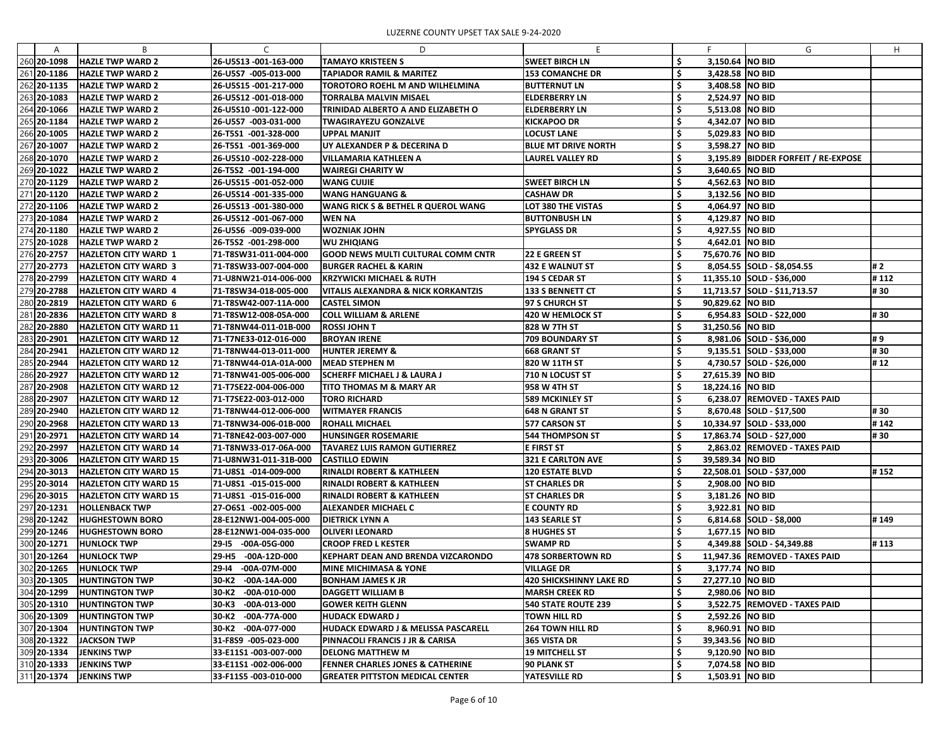|             | <sub>R</sub>                 |                         |                                                |                                |     |                    |                                     |      |
|-------------|------------------------------|-------------------------|------------------------------------------------|--------------------------------|-----|--------------------|-------------------------------------|------|
| A           |                              | C                       | D                                              |                                |     |                    | G                                   | H    |
| 260 20-1098 | <b>HAZLE TWP WARD 2</b>      | 26-U5S13 -001-163-000   | <b>TAMAYO KRISTEEN S</b>                       | <b>SWEET BIRCH LN</b>          | \$  | 3,150.64 NO BID    |                                     |      |
| 261 20-1186 | <b>HAZLE TWP WARD 2</b>      | 26-U5S7 -005-013-000    | <b>TAPIADOR RAMIL &amp; MARITEZ</b>            | <b>153 COMANCHE DR</b>         |     | 3,428.58 NO BID    |                                     |      |
| 262 20-1135 | <b>HAZLE TWP WARD 2</b>      | 26-U5S15 -001-217-000   | <b>TOROTORO ROEHL M AND WILHELMINA</b>         | <b>BUTTERNUT LN</b>            |     | 3,408.58 NO BID    |                                     |      |
| 263 20-1083 | <b>HAZLE TWP WARD 2</b>      | 26-U5S12 -001-018-000   | <b>TORRALBA MALVIN MISAEL</b>                  | <b>ELDERBERRY LN</b>           |     | 2,524.97 NO BID    |                                     |      |
| 264 20-1066 | <b>HAZLE TWP WARD 2</b>      | 26-U5S10 -001-122-000   | TRINIDAD ALBERTO A AND ELIZABETH O             | <b>ELDERBERRY LN</b>           |     | 5,513.08 NO BID    |                                     |      |
| 265 20-1184 | <b>HAZLE TWP WARD 2</b>      | 26-U5S7 -003-031-000    | <b>TWAGIRAYEZU GONZALVE</b>                    | <b>KICKAPOO DR</b>             |     | 4,342.07 NO BID    |                                     |      |
| 266 20-1005 | <b>HAZLE TWP WARD 2</b>      | 26-T5S1 -001-328-000    | <b>UPPAL MANJIT</b>                            | <b>LOCUST LANE</b>             |     | 5,029.83 NO BID    |                                     |      |
| 267 20-1007 | <b>HAZLE TWP WARD 2</b>      | 26-T5S1 -001-369-000    | UY ALEXANDER P & DECERINA D                    | <b>BLUE MT DRIVE NORTH</b>     |     | 3,598.27 NO BID    |                                     |      |
| 268 20-1070 | <b>HAZLE TWP WARD 2</b>      | 26-U5S10 -002-228-000   | <b>VILLAMARIA KATHLEEN A</b>                   | LAUREL VALLEY RD               |     |                    | 3,195.89 BIDDER FORFEIT / RE-EXPOSE |      |
| 269 20-1022 | <b>HAZLE TWP WARD 2</b>      | 26-T5S2 -001-194-000    | <b>WAIREGI CHARITY W</b>                       |                                |     | 3,640.65 NO BID    |                                     |      |
| 270 20-1129 | <b>HAZLE TWP WARD 2</b>      | 26-U5S15 -001-052-000   | <b>WANG CUIJIE</b>                             | <b>SWEET BIRCH LN</b>          |     | 4,562.63 NO BID    |                                     |      |
| 271 20-1120 | <b>HAZLE TWP WARD 2</b>      | 26-U5S14 -001-335-000   | <b>WANG HANGUANG &amp;</b>                     | <b>CASHAW DR</b>               |     | 3,132.56 NO BID    |                                     |      |
| 272 20-1106 | <b>HAZLE TWP WARD 2</b>      | 26-U5S13 -001-380-000   | WANG RICK S & BETHEL R QUEROL WANG             | LOT 380 THE VISTAS             |     | 4,064.97 NO BID    |                                     |      |
| 273 20-1084 | <b>HAZLE TWP WARD 2</b>      | 26-U5S12 -001-067-000   | <b>WEN NA</b>                                  | <b>BUTTONBUSH LN</b>           |     | 4,129.87 NO BID    |                                     |      |
| 274 20-1180 | <b>HAZLE TWP WARD 2</b>      | 26-U5S6 -009-039-000    | <b>WOZNIAK JOHN</b>                            | SPYGLASS DR                    |     | 4,927.55 NO BID    |                                     |      |
| 275 20-1028 | <b>HAZLE TWP WARD 2</b>      | 26-T5S2 -001-298-000    | <b>WU ZHIQIANG</b>                             |                                |     | 4,642.01 NO BID    |                                     |      |
| 276 20-2757 | <b>HAZLETON CITY WARD 1</b>  | 71-T8SW31-011-004-000   | GOOD NEWS MULTI CULTURAL COMM CNTR             | <b>22 E GREEN ST</b>           |     | 75,670.76 NO BID   |                                     |      |
| 277 20-2773 | <b>HAZLETON CITY WARD 3</b>  | 71-T8SW33-007-004-000   | <b>BURGER RACHEL &amp; KARIN</b>               | <b>432 E WALNUT ST</b>         |     |                    | 8,054.55 SOLD - \$8,054.55          | # 2  |
| 278 20-2799 | <b>HAZLETON CITY WARD 4</b>  | 71-U8NW21-014-006-000   | <b>KRZYWICKI MICHAEL &amp; RUTH</b>            | 194 S CEDAR ST                 |     |                    | 11,355.10 SOLD - \$36,000           | #112 |
| 279 20-2788 | <b>HAZLETON CITY WARD 4</b>  | 71-T8SW34-018-005-000   | <b>VITALIS ALEXANDRA &amp; NICK KORKANTZIS</b> | <b>133 S BENNETT CT</b>        |     |                    | 11,713.57 SOLD - \$11,713.57        | #30  |
| 280 20-2819 |                              |                         |                                                |                                |     | 90,829.62 NO BID   |                                     |      |
|             | <b>HAZLETON CITY WARD 6</b>  | 71-T8SW42-007-11A-000   | <b>CASTEL SIMON</b>                            | 97 S CHURCH ST                 |     |                    |                                     |      |
| 281 20-2836 | <b>HAZLETON CITY WARD 8</b>  | 71-T8SW12-008-05A-000   | <b>COLL WILLIAM &amp; ARLENE</b>               | <b>420 W HEMLOCK ST</b>        |     |                    | 6,954.83 SOLD - \$22,000            | # 30 |
| 282 20-2880 | <b>HAZLETON CITY WARD 11</b> | 71-T8NW44-011-01B-000   | <b>ROSSI JOHN T</b>                            | 828 W 7TH ST                   |     | 31,250.56   NO BID |                                     |      |
| 283 20-2901 | <b>HAZLETON CITY WARD 12</b> | 71-T7NE33-012-016-000   | <b>BROYAN IRENE</b>                            | <b>709 BOUNDARY ST</b>         |     |                    | 8,981.06 SOLD - \$36,000            | #9   |
| 284 20-2941 | <b>HAZLETON CITY WARD 12</b> | 71-T8NW44-013-011-000   | <b>HUNTER JEREMY &amp;</b>                     | <b>668 GRANT ST</b>            |     |                    | $9,135.51$ SOLD - \$33,000          | #30  |
| 285 20-2944 | <b>HAZLETON CITY WARD 12</b> | 71-T8NW44-01A-01A-000   | <b>MEAD STEPHEN M</b>                          | 820 W 11TH ST                  |     |                    | 4,730.57 SOLD - \$26,000            | #12  |
| 286 20-2927 | <b>HAZLETON CITY WARD 12</b> | 71-T8NW41-005-006-000   | <b>SCHERFF MICHAEL J &amp; LAURA J</b>         | 710 N LOCUST ST                |     | 27,615.39   NO BID |                                     |      |
| 287 20-2908 | <b>HAZLETON CITY WARD 12</b> | 71-T7SE22-004-006-000   | <b>TITO THOMAS M &amp; MARY AR</b>             | 958 W 4TH ST                   |     | 18,224.16   NO BID |                                     |      |
| 288 20-2907 | <b>HAZLETON CITY WARD 12</b> | 71-T7SE22-003-012-000   | <b>TORO RICHARD</b>                            | <b>589 MCKINLEY ST</b>         |     |                    | 6,238.07 REMOVED - TAXES PAID       |      |
| 289 20-2940 | <b>HAZLETON CITY WARD 12</b> | 71-T8NW44-012-006-000   | <b>WITMAYER FRANCIS</b>                        | <b>648 N GRANT ST</b>          |     |                    | 8,670.48 SOLD - \$17,500            | #30  |
| 290 20-2968 | <b>HAZLETON CITY WARD 13</b> | 71-T8NW34-006-01B-000   | <b>ROHALL MICHAEL</b>                          | 577 CARSON ST                  | ÷   |                    | 10,334.97 SOLD - \$33,000           | #142 |
| 291 20-2971 | <b>HAZLETON CITY WARD 14</b> | 71-T8NE42-003-007-000   | <b>HUNSINGER ROSEMARIE</b>                     | <b>544 THOMPSON ST</b>         |     |                    | 17,863.74 SOLD - \$27,000           | # 30 |
| 292 20-2997 | <b>HAZLETON CITY WARD 14</b> | 71-T8NW33-017-06A-000   | <b>TAVAREZ LUIS RAMON GUTIERREZ</b>            | <b>E FIRST ST</b>              | \$  |                    | 2,863.02 REMOVED - TAXES PAID       |      |
| 293 20-3006 | <b>HAZLETON CITY WARD 15</b> | 71-U8NW31-011-31B-000   | <b>CASTILLO EDWIN</b>                          | 321 E CARLTON AVE              |     | 39,589.34 NO BID   |                                     |      |
| 294 20-3013 | <b>HAZLETON CITY WARD 15</b> | 71-U8S1 -014-009-000    | <b>RINALDI ROBERT &amp; KATHLEEN</b>           | <b>120 ESTATE BLVD</b>         |     |                    | 22,508.01 SOLD - \$37,000           | #152 |
| 295 20-3014 | <b>HAZLETON CITY WARD 15</b> | 71-U8S1 -015-015-000    | <b>RINALDI ROBERT &amp; KATHLEEN</b>           | <b>ST CHARLES DR</b>           |     | 2,908.00 NO BID    |                                     |      |
| 296 20-3015 | <b>HAZLETON CITY WARD 15</b> | 71-U8S1 -015-016-000    | <b>RINALDI ROBERT &amp; KATHLEEN</b>           | <b>ST CHARLES DR</b>           | S   | 3,181.26 NO BID    |                                     |      |
| 297 20-1231 | <b>HOLLENBACK TWP</b>        | 27-06S1 -002-005-000    | <b>ALEXANDER MICHAEL C</b>                     | <b>E COUNTY RD</b>             |     | 3,922.81 NO BID    |                                     |      |
| 298 20-1242 | <b>HUGHESTOWN BORO</b>       | 28-E12NW1-004-005-000   | <b>DIETRICK LYNN A</b>                         | <b>143 SEARLE ST</b>           | \$  |                    | $6,814.68$ SOLD - \$8,000           | #149 |
| 299 20-1246 | <b>HUGHESTOWN BORO</b>       | 28-E12NW1-004-035-000   | <b>OLIVERI LEONARD</b>                         | <b>8 HUGHES ST</b>             |     | 1,677.15 NO BID    |                                     |      |
| 300 20-1271 | HUNLOCK TWP                  | 29-15 -00A-05G-000      | <b>CROOP FRED L KESTER</b>                     | <b>SWAMP RD</b>                |     |                    | 4,349.88 SOLD - \$4,349.88          | #113 |
| 301 20-1264 | <b>HUNLOCK TWP</b>           | 29-H5<br>-00A-12D-000   | <b>KEPHART DEAN AND BRENDA VIZCARONDO</b>      | <b>478 SORBERTOWN RD</b>       |     |                    | 11,947.36 REMOVED - TAXES PAID      |      |
| 302 20-1265 | HUNLOCK TWP                  | 29-14<br>$-00A-07M-000$ | <b>MINE MICHIMASA &amp; YONE</b>               | <b>VILLAGE DR</b>              |     | 3,177.74 NO BID    |                                     |      |
| 303 20-1305 | <b>HUNTINGTON TWP</b>        | 30-K2<br>$-00A-14A-000$ | <b>BONHAM JAMES K JR</b>                       | <b>420 SHICKSHINNY LAKE RD</b> | S   | 27,277.10   NO BID |                                     |      |
|             |                              |                         |                                                |                                |     |                    |                                     |      |
| 304 20-1299 | <b>HUNTINGTON TWP</b>        | $-00A-010-000$<br>30-K2 | <b>DAGGETT WILLIAM B</b>                       | <b>MARSH CREEK RD</b>          |     | 2,980.06 NO BID    |                                     |      |
| 305 20-1310 | <b>HUNTINGTON TWP</b>        | $-00A-013-000$<br>30-K3 | <b>GOWER KEITH GLENN</b>                       | <b>540 STATE ROUTE 239</b>     |     |                    | 3,522.75 REMOVED - TAXES PAID       |      |
| 306 20-1309 | <b>HUNTINGTON TWP</b>        | 30-K2<br>-00A-77A-000   | <b>HUDACK EDWARD J</b>                         | <b>TOWN HILL RD</b>            | \$, | 2,592.26 NO BID    |                                     |      |
| 307 20-1304 | <b>HUNTINGTON TWP</b>        | -00A-077-000<br> 30-K2  | <b>HUDACK EDWARD J &amp; MELISSA PASCARELL</b> | <b>264 TOWN HILL RD</b>        |     | 8,960.91   NO BID  |                                     |      |
| 308 20-1322 | <b>JACKSON TWP</b>           | 31-F8S9 -005-023-000    | PINNACOLI FRANCIS J JR & CARISA                | 365 VISTA DR                   |     | 39,343.56 NO BID   |                                     |      |
| 309 20-1334 | <b>JENKINS TWP</b>           | 33-E11S1 -003-007-000   | <b>DELONG MATTHEW M</b>                        | <b>19 MITCHELL ST</b>          |     | 9,120.90 NO BID    |                                     |      |
| 310 20-1333 | <b>JENKINS TWP</b>           | 33-E11S1 -002-006-000   | <b>FENNER CHARLES JONES &amp; CATHERINE</b>    | <b>90 PLANK ST</b>             |     | 7,074.58 NO BID    |                                     |      |
| 311 20-1374 | <b>JENKINS TWP</b>           | 33-F11S5 -003-010-000   | <b>GREATER PITTSTON MEDICAL CENTER</b>         | YATESVILLE RD                  | \$  | 1,503.91 NO BID    |                                     |      |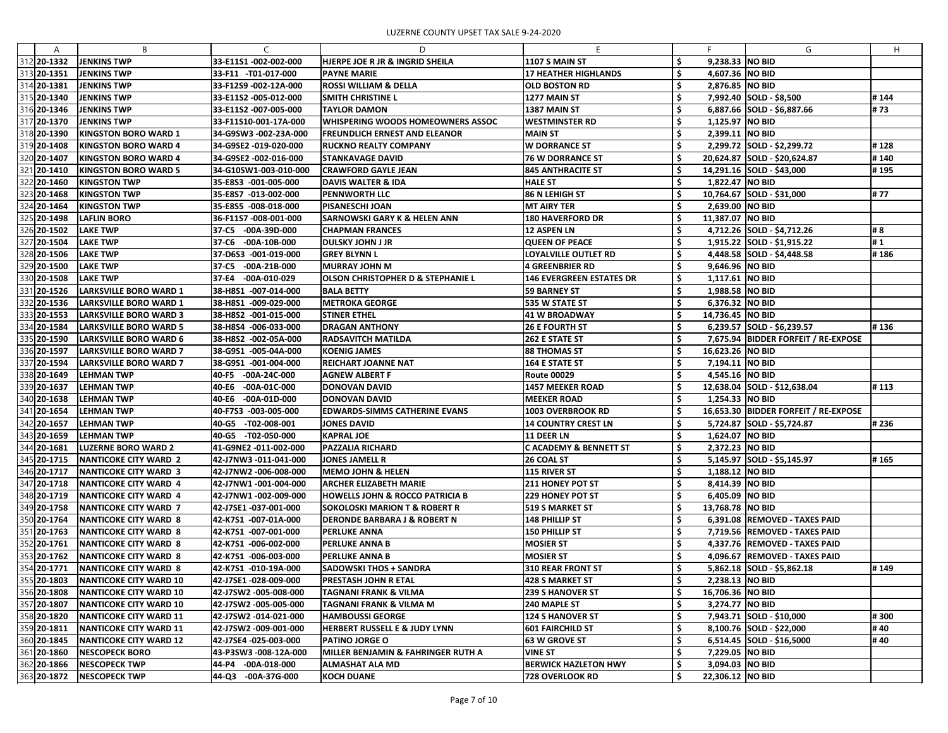| A                          | B                                  | C                                        | D                                                                    |                                                           |            | F.                 | G                                    | H     |
|----------------------------|------------------------------------|------------------------------------------|----------------------------------------------------------------------|-----------------------------------------------------------|------------|--------------------|--------------------------------------|-------|
| 312 20-1332                | <b>JENKINS TWP</b>                 | 33-E11S1-002-002-000                     | HJERPE JOE R JR & INGRID SHEILA                                      | <b>1107 S MAIN ST</b>                                     |            | 9,238.33 NO BID    |                                      |       |
| 313 20-1351                | <b>JENKINS TWP</b>                 | 33-F11 -T01-017-000                      | <b>PAYNE MARIE</b>                                                   | <b>17 HEATHER HIGHLANDS</b>                               |            | 4,607.36 NO BID    |                                      |       |
| 314 20-1381                | JENKINS TWP                        | 33-F12S9-002-12A-000                     | <b>ROSSI WILLIAM &amp; DELLA</b>                                     | <b>OLD BOSTON RD</b>                                      |            | 2,876.85 NO BID    |                                      |       |
| 315 20-1340                | <b>JENKINS TWP</b>                 | 33-E11S2 -005-012-000                    | <b>SMITH CHRISTINE L</b>                                             | 1277 MAIN ST                                              |            |                    | 7,992.40 SOLD - \$8,500              | #144  |
| 316 20-1346                | <b>JENKINS TWP</b>                 | 33-E11S2 -007-005-000                    | <b>TAYLOR DAMON</b>                                                  | <b>1387 MAIN ST</b>                                       |            |                    | $6,887.66$ SOLD - \$6,887.66         | #73   |
| 317 20-1370                | <b>JENKINS TWP</b>                 | 33-F11S10-001-17A-000                    | <b>WHISPERING WOODS HOMEOWNERS ASSOC</b>                             | <b>WESTMINSTER RD</b>                                     |            | 1,125.97 NO BID    |                                      |       |
| 318 20-1390                | <b>KINGSTON BORO WARD 1</b>        | 34-G9SW3 -002-23A-000                    | <b>FREUNDLICH ERNEST AND ELEANOR</b>                                 | <b>MAIN ST</b>                                            |            | 2,399.11   NO BID  |                                      |       |
| 319 20-1408                | <b>KINGSTON BORO WARD 4</b>        | 34-G9SE2 -019-020-000                    | <b>RUCKNO REALTY COMPANY</b>                                         | <b>W DORRANCE ST</b>                                      |            |                    | 2,299.72 SOLD - \$2,299.72           | #128  |
| 320 20-1407                | <b>KINGSTON BORO WARD 4</b>        | 34-G9SE2 -002-016-000                    | <b>STANKAVAGE DAVID</b>                                              | <b>76 W DORRANCE ST</b>                                   |            |                    | 20,624.87 SOLD - \$20,624.87         | #140  |
| 321 20-1410                | <b>KINGSTON BORO WARD 5</b>        | 34-G10SW1-003-010-000                    | <b>CRAWFORD GAYLE JEAN</b>                                           | <b>845 ANTHRACITE ST</b>                                  |            |                    | 14,291.16 SOLD - \$43,000            | #195  |
| 322 20-1460                | <b>KINGSTON TWP</b>                | 35-E8S3 -001-005-000                     | <b>DAVIS WALTER &amp; IDA</b>                                        | <b>HALE ST</b>                                            |            | 1,822.47 NO BID    |                                      |       |
| 323 20-1468                | <b>KINGSTON TWP</b>                | 35-E8S7 -013-002-000                     | <b>PENNWORTH LLC</b>                                                 | 86 N LEHIGH ST                                            |            |                    | 10,764.67 SOLD - \$31,000            | #77   |
| 324 20-1464                | <b>KINGSTON TWP</b>                | 35-E8S5 -008-018-000                     | <b>PISANESCHI JOAN</b>                                               | <b>MT AIRY TER</b>                                        |            | 2,639.00 NO BID    |                                      |       |
| 325 20-1498                | <b>LAFLIN BORO</b>                 | 36-F11S7-008-001-000                     | <b>SARNOWSKI GARY K &amp; HELEN ANN</b>                              | <b>180 HAVERFORD DR</b>                                   |            | 11,387.07   NO BID |                                      |       |
| 326 20-1502                | <b>LAKE TWP</b>                    | 37-C5 -00A-39D-000                       | <b>CHAPMAN FRANCES</b>                                               | 12 ASPEN LN                                               |            |                    | 4,712.26 SOLD - \$4,712.26           | # 8   |
| 327 20-1504                | <b>LAKE TWP</b>                    | 37-C6 -00A-10B-000                       | <b>DULSKY JOHN J JR</b>                                              | <b>QUEEN OF PEACE</b>                                     |            |                    | 1,915.22 SOLD - \$1,915.22           | #1    |
| 328 20-1506                | <b>LAKE TWP</b>                    | 37-D6S3 -001-019-000                     | <b>GREY BLYNN L</b>                                                  | <b>LOYALVILLE OUTLET RD</b>                               |            |                    |                                      | #186  |
|                            |                                    |                                          |                                                                      |                                                           |            | 9,646.96 NO BID    | 4,448.58 SOLD - \$4,448.58           |       |
| 329 20-1500<br>330 20-1508 | <b>LAKE TWP</b><br><b>LAKE TWP</b> | 37-C5 -00A-21B-000<br>37-E4 -00A-010-029 | <b>MURRAY JOHN M</b><br><b>OLSON CHRISTOPHER D &amp; STEPHANIE L</b> | <b>4 GREENBRIER RD</b><br><b>146 EVERGREEN ESTATES DR</b> |            | 1,117.61 NO BID    |                                      |       |
|                            |                                    |                                          |                                                                      |                                                           |            |                    |                                      |       |
| 331 20-1526                | LARKSVILLE BORO WARD 1             | 38-H8S1 -007-014-000                     | <b>BALA BETTY</b>                                                    | <b>59 BARNEY ST</b>                                       |            | 1,988.58 NO BID    |                                      |       |
| 332 20-1536                | <b>LARKSVILLE BORO WARD 1</b>      | 38-H8S1 -009-029-000                     | <b>METROKA GEORGE</b>                                                | 535 W STATE ST                                            |            | 6,376.32 NO BID    |                                      |       |
| 333 20-1553                | <b>LARKSVILLE BORO WARD 3</b>      | 38-H8S2 -001-015-000                     | <b>STINER ETHEL</b>                                                  | 41 W BROADWAY                                             |            | 14,736.45 NO BID   |                                      |       |
| 334 20-1584                | <b>LARKSVILLE BORO WARD 5</b>      | 38-H8S4 -006-033-000                     | <b>DRAGAN ANTHONY</b>                                                | <b>26 E FOURTH ST</b>                                     |            |                    | 6,239.57 SOLD - \$6,239.57           | #136  |
| 335 20-1590                | <b>LARKSVILLE BORO WARD 6</b>      | 38-H8S2 -002-05A-000                     | <b>RADSAVITCH MATILDA</b>                                            | <b>262 E STATE ST</b>                                     |            |                    | 7,675.94 BIDDER FORFEIT / RE-EXPOSE  |       |
| 336 20-1597                | <b>LARKSVILLE BORO WARD 7</b>      | 38-G9S1 -005-04A-000                     | <b>KOENIG JAMES</b>                                                  | <b>88 THOMAS ST</b>                                       |            | 16,623.26 NO BID   |                                      |       |
| 337 20-1594                | <b>LARKSVILLE BORO WARD 7</b>      | 38-G9S1 -001-004-000                     | <b>REICHART JOANNE NAT</b>                                           | <b>164 E STATE ST</b>                                     |            | 7,194.11 NO BID    |                                      |       |
| 338 20-1649                | LEHMAN TWP                         | 40-F5 -00A-24C-000                       | <b>AGNEW ALBERT F</b>                                                | <b>Route 00029</b>                                        |            | 4,545.16 NO BID    |                                      |       |
| 339 20-1637                | <b>LEHMAN TWP</b>                  | 40-E6 -00A-01C-000                       | <b>DONOVAN DAVID</b>                                                 | <b>1457 MEEKER ROAD</b>                                   |            |                    | 12,638.04 SOLD - \$12,638.04         | #113  |
| 340 20-1638                | <b>LEHMAN TWP</b>                  | 40-E6 -00A-01D-000                       | <b>DONOVAN DAVID</b>                                                 | <b>MEEKER ROAD</b>                                        |            | 1,254.33 NO BID    |                                      |       |
| 341 20-1654                | <b>LEHMAN TWP</b>                  | 40-F7S3 -003-005-000                     | <b>EDWARDS-SIMMS CATHERINE EVANS</b>                                 | <b>1003 OVERBROOK RD</b>                                  | $\epsilon$ |                    | 16,653.30 BIDDER FORFEIT / RE-EXPOSE |       |
| 342 20-1657                | <b>LEHMAN TWP</b>                  | 40-G5 -T02-008-001                       | <b>JONES DAVID</b>                                                   | <b>14 COUNTRY CREST LN</b>                                |            |                    | 5,724.87 SOLD - \$5,724.87           | #236  |
| 343 20-1659                | LEHMAN TWP                         | 40-G5 -T02-050-000                       | <b>KAPRAL JOE</b>                                                    | <b>11 DEER LN</b>                                         |            | 1,624.07 NO BID    |                                      |       |
| 344 20-1681                | <b>LUZERNE BORO WARD 2</b>         | 41-G9NE2 -011-002-000                    | <b>PAZZALIA RICHARD</b>                                              | <b>CACADEMY &amp; BENNETT ST</b>                          | \$,        | 2,372.23 NO BID    |                                      |       |
| 345 20-1715                | <b>NANTICOKE CITY WARD 2</b>       | 42-J7NW3 -011-041-000                    | <b>JONES JAMELL R</b>                                                | 26 COAL ST                                                | -\$        |                    | 5,145.97 SOLD - \$5,145.97           | #165  |
| 346 20-1717                | NANTICOKE CITY WARD 3              | 42-J7NW2 -006-008-000                    | MEMO JOHN & HELEN                                                    | <b>115 RIVER ST</b>                                       |            | 1,188.12 NO BID    |                                      |       |
| 347 20-1718                | <b>NANTICOKE CITY WARD 4</b>       | 42-J7NW1 -001-004-000                    | <b>ARCHER ELIZABETH MARIE</b>                                        | <b>211 HONEY POT ST</b>                                   |            | 8,414.39 NO BID    |                                      |       |
| 348 20-1719                | <b>NANTICOKE CITY WARD 4</b>       | 42-J7NW1 -002-009-000                    | <b>HOWELLS JOHN &amp; ROCCO PATRICIA B</b>                           | <b>229 HONEY POT ST</b>                                   |            | 6,405.09 NO BID    |                                      |       |
| 349 20-1758                | <b>NANTICOKE CITY WARD 7</b>       | 42-J7SE1 -037-001-000                    | <b>SOKOLOSKI MARION T &amp; ROBERT R</b>                             | <b>519 S MARKET ST</b>                                    |            | 13,768.78 NO BID   |                                      |       |
| 350 20-1764                | NANTICOKE CITY WARD 8              | 42-K7S1 -007-01A-000                     | <b>DERONDE BARBARA J &amp; ROBERT N</b>                              | 148 PHILLIP ST                                            |            |                    | 6,391.08   REMOVED - TAXES PAID      |       |
| 351 20-1763                | <b>NANTICOKE CITY WARD 8</b>       | 42-K7S1 -007-001-000                     | <b>PERLUKE ANNA</b>                                                  | <b>150 PHILLIP ST</b>                                     |            |                    | 7,719.56 REMOVED - TAXES PAID        |       |
| 352 20-1761                | <b>NANTICOKE CITY WARD 8</b>       | 42-K7S1 -006-002-000                     | <b>PERLUKE ANNA B</b>                                                | <b>MOSIER ST</b>                                          |            |                    | 4,337.76 REMOVED - TAXES PAID        |       |
| 353 20-1762                | <b>NANTICOKE CITY WARD 8</b>       | 42-K7S1 -006-003-000                     | <b>PERLUKE ANNA B</b>                                                | MOSIER ST                                                 |            |                    | 4,096.67   REMOVED - TAXES PAID      |       |
| 354 20-1771                | <b>NANTICOKE CITY WARD 8</b>       | 42-K7S1 -010-19A-000                     | <b>SADOWSKI THOS + SANDRA</b>                                        | <b>310 REAR FRONT ST</b>                                  |            |                    | $5,862.18$ SOLD - \$5,862.18         | # 149 |
| 355 20-1803                | <b>NANTICOKE CITY WARD 10</b>      | 42-J7SE1 -028-009-000                    | PRESTASH JOHN R ETAL                                                 | <b>428 S MARKET ST</b>                                    |            | 2,238.13 NO BID    |                                      |       |
| 356 20-1808                | <b>NANTICOKE CITY WARD 10</b>      | 42-J7SW2 -005-008-000                    | <b>TAGNANI FRANK &amp; VILMA</b>                                     | <b>239 S HANOVER ST</b>                                   |            | 16,706.36 NO BID   |                                      |       |
| 357 20-1807                | <b>NANTICOKE CITY WARD 10</b>      | 42-J7SW2 -005-005-000                    | TAGNANI FRANK & VILMA M                                              | 240 MAPLE ST                                              |            | 3,274.77 NO BID    |                                      |       |
| 358 20-1820                | <b>NANTICOKE CITY WARD 11</b>      | 42-J7SW2 -014-021-000                    | <b>HAMBOUSSI GEORGE</b>                                              | <b>124 S HANOVER ST</b>                                   |            |                    | 7,943.71 SOLD - \$10,000             | #300  |
| 359 20-1811                | <b>NANTICOKE CITY WARD 11</b>      | 42-J7SW2 -009-001-000                    | <b>HERBERT RUSSELL E &amp; JUDY LYNN</b>                             | <b>601 FAIRCHILD ST</b>                                   |            |                    | 8,100.76 SOLD - \$22,000             | #40   |
| 360 20-1845                | <b>NANTICOKE CITY WARD 12</b>      | 42-J7SE4 -025-003-000                    | <b>PATINO JORGE O</b>                                                | <b>63 W GROVE ST</b>                                      |            |                    | 6,514.45   SOLD - \$16,5000          | #40   |
| 361 20-1860                | <b>NESCOPECK BORO</b>              | 43-P3SW3 -008-12A-000                    | <b>MILLER BENJAMIN &amp; FAHRINGER RUTH A</b>                        | <b>VINE ST</b>                                            |            | 7,229.05 NO BID    |                                      |       |
| 362 20-1866                | NESCOPECK TWP                      | 44-P4 -00A-018-000                       | <b>ALMASHAT ALA MD</b>                                               | <b>BERWICK HAZLETON HWY</b>                               |            | 3,094.03 NO BID    |                                      |       |
| 363 20-1872                | <b>NESCOPECK TWP</b>               | 44-Q3 -00A-37G-000                       | <b>KOCH DUANE</b>                                                    | <b>728 OVERLOOK RD</b>                                    | .S         | 22,306.12 NO BID   |                                      |       |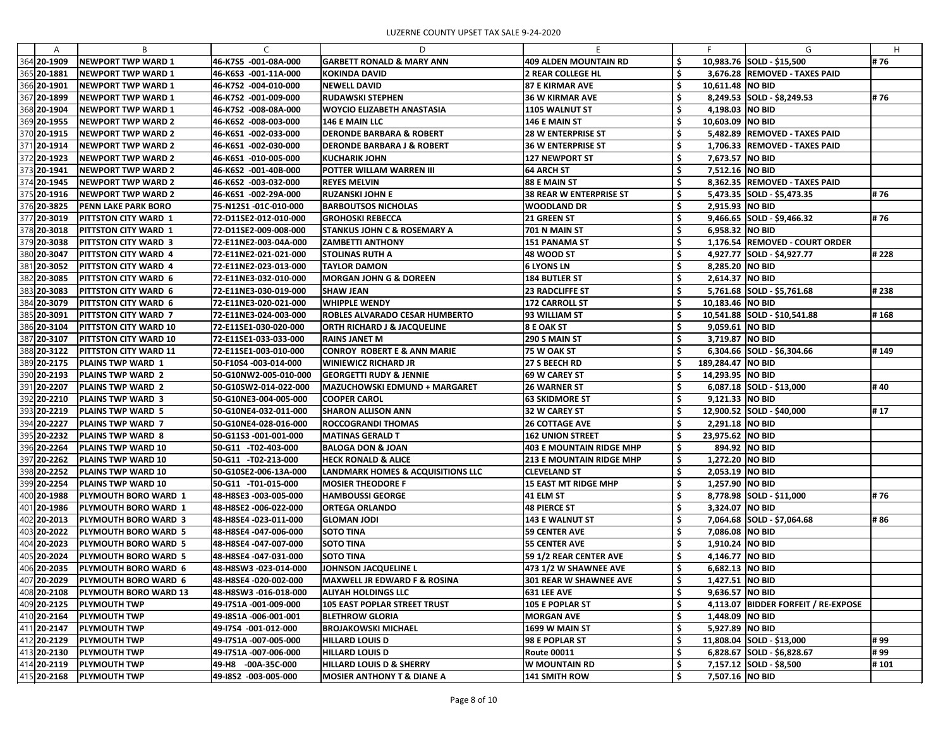|             | B.                           |                       | D                                            |                                 |     |                    | G                                   | H    |
|-------------|------------------------------|-----------------------|----------------------------------------------|---------------------------------|-----|--------------------|-------------------------------------|------|
| 364 20-1909 | <b>NEWPORT TWP WARD 1</b>    | 46-K7S5 -001-08A-000  | <b>GARBETT RONALD &amp; MARY ANN</b>         | 409 ALDEN MOUNTAIN RD           | \$, |                    | 10,983.76 SOLD - \$15,500           | #76  |
| 365 20-1881 | <b>NEWPORT TWP WARD 1</b>    | 46-K6S3 -001-11A-000  | <b>KOKINDA DAVID</b>                         | <b>2 REAR COLLEGE HL</b>        | .\$ |                    | 3,676.28 REMOVED - TAXES PAID       |      |
| 366 20-1901 | <b>NEWPORT TWP WARD 1</b>    | 46-K7S2 -004-010-000  | <b>NEWELL DAVID</b>                          | <b>87 E KIRMAR AVE</b>          | -S  | 10,611.48   NO BID |                                     |      |
| 367 20-1899 | <b>NEWPORT TWP WARD 1</b>    | 46-K7S2 -001-009-000  | <b>RUDAWSKI STEPHEN</b>                      | 36 W KIRMAR AVE                 |     |                    | 8,249.53 SOLD - \$8,249.53          | #76  |
| 368 20-1904 | <b>NEWPORT TWP WARD 1</b>    | 46-K7S2 -008-08A-000  | <b>WOYCIO ELIZABETH ANASTASIA</b>            | <b>1105 WALNUT ST</b>           |     | 4,198.03 NO BID    |                                     |      |
| 369 20-1955 | <b>NEWPORT TWP WARD 2</b>    | 46-K6S2 -008-003-000  | <b>146 E MAIN LLC</b>                        | <b>146 E MAIN ST</b>            | -\$ | 10,603.09   NO BID |                                     |      |
| 370 20-1915 | <b>NEWPORT TWP WARD 2</b>    | 46-K6S1 -002-033-000  | <b>DERONDE BARBARA &amp; ROBERT</b>          | <b>28 W ENTERPRISE ST</b>       |     |                    | 5,482.89 REMOVED - TAXES PAID       |      |
| 371 20-1914 | <b>NEWPORT TWP WARD 2</b>    | 46-K6S1 -002-030-000  | <b>DERONDE BARBARA J &amp; ROBERT</b>        | <b>36 W ENTERPRISE ST</b>       | -S  |                    | 1,706.33 REMOVED - TAXES PAID       |      |
| 372 20-1923 | <b>NEWPORT TWP WARD 2</b>    | 46-K6S1 -010-005-000  | <b>KUCHARIK JOHN</b>                         | <b>127 NEWPORT ST</b>           | -\$ | 7,673.57 NO BID    |                                     |      |
| 373 20-1941 | <b>NEWPORT TWP WARD 2</b>    | 46-K6S2 -001-40B-000  | POTTER WILLAM WARREN III                     | <b>64 ARCH ST</b>               | .\$ | 7,512.16 NO BID    |                                     |      |
| 374 20-1945 | <b>NEWPORT TWP WARD 2</b>    | 46-K6S2 -003-032-000  | <b>REYES MELVIN</b>                          | 88 E MAIN ST                    |     |                    | 8,362.35 REMOVED - TAXES PAID       |      |
| 375 20-1916 | <b>NEWPORT TWP WARD 2</b>    | 46-K6S1 -002-29A-000  | <b>RUZANSKI JOHN E</b>                       | <b>38 REAR W ENTERPRISE ST</b>  |     |                    | 5,473.35 SOLD - \$5,473.35          | #76  |
| 376 20-3825 | <b>PENN LAKE PARK BORO</b>   | 75-N12S1-01C-010-000  | <b>BARBOUTSOS NICHOLAS</b>                   | <b>WOODLAND DR</b>              |     | 2,915.93 NO BID    |                                     |      |
| 377 20-3019 | PITTSTON CITY WARD 1         | 72-D11SE2-012-010-000 | GROHOSKI REBECCA                             | <b>21 GREEN ST</b>              | -\$ |                    | $9,466.65$ SOLD - \$9,466.32        | #76  |
| 378 20-3018 | PITTSTON CITY WARD 1         | 72-D11SE2-009-008-000 | ISTANKUS JOHN C & ROSEMARY A                 | 701 N MAIN ST                   |     | 6,958.32 NO BID    |                                     |      |
| 379 20-3038 | PITTSTON CITY WARD 3         | 72-E11NE2-003-04A-000 | <b>ZAMBETTI ANTHONY</b>                      | <b>151 PANAMA ST</b>            |     |                    | 1,176.54 REMOVED - COURT ORDER      |      |
| 380 20-3047 | <b>PITTSTON CITY WARD 4</b>  | 72-E11NE2-021-021-000 | <b>ISTOLINAS RUTH A</b>                      | 48 WOOD ST                      | \$  |                    | 4,927.77 SOLD - \$4,927.77          | #228 |
| 381 20-3052 | PITTSTON CITY WARD 4         | 72-E11NE2-023-013-000 | <b>TAYLOR DAMON</b>                          | <b>6 LYONS LN</b>               | .\$ | 8,285.20 NO BID    |                                     |      |
| 382 20-3085 | PITTSTON CITY WARD 6         | 72-E11NE3-032-010-000 | <b>MORGAN JOHN G &amp; DOREEN</b>            | <b>184 BUTLER ST</b>            |     | 2,614.37 NO BID    |                                     |      |
| 383 20-3083 | PITTSTON CITY WARD 6         | 72-E11NE3-030-019-000 | SHAW JEAN                                    | <b>23 RADCLIFFE ST</b>          |     |                    | $5,761.68$ SOLD - \$5,761.68        | #238 |
| 384 20-3079 | PITTSTON CITY WARD 6         | 72-E11NE3-020-021-000 | <b>WHIPPLE WENDY</b>                         | <b>172 CARROLL ST</b>           |     | 10,183.46   NO BID |                                     |      |
| 385 20-3091 | PITTSTON CITY WARD 7         | 72-E11NE3-024-003-000 | <b>ROBLES ALVARADO CESAR HUMBERTO</b>        | <b>93 WILLIAM ST</b>            |     |                    | 10,541.88 SOLD - \$10,541.88        | #168 |
| 386 20-3104 | PITTSTON CITY WARD 10        | 72-E11SE1-030-020-000 | <b>ORTH RICHARD J &amp; JACQUELINE</b>       | 8 E OAK ST                      | -S  | 9,059.61 NO BID    |                                     |      |
| 387 20-3107 | <b>PITTSTON CITY WARD 10</b> | 72-E11SE1-033-033-000 | <b>RAINS JANET M</b>                         | 290 S MAIN ST                   |     | 3,719.87 NO BID    |                                     |      |
| 388 20-3122 | <b>PITTSTON CITY WARD 11</b> | 72-E11SE1-003-010-000 | <b>CONROY ROBERT E &amp; ANN MARIE</b>       | 75 W OAK ST                     | -\$ |                    | 6,304.66 SOLD - \$6,304.66          | #149 |
| 389 20-2175 | PLAINS TWP WARD 1            | 50-F10S4 -003-014-000 | <b>WINIEWICZ RICHARD JR</b>                  | <b>27 S BEECH RD</b>            |     | 189,284.47 NO BID  |                                     |      |
| 390 20-2193 | <b>PLAINS TWP WARD 2</b>     | 50-G10NW2-005-010-000 | <b>GEORGETTI RUDY &amp; JENNIE</b>           | <b>69 W CAREY ST</b>            |     | 14,293.95 NO BID   |                                     |      |
| 391 20-2207 | <b>PLAINS TWP WARD 2</b>     | 50-G10SW2-014-022-000 | MAZUCHOWSKI EDMUND + MARGARET                | <b>26 WARNER ST</b>             |     |                    | 6,087.18 SOLD - \$13,000            | #40  |
| 392 20-2210 | PLAINS TWP WARD 3            | 50-G10NE3-004-005-000 | <b>COOPER CAROL</b>                          | <b>63 SKIDMORE ST</b>           |     | 9,121.33 NO BID    |                                     |      |
| 393 20-2219 | <b>PLAINS TWP WARD 5</b>     | 50-G10NE4-032-011-000 | <b>ISHARON ALLISON ANN</b>                   | 32 W CAREY ST                   |     |                    | 12,900.52 SOLD - \$40,000           | #17  |
| 394 20-2227 | PLAINS TWP WARD 7            | 50-G10NE4-028-016-000 | <b>ROCCOGRANDI THOMAS</b>                    | <b>26 COTTAGE AVE</b>           | - 2 | 2,291.18 NO BID    |                                     |      |
| 395 20-2232 | PLAINS TWP WARD 8            | 50-G11S3 -001-001-000 | <b>MATINAS GERALD T</b>                      | <b>162 UNION STREET</b>         |     | 23,975.62 NO BID   |                                     |      |
| 396 20-2264 | <b>PLAINS TWP WARD 10</b>    | 50-G11 -T02-403-000   | <b>BALOGA DON &amp; JOAN</b>                 | 403 E MOUNTAIN RIDGE MHP        | -\$ |                    | 894.92 NO BID                       |      |
| 397 20-2262 | <b>PLAINS TWP WARD 10</b>    | 50-G11 -T02-213-000   | <b>HECK RONALD &amp; ALICE</b>               | <b>213 E MOUNTAIN RIDGE MHP</b> | -Ş  | 1,272.20 NO BID    |                                     |      |
| 398 20-2252 | <b>PLAINS TWP WARD 10</b>    | 50-G10SE2-006-13A-000 | <b>LANDMARK HOMES &amp; ACQUISITIONS LLC</b> | <b>CLEVELAND ST</b>             |     | 2,053.19 NO BID    |                                     |      |
| 399 20-2254 | <b>PLAINS TWP WARD 10</b>    | 50-G11 -T01-015-000   | <b>MOSIER THEODORE F</b>                     | <b>15 EAST MT RIDGE MHP</b>     | -\$ | 1,257.90 NO BID    |                                     |      |
| 400 20-1988 | <b>PLYMOUTH BORO WARD 1</b>  | 48-H8SE3 -003-005-000 | HAMBOUSSI GEORGE                             | <b>41 ELM ST</b>                |     |                    | 8,778.98 SOLD - \$11,000            | #76  |
| 401 20-1986 | PLYMOUTH BORO WARD 1         | 48-H8SE2 -006-022-000 | <b>ORTEGA ORLANDO</b>                        | <b>48 PIERCE ST</b>             | \$  | 3,324.07 NO BID    |                                     |      |
| 402 20-2013 | <b>PLYMOUTH BORO WARD 3</b>  | 48-H8SE4 -023-011-000 | <b>GLOMAN JODI</b>                           | <b>143 E WALNUT ST</b>          | \$, |                    | 7,064.68 SOLD - \$7,064.68          | # 86 |
| 403 20-2022 | <b>PLYMOUTH BORO WARD 5</b>  | 48-H8SE4 -047-006-000 | <b>SOTO TINA</b>                             | <b>59 CENTER AVE</b>            | -S  | 7,086.08 NO BID    |                                     |      |
| 404 20-2023 | <b>PLYMOUTH BORO WARD 5</b>  | 48-H8SE4 -047-007-000 | <b>SOTO TINA</b>                             | <b>55 CENTER AVE</b>            |     | 1,910.24 NO BID    |                                     |      |
| 405 20-2024 | PLYMOUTH BORO WARD 5         | 48-H8SE4 -047-031-000 | <b>SOTO TINA</b>                             | 59 1/2 REAR CENTER AVE          |     | 4,146.77 NO BID    |                                     |      |
| 406 20-2035 | PLYMOUTH BORO WARD 6         | 48-H8SW3 -023-014-000 | <b>JOHNSON JACQUELINE L</b>                  | <b>473 1/2 W SHAWNEE AVE</b>    |     | 6,682.13 NO BID    |                                     |      |
| 407 20-2029 | <b>PLYMOUTH BORO WARD 6</b>  | 48-H8SE4 -020-002-000 | MAXWELL JR EDWARD F & ROSINA                 | <b>301 REAR W SHAWNEE AVE</b>   | -\$ | 1,427.51 NO BID    |                                     |      |
| 408 20-2108 | <b>PLYMOUTH BORO WARD 13</b> | 48-H8SW3 -016-018-000 | ALIYAH HOLDINGS LLC                          | <b>631 LEE AVE</b>              |     | 9,636.57 NO BID    |                                     |      |
| 409 20-2125 | <b>PLYMOUTH TWP</b>          | 49-17S1A -001-009-000 | <b>105 EAST POPLAR STREET TRUST</b>          | <b>105 E POPLAR ST</b>          | \$  |                    | 4,113.07 BIDDER FORFEIT / RE-EXPOSE |      |
| 410 20-2164 | PLYMOUTH TWP                 | 49-18S1A -006-001-001 | <b>BLETHROW GLORIA</b>                       | <b>MORGAN AVE</b>               | -\$ | 1,448.09 NO BID    |                                     |      |
| 411 20-2147 | PLYMOUTH TWP                 | 49-17S4 -001-012-000  | <b>BROJAKOWSKI MICHAEL</b>                   | 1699 W MAIN ST                  | -\$ | 5,927.89 NO BID    |                                     |      |
| 412 20-2129 | <b>PLYMOUTH TWP</b>          | 49-17S1A -007-005-000 | <b>HILLARD LOUIS D</b>                       | 98 E POPLAR ST                  | -\$ |                    | 11,808.04 SOLD - \$13,000           | #99  |
| 413 20-2130 | <b>PLYMOUTH TWP</b>          | 49-17S1A -007-006-000 | <b>HILLARD LOUIS D</b>                       | <b>Route 00011</b>              |     |                    | 6,828.67 SOLD - \$6,828.67          | #99  |
| 414 20-2119 | <b>PLYMOUTH TWP</b>          | 49-H8 -00A-35C-000    | <b>HILLARD LOUIS D &amp; SHERRY</b>          | <b>W MOUNTAIN RD</b>            | -\$ |                    | 7,157.12 SOLD - \$8,500             | #101 |
| 415 20-2168 | <b>PLYMOUTH TWP</b>          | 49-18S2 -003-005-000  | <b>MOSIER ANTHONY T &amp; DIANE A</b>        | <b>141 SMITH ROW</b>            | \$  | 7,507.16 NO BID    |                                     |      |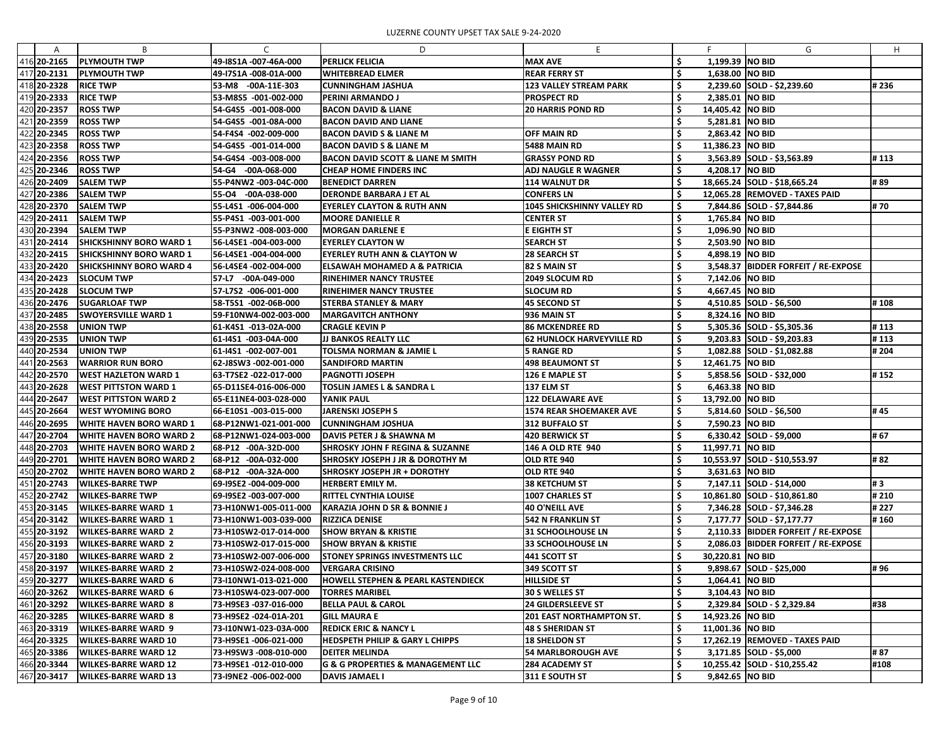| A           | B                              | C                     | D                                                |                                  |     |                    | G                                     | H     |
|-------------|--------------------------------|-----------------------|--------------------------------------------------|----------------------------------|-----|--------------------|---------------------------------------|-------|
| 416 20-2165 | <b>PLYMOUTH TWP</b>            | 49-18S1A -007-46A-000 | <b>PERLICK FELICIA</b>                           | <b>MAX AVE</b>                   | Ş   | 1,199.39 NO BID    |                                       |       |
| 417 20-2131 | <b>PLYMOUTH TWP</b>            | 49-17S1A -008-01A-000 | <b>WHITEBREAD ELMER</b>                          | <b>REAR FERRY ST</b>             |     | 1,638.00 NO BID    |                                       |       |
| 418 20-2328 | <b>RICE TWP</b>                | 53-M8 -00A-11E-303    | <b>CUNNINGHAM JASHUA</b>                         | <b>123 VALLEY STREAM PARK</b>    |     |                    | 2,239.60 SOLD - \$2,239.60            | #236  |
| 419 20-2333 | <b>RICE TWP</b>                | 53-M8S5 -001-002-000  | <b>PERINI ARMANDO J</b>                          | <b>PROSPECT RD</b>               |     | 2,385.01 NO BID    |                                       |       |
| 420 20-2357 | <b>ROSS TWP</b>                |                       |                                                  |                                  |     |                    |                                       |       |
|             |                                | 54-G4S5 -001-008-000  | <b>BACON DAVID &amp; LIANE</b>                   | <b>20 HARRIS POND RD</b>         |     | 14,405.42   NO BID |                                       |       |
| 421 20-2359 | <b>ROSS TWP</b>                | 54-G4S5 -001-08A-000  | BACON DAVID AND LIANE                            |                                  |     | 5,281.81   NO BID  |                                       |       |
| 422 20-2345 | <b>ROSS TWP</b>                | 54-F4S4 -002-009-000  | <b>BACON DAVID S &amp; LIANE M</b>               | <b>OFF MAIN RD</b>               |     | 2,863.42 NO BID    |                                       |       |
| 423 20-2358 | <b>ROSS TWP</b>                | 54-G4S5 -001-014-000  | <b>BACON DAVID S &amp; LIANE M</b>               | 5488 MAIN RD                     |     | 11,386.23   NO BID |                                       |       |
| 424 20-2356 | <b>ROSS TWP</b>                | 54-G4S4 -003-008-000  | BACON DAVID SCOTT & LIANE M SMITH                | <b>GRASSY POND RD</b>            |     |                    | $3,563.89$ SOLD - \$3,563.89          | #113  |
| 425 20-2346 | <b>ROSS TWP</b>                | 54-G4 -00A-068-000    | <b>CHEAP HOME FINDERS INC</b>                    | <b>ADJ NAUGLE R WAGNER</b>       |     | 4,208.17 NO BID    |                                       |       |
| 426 20-2409 | <b>SALEM TWP</b>               | 55-P4NW2 -003-04C-000 | <b>BENEDICT DARREN</b>                           | <b>114 WALNUT DR</b>             |     |                    | 18,665.24 SOLD - \$18,665.24          | # 89  |
| 427 20-2386 | <b>SALEM TWP</b>               | 55-04 -00A-038-000    | <b>DERONDE BARBARA J ET AL</b>                   | <b>CONFERS LN</b>                |     |                    | 12,065.28 REMOVED - TAXES PAID        |       |
| 428 20-2370 | <b>SALEM TWP</b>               | 55-L4S1 -006-004-000  | <b>EYERLEY CLAYTON &amp; RUTH ANN</b>            | 1045 SHICKSHINNY VALLEY RD       |     |                    | 7,844.86 SOLD - \$7,844.86            | # 70  |
| 429 20-2411 | <b>SALEM TWP</b>               | 55-P4S1 -003-001-000  | <b>MOORE DANIELLE R</b>                          | <b>CENTER ST</b>                 |     | 1,765.84 NO BID    |                                       |       |
| 430 20-2394 | <b>SALEM TWP</b>               | 55-P3NW2 -008-003-000 | MORGAN DARLENE E                                 | <b>E EIGHTH ST</b>               |     | 1,096.90 NO BID    |                                       |       |
| 431 20-2414 | <b>SHICKSHINNY BORO WARD 1</b> | 56-L4SE1 -004-003-000 | <b>EYERLEY CLAYTON W</b>                         | <b>SEARCH ST</b>                 |     | 2,503.90 NO BID    |                                       |       |
| 432 20-2415 | <b>SHICKSHINNY BORO WARD 1</b> | 56-L4SE1 -004-004-000 | EYERLEY RUTH ANN & CLAYTON W                     | <b>28 SEARCH ST</b>              |     | 4,898.19 NO BID    |                                       |       |
| 433 20-2420 | <b>SHICKSHINNY BORO WARD 4</b> | 56-L4SE4 -002-004-000 | <b>ELSAWAH MOHAMED A &amp; PATRICIA</b>          | 82 S MAIN ST                     |     |                    | 3,548.37   BIDDER FORFEIT / RE-EXPOSE |       |
| 434 20-2423 | <b>SLOCUM TWP</b>              | 57-L7 -00A-049-000    | <b>RINEHIMER NANCY TRUSTEE</b>                   | 2049 SLOCUM RD                   |     | 7,142.06 NO BID    |                                       |       |
| 435 20-2428 | <b>SLOCUM TWP</b>              | 57-L7S2 -006-001-000  | <b>RINEHIMER NANCY TRUSTEE</b>                   | <b>SLOCUM RD</b>                 |     | 4,667.45 NO BID    |                                       |       |
| 436 20-2476 | <b>SUGARLOAF TWP</b>           | 58-T5S1 -002-06B-000  | STERBA STANLEY & MARY                            | 45 SECOND ST                     |     |                    | 4,510.85 SOLD - \$6,500               | #108  |
| 437 20-2485 | <b>SWOYERSVILLE WARD 1</b>     | 59-F10NW4-002-003-000 | <b>IMARGAVITCH ANTHONY</b>                       | <b>936 MAIN ST</b>               |     | 8,324.16 NO BID    |                                       |       |
| 438 20-2558 | <b>UNION TWP</b>               | 61-K4S1 -013-02A-000  | <b>CRAGLE KEVIN P</b>                            | <b>86 MCKENDREE RD</b>           |     |                    | 5,305.36 SOLD - \$5,305.36            | #113  |
| 439 20-2535 | <b>UNION TWP</b>               | 61-I4S1 -003-04A-000  | <b>JJ BANKOS REALTY LLC</b>                      | <b>62 HUNLOCK HARVEYVILLE RD</b> |     |                    | 9,203.83 SOLD - \$9,203.83            | #113  |
| 440 20-2534 | <b>UNION TWP</b>               | 61-14S1 -002-007-001  | TOLSMA NORMAN & JAMIE L                          | <b>5 RANGE RD</b>                |     |                    | 1,082.88 SOLD - \$1,082.88            | # 204 |
| 441 20-2563 | <b>IWARRIOR RUN BORO</b>       | 62-J8SW3 -002-001-000 | <b>SANDIFORD MARTIN</b>                          | <b>498 BEAUMONT ST</b>           |     | 12,461.75   NO BID |                                       |       |
| 442 20-2570 | <b>WEST HAZLETON WARD 1</b>    | 63-T7SE2 -022-017-000 | <b>PAGNOTTI JOSEPH</b>                           | 126 E MAPLE ST                   |     |                    | 5,858.56 SOLD - \$32,000              | #152  |
| 443 20-2628 | <b>WEST PITTSTON WARD 1</b>    | 65-D11SE4-016-006-000 | <b>TOSLIN JAMES L &amp; SANDRA L</b>             | $ 137 $ ELM ST                   |     | 6,463.38 NO BID    |                                       |       |
| 444 20-2647 | <b>WEST PITTSTON WARD 2</b>    | 65-E11NE4-003-028-000 | YANIK PAUL                                       | <b>122 DELAWARE AVE</b>          |     | 13,792.00 NO BID   |                                       |       |
| 445 20-2664 | <b>WEST WYOMING BORO</b>       | 66-E10S1-003-015-000  | <b>JARENSKI JOSEPH S</b>                         | <b>1574 REAR SHOEMAKER AVE</b>   |     |                    | 5,814.60 SOLD - \$6,500               | #45   |
| 446 20-2695 | <b>WHITE HAVEN BORO WARD 1</b> | 68-P12NW1-021-001-000 | <b>CUNNINGHAM JOSHUA</b>                         | 312 BUFFALO ST                   | - 7 | 7,590.23 NO BID    |                                       |       |
| 447 20-2704 | <b>WHITE HAVEN BORO WARD 2</b> | 68-P12NW1-024-003-000 | DAVIS PETER J & SHAWNA M                         | 420 BERWICK ST                   | -\$ |                    | $6,330.42$ SOLD - \$9,000             | # 67  |
| 448 20-2703 | <b>WHITE HAVEN BORO WARD 2</b> | 68-P12 -00A-32D-000   | <b>SHROSKY JOHN F REGINA &amp; SUZANNE</b>       | <b>146 A OLD RTE 940</b>         | .S  | 11,997.71   NO BID |                                       |       |
| 449 20-2701 | <b>WHITE HAVEN BORO WARD 2</b> | 68-P12 -00A-032-000   | SHROSKY JOSEPH J JR & DOROTHY M                  | OLD RTE 940                      |     |                    | 10,553.97 SOLD - \$10,553.97          | # 82  |
| 450 20-2702 | <b>WHITE HAVEN BORO WARD 2</b> | 68-P12 -00A-32A-000   | SHROSKY JOSEPH JR + DOROTHY                      | OLD RTE 940                      |     | 3,631.63 NO BID    |                                       |       |
| 451 20-2743 | <b>WILKES-BARRE TWP</b>        | 69-19SE2 -004-009-000 | <b>HERBERT EMILY M.</b>                          | <b>38 KETCHUM ST</b>             |     |                    | 7,147.11 SOLD - \$14,000              | #3    |
| 452 20-2742 | WILKES-BARRE TWP               | 69-19SE2 -003-007-000 | <b>RITTEL CYNTHIA LOUISE</b>                     | 1007 CHARLES ST                  | -S  |                    | 10,861.80 SOLD - \$10,861.80          | # 210 |
| 453 20-3145 | <b>WILKES-BARRE WARD 1</b>     | 73-H10NW1-005-011-000 | KARAZIA JOHN D SR & BONNIE J                     | <b>40 O'NEILL AVE</b>            |     |                    | 7,346.28 SOLD - \$7,346.28            | #227  |
| 454 20-3142 |                                |                       |                                                  |                                  | \$  |                    |                                       | #160  |
|             | <b>WILKES-BARRE WARD 1</b>     | 73-H10NW1-003-039-000 | <b>RIZZICA DENISE</b>                            | <b>542 N FRANKLIN ST</b>         |     |                    | 7,177.77 SOLD - \$7,177.77            |       |
| 455 20-3192 | <b>WILKES-BARRE WARD 2</b>     | 73-H10SW2-017-014-000 | <b>SHOW BRYAN &amp; KRISTIE</b>                  | <b>31 SCHOOLHOUSE LN</b>         |     |                    | 2,110.33 BIDDER FORFEIT / RE-EXPOSE   |       |
| 456 20-3193 | <b>WILKES-BARRE WARD 2</b>     | 73-H10SW2-017-015-000 | <b>SHOW BRYAN &amp; KRISTIE</b>                  | 33 SCHOOLHOUSE LN                |     |                    | 2,086.03 BIDDER FORFEIT / RE-EXPOSE   |       |
| 457 20-3180 | <b>WILKES-BARRE WARD 2</b>     | 73-H10SW2-007-006-000 | <b>STONEY SPRINGS INVESTMENTS LLC</b>            | <b>441 SCOTT ST</b>              | Ş,  | 30,220.81   NO BID |                                       |       |
| 458 20-3197 | <b>WILKES-BARRE WARD 2</b>     | 73-H10SW2-024-008-000 | <b>VERGARA CRISINO</b>                           | 349 SCOTT ST                     |     |                    | $9,898.67$ SOLD - \$25,000            | #96   |
| 459 20-3277 | <b>WILKES-BARRE WARD 6</b>     | 73-I10NW1-013-021-000 | HOWELL STEPHEN & PEARL KASTENDIECK               | <b>HILLSIDE ST</b>               |     | 1,064.41   NO BID  |                                       |       |
| 460 20-3262 | <b>WILKES-BARRE WARD 6</b>     | 73-H10SW4-023-007-000 | <b>TORRES MARIBEL</b>                            | <b>30 S WELLES ST</b>            |     | 3,104.43 NO BID    |                                       |       |
| 461 20-3292 | <b>WILKES-BARRE WARD 8</b>     | 73-H9SE3 -037-016-000 | <b>BELLA PAUL &amp; CAROL</b>                    | <b>24 GILDERSLEEVE ST</b>        |     |                    | 2,329.84 SOLD - \$ 2,329.84           | #38   |
| 462 20-3285 | <b>WILKES-BARRE WARD 8</b>     | 73-H9SE2 -024-01A-201 | <b>GILL MAURA E</b>                              | <b>201 EAST NORTHAMPTON ST.</b>  | -S  | 14,923.26   NO BID |                                       |       |
| 463 20-3319 | WILKES-BARRE WARD 9            | 73-I10NW1-023-03A-000 | <b>REDICK ERIC &amp; NANCY L</b>                 | <b>48 S SHERIDAN ST</b>          | .S  | 11,001.36   NO BID |                                       |       |
| 464 20-3325 | <b>WILKES-BARRE WARD 10</b>    | 73-H9SE1-006-021-000  | <b>HEDSPETH PHILIP &amp; GARY L CHIPPS</b>       | <b>18 SHELDON ST</b>             |     |                    | 17,262.19 REMOVED - TAXES PAID        |       |
| 465 20-3386 | <b>WILKES-BARRE WARD 12</b>    | 73-H9SW3 -008-010-000 | <b>DEITER MELINDA</b>                            | <b>54 MARLBOROUGH AVE</b>        | Ş   |                    | $3,171.85$ SOLD - \$5,000             | #87   |
| 466 20-3344 | <b>WILKES-BARRE WARD 12</b>    | 73-H9SE1 -012-010-000 | <b>G &amp; G PROPERTIES &amp; MANAGEMENT LLC</b> | <b>284 ACADEMY ST</b>            |     |                    | 10,255.42 SOLD - \$10,255.42          | #108  |
| 467 20-3417 | <b>WILKES-BARRE WARD 13</b>    | 73-I9NE2 -006-002-000 | DAVIS JAMAEL I                                   | 311 E SOUTH ST                   | \$  | 9,842.65 NO BID    |                                       |       |